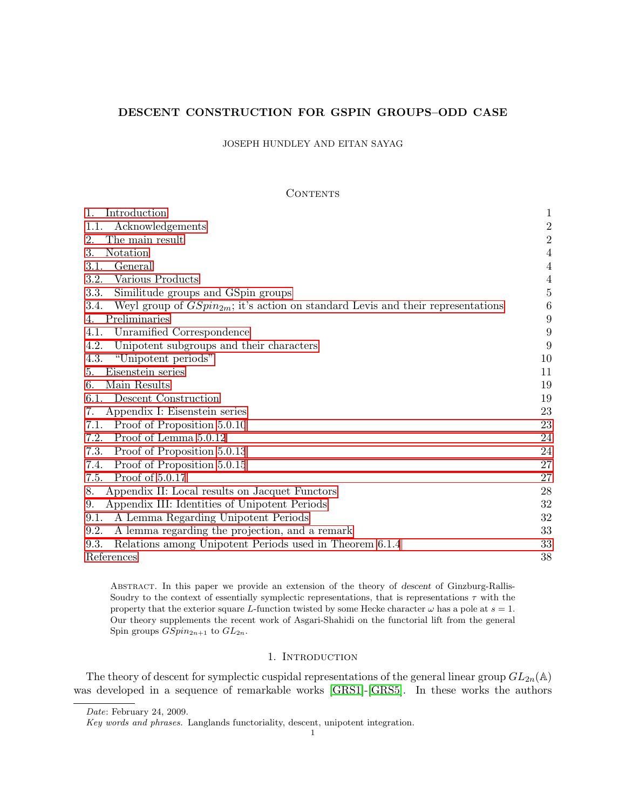# DESCENT CONSTRUCTION FOR GSPIN GROUPS–ODD CASE

# JOSEPH HUNDLEY AND EITAN SAYAG

## **CONTENTS**

<span id="page-0-1"></span>

| 1.<br>Introduction                                                                           | $\mathbf{1}$     |
|----------------------------------------------------------------------------------------------|------------------|
| Acknowledgements<br>1.1.                                                                     | $\sqrt{2}$       |
| The main result<br>2.                                                                        | $\overline{2}$   |
| Notation<br>3.                                                                               | 4                |
| General<br>3.1.                                                                              | $\overline{4}$   |
| 3.2.<br>Various Products                                                                     | $\overline{4}$   |
| 3.3.<br>Similitude groups and GSpin groups                                                   | $\bf 5$          |
| 3.4.<br>Weyl group of $GSpin_{2m}$ ; it's action on standard Levis and their representations | $\boldsymbol{6}$ |
| Preliminaries<br>4.                                                                          | 9                |
| Unramified Correspondence<br>4.1.                                                            | 9                |
| 4.2.<br>Unipotent subgroups and their characters                                             | 9                |
| 4.3.<br>"Unipotent periods"                                                                  | 10               |
| Eisenstein series<br>5.                                                                      | 11               |
| Main Results<br>6.                                                                           | 19               |
| Descent Construction<br>6.1.                                                                 | 19               |
| Appendix I: Eisenstein series<br>7.                                                          | 23               |
| Proof of Proposition 5.0.10<br>7.1.                                                          | 23               |
| Proof of Lemma 5.0.12<br>7.2.                                                                | 24               |
| 7.3.<br>Proof of Proposition 5.0.13                                                          | 24               |
| Proof of Proposition 5.0.15<br>7.4.                                                          | 27               |
| Proof of 5.0.17<br>7.5.                                                                      | 27               |
| Appendix II: Local results on Jacquet Functors<br>8.                                         | 28               |
| Appendix III: Identities of Unipotent Periods<br>9.                                          | 32               |
| A Lemma Regarding Unipotent Periods<br>9.1.                                                  | 32               |
| A lemma regarding the projection, and a remark<br>9.2.                                       | 33               |
| Relations among Unipotent Periods used in Theorem 6.1.4<br>9.3.                              | 33               |
| References                                                                                   | 38               |

Abstract. In this paper we provide an extension of the theory of descent of Ginzburg-Rallis-Soudry to the context of essentially symplectic representations, that is representations  $\tau$  with the property that the exterior square L-function twisted by some Hecke character  $\omega$  has a pole at  $s = 1$ . Our theory supplements the recent work of Asgari-Shahidi on the functorial lift from the general Spin groups  $GSpin_{2n+1}$  to  $GL_{2n}$ .

# 1. INTRODUCTION

<span id="page-0-0"></span>The theory of descent for symplectic cuspidal representations of the general linear group  $GL_{2n}(\mathbb{A})$ was developed in a sequence of remarkable works [\[GRS1\]](#page-38-0)-[\[GRS5\]](#page-38-1). In these works the authors

Date: February 24, 2009.

Key words and phrases. Langlands functoriality, descent, unipotent integration.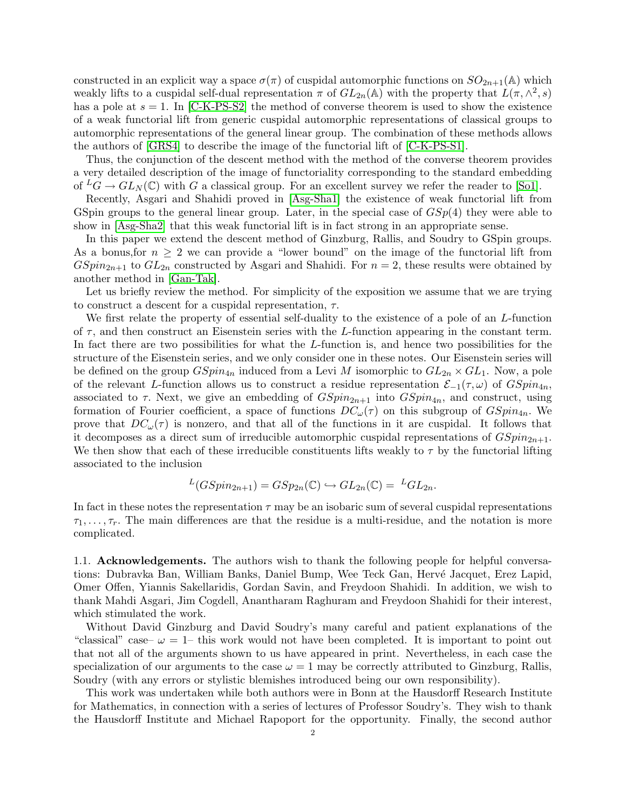constructed in an explicit way a space  $\sigma(\pi)$  of cuspidal automorphic functions on  $SO_{2n+1}(\mathbb{A})$  which weakly lifts to a cuspidal self-dual representation  $\pi$  of  $GL_{2n}(\mathbb{A})$  with the property that  $L(\pi, \wedge^2, s)$ has a pole at  $s = 1$ . In [\[C-K-PS-S2\]](#page-38-2) the method of converse theorem is used to show the existence of a weak functorial lift from generic cuspidal automorphic representations of classical groups to automorphic representations of the general linear group. The combination of these methods allows the authors of [\[GRS4\]](#page-38-3) to describe the image of the functorial lift of [\[C-K-PS-S1\]](#page-38-4).

Thus, the conjunction of the descent method with the method of the converse theorem provides a very detailed description of the image of functoriality corresponding to the standard embedding of  ${}^L G \to GL_N(\mathbb{C})$  with G a classical group. For an excellent survey we refer the reader to [\[So1\]](#page-39-0).

Recently, Asgari and Shahidi proved in [\[Asg-Sha1\]](#page-38-5) the existence of weak functorial lift from GSpin groups to the general linear group. Later, in the special case of  $GSp(4)$  they were able to show in [\[Asg-Sha2\]](#page-38-6) that this weak functorial lift is in fact strong in an appropriate sense.

In this paper we extend the descent method of Ginzburg, Rallis, and Soudry to GSpin groups. As a bonus, for  $n \geq 2$  we can provide a "lower bound" on the image of the functorial lift from  $GSpin_{2n+1}$  to  $GL_{2n}$  constructed by Asgari and Shahidi. For  $n=2$ , these results were obtained by another method in [\[Gan-Tak\]](#page-38-7).

Let us briefly review the method. For simplicity of the exposition we assume that we are trying to construct a descent for a cuspidal representation,  $\tau$ .

We first relate the property of essential self-duality to the existence of a pole of an L-function of  $\tau$ , and then construct an Eisenstein series with the L-function appearing in the constant term. In fact there are two possibilities for what the L-function is, and hence two possibilities for the structure of the Eisenstein series, and we only consider one in these notes. Our Eisenstein series will be defined on the group  $GSpin_{4n}$  induced from a Levi M isomorphic to  $GL_{2n} \times GL_1$ . Now, a pole of the relevant L-function allows us to construct a residue representation  $\mathcal{E}_{-1}(\tau,\omega)$  of  $GSpin_{4n}$ , associated to  $\tau$ . Next, we give an embedding of  $GSpin_{2n+1}$  into  $GSpin_{4n}$ , and construct, using formation of Fourier coefficient, a space of functions  $DC_{\omega}(\tau)$  on this subgroup of  $GSpin_{4n}$ . We prove that  $DC_{\omega}(\tau)$  is nonzero, and that all of the functions in it are cuspidal. It follows that it decomposes as a direct sum of irreducible automorphic cuspidal representations of  $GSpin_{2n+1}$ . We then show that each of these irreducible constituents lifts weakly to  $\tau$  by the functorial lifting associated to the inclusion

$$
L(GSpin_{2n+1}) = GSp_{2n}(\mathbb{C}) \hookrightarrow GL_{2n}(\mathbb{C}) = LGL_{2n}.
$$

In fact in these notes the representation  $\tau$  may be an isobaric sum of several cuspidal representations  $\tau_1, \ldots, \tau_r$ . The main differences are that the residue is a multi-residue, and the notation is more complicated.

<span id="page-1-0"></span>1.1. Acknowledgements. The authors wish to thank the following people for helpful conversations: Dubravka Ban, William Banks, Daniel Bump, Wee Teck Gan, Hervé Jacquet, Erez Lapid, Omer Offen, Yiannis Sakellaridis, Gordan Savin, and Freydoon Shahidi. In addition, we wish to thank Mahdi Asgari, Jim Cogdell, Anantharam Raghuram and Freydoon Shahidi for their interest, which stimulated the work.

Without David Ginzburg and David Soudry's many careful and patient explanations of the "classical" case–  $\omega = 1$ – this work would not have been completed. It is important to point out that not all of the arguments shown to us have appeared in print. Nevertheless, in each case the specialization of our arguments to the case  $\omega = 1$  may be correctly attributed to Ginzburg, Rallis, Soudry (with any errors or stylistic blemishes introduced being our own responsibility).

This work was undertaken while both authors were in Bonn at the Hausdorff Research Institute for Mathematics, in connection with a series of lectures of Professor Soudry's. They wish to thank the Hausdorff Institute and Michael Rapoport for the opportunity. Finally, the second author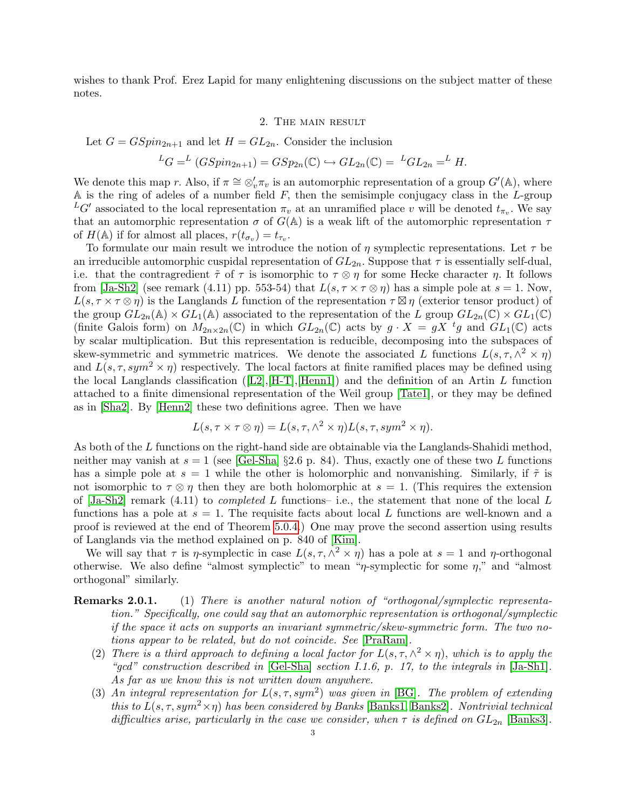wishes to thank Prof. Erez Lapid for many enlightening discussions on the subject matter of these notes.

#### 2. The main result

<span id="page-2-0"></span>Let  $G = GSpin_{2n+1}$  and let  $H = GL_{2n}$ . Consider the inclusion

$$
{}^L G = {}^L (GSpin_{2n+1}) = GSp_{2n}(\mathbb{C}) \hookrightarrow GL_{2n}(\mathbb{C}) = {}^L GL_{2n} = {}^L H.
$$

We denote this map r. Also, if  $\pi \cong \otimes_v' \pi_v$  is an automorphic representation of a group  $G'(\mathbb{A})$ , where A is the ring of adeles of a number field  $F$ , then the semisimple conjugacy class in the  $L$ -group  ${}^L G'$  associated to the local representation  $\pi_v$  at an unramified place v will be denoted  $t_{\pi_v}$ . We say that an automorphic representation  $\sigma$  of  $G(\mathbb{A})$  is a weak lift of the automorphic representation  $\tau$ of  $H(\mathbb{A})$  if for almost all places,  $r(t_{\sigma_v}) = t_{\tau_v}$ .

To formulate our main result we introduce the notion of  $\eta$  symplectic representations. Let  $\tau$  be an irreducible automorphic cuspidal representation of  $GL_{2n}$ . Suppose that  $\tau$  is essentially self-dual, i.e. that the contragredient  $\tilde{\tau}$  of  $\tau$  is isomorphic to  $\tau \otimes \eta$  for some Hecke character  $\eta$ . It follows from [\[Ja-Sh2\]](#page-39-1) (see remark (4.11) pp. 553-54) that  $L(s, \tau \times \tau \otimes \eta)$  has a simple pole at  $s = 1$ . Now,  $L(s, \tau \times \tau \otimes \eta)$  is the Langlands L function of the representation  $\tau \boxtimes \eta$  (exterior tensor product) of the group  $GL_{2n}(\mathbb{A}) \times GL_1(\mathbb{A})$  associated to the representation of the L group  $GL_{2n}(\mathbb{C}) \times GL_1(\mathbb{C})$ (finite Galois form) on  $M_{2n\times 2n}(\mathbb{C})$  in which  $GL_{2n}(\mathbb{C})$  acts by  $g\cdot X = gX^{-t}g$  and  $GL_1(\mathbb{C})$  acts by scalar multiplication. But this representation is reducible, decomposing into the subspaces of skew-symmetric and symmetric matrices. We denote the associated L functions  $L(s, \tau, \wedge^2 \times \eta)$ and  $L(s, \tau, sym^2 \times \eta)$  respectively. The local factors at finite ramified places may be defined using thelocal Langlands classification ( $[L2], [H-T], [Henn1]$  $[L2], [H-T], [Henn1]$  $[L2], [H-T], [Henn1]$  $[L2], [H-T], [Henn1]$  $[L2], [H-T], [Henn1]$ ) and the definition of an Artin L function attached to a finite dimensional representation of the Weil group [\[Tate1\]](#page-40-0), or they may be defined as in [\[Sha2\]](#page-39-4). By [\[Henn2\]](#page-39-5) these two definitions agree. Then we have

$$
L(s, \tau \times \tau \otimes \eta) = L(s, \tau, \wedge^2 \times \eta) L(s, \tau, sym^2 \times \eta).
$$

As both of the L functions on the right-hand side are obtainable via the Langlands-Shahidi method, neither may vanish at  $s = 1$  (see [\[Gel-Sha\]](#page-38-9) §2.6 p. 84). Thus, exactly one of these two L functions has a simple pole at  $s = 1$  while the other is holomorphic and nonvanishing. Similarly, if  $\tilde{\tau}$  is not isomorphic to  $\tau \otimes \eta$  then they are both holomorphic at  $s = 1$ . (This requires the extension of  $[Ja-Sh2]$  remark  $(4.11)$  to *completed L* functions- i.e., the statement that none of the local L functions has a pole at  $s = 1$ . The requisite facts about local L functions are well-known and a proof is reviewed at the end of Theorem [5.0.4.](#page-12-0)) One may prove the second assertion using results of Langlands via the method explained on p. 840 of [\[Kim\]](#page-39-6).

We will say that  $\tau$  is  $\eta$ -symplectic in case  $L(s, \tau, \wedge^2 \times \eta)$  has a pole at  $s = 1$  and  $\eta$ -orthogonal otherwise. We also define "almost symplectic" to mean " $\eta$ -symplectic for some  $\eta$ ," and "almost orthogonal" similarly.

- Remarks 2.0.1. (1) There is another natural notion of "orthogonal/symplectic representation." Specifically, one could say that an automorphic representation is orthogonal/symplectic if the space it acts on supports an invariant symmetric/skew-symmetric form. The two notions appear to be related, but do not coincide. See [\[PraRam\]](#page-39-7).
	- (2) There is a third approach to defining a local factor for  $L(s, \tau, \wedge^2 \times \eta)$ , which is to apply the "gcd" construction described in  $[GeI-Sha]$  section I.1.6, p. 17, to the integrals in  $[Ja-Sh1]$ . As far as we know this is not written down anywhere.
	- (3) An integral representation for  $L(s, \tau, sym^2)$  was given in [\[BG\]](#page-38-10). The problem of extending this to  $L(s, \tau, sym^2 \times \eta)$  has been considered by Banks [\[Banks1,](#page-38-11) [Banks2\]](#page-38-12). Nontrivial technical difficulties arise, particularly in the case we consider, when  $\tau$  is defined on  $GL_{2n}$  [\[Banks3\]](#page-38-13).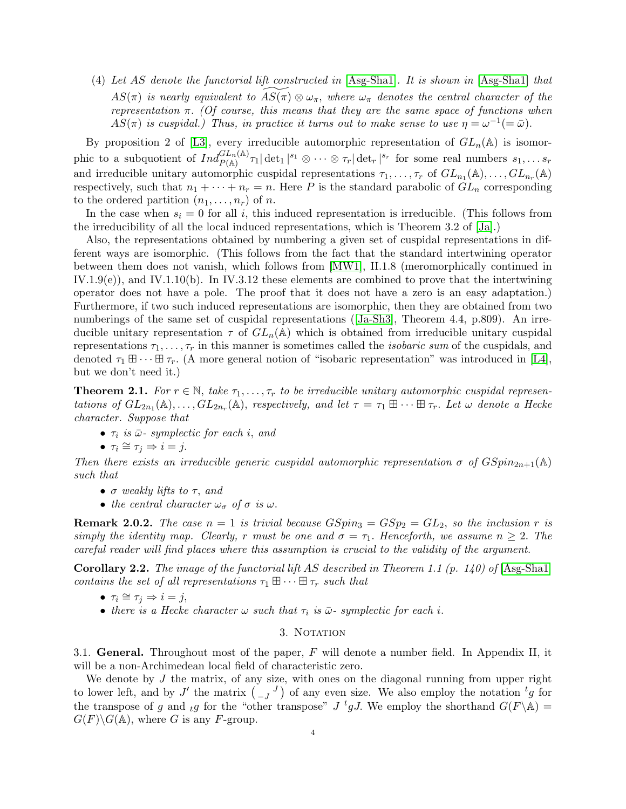<span id="page-3-3"></span>(4) Let AS denote the functorial lift constructed in [\[Asg-Sha1\]](#page-38-5). It is shown in [\[Asg-Sha1\]](#page-38-5) that  $AS(\pi)$  is nearly equivalent to  $AS(\pi) \otimes \omega_{\pi}$ , where  $\omega_{\pi}$  denotes the central character of the representation  $\pi$ . (Of course, this means that they are the same space of functions when  $AS(\pi)$  is cuspidal.) Thus, in practice it turns out to make sense to use  $\eta = \omega^{-1}(=\bar{\omega})$ .

By proposition 2 of [\[L3\]](#page-39-9), every irreducible automorphic representation of  $GL_n(\mathbb{A})$  is isomorphic to a subquotient of  $Ind_{P(\mathbb{A})}^{GL_n(\mathbb{A})}\tau_1|\det_1|^{s_1}\otimes\cdots\otimes\tau_r|\det_r|^{s_r}$  for some real numbers  $s_1,\ldots s_r$ and irreducible unitary automorphic cuspidal representations  $\tau_1, \ldots, \tau_r$  of  $GL_{n_1}(\mathbb{A}), \ldots, GL_{n_r}(\mathbb{A})$ respectively, such that  $n_1 + \cdots + n_r = n$ . Here P is the standard parabolic of  $GL_n$  corresponding to the ordered partition  $(n_1, \ldots, n_r)$  of n.

In the case when  $s_i = 0$  for all i, this induced representation is irreducible. (This follows from the irreducibility of all the local induced representations, which is Theorem 3.2 of [\[Ja\]](#page-39-10).)

Also, the representations obtained by numbering a given set of cuspidal representations in different ways are isomorphic. (This follows from the fact that the standard intertwining operator between them does not vanish, which follows from [\[MW1\]](#page-39-11), II.1.8 (meromorphically continued in  $IV.1.9(e)$ , and  $IV.1.10(b)$ . In IV.3.12 these elements are combined to prove that the intertwining operator does not have a pole. The proof that it does not have a zero is an easy adaptation.) Furthermore, if two such induced representations are isomorphic, then they are obtained from two numberingsof the same set of cuspidal representations ([\[Ja-Sh3\]](#page-39-12), Theorem 4.4, p.809). An irreducible unitary representation  $\tau$  of  $GL_n(\mathbb{A})$  which is obtained from irreducible unitary cuspidal representations  $\tau_1, \ldots, \tau_r$  in this manner is sometimes called the *isobaric sum* of the cuspidals, and denoted  $\tau_1 \boxplus \cdots \boxplus \tau_r$ . (A more general notion of "isobaric representation" was introduced in [\[L4\]](#page-39-13), but we don't need it.)

<span id="page-3-2"></span>**Theorem 2.1.** For  $r \in \mathbb{N}$ , take  $\tau_1, \ldots, \tau_r$  to be irreducible unitary automorphic cuspidal representations of  $GL_{2n_1}(\mathbb{A}), \ldots, GL_{2n_r}(\mathbb{A}),$  respectively, and let  $\tau = \tau_1 \boxplus \cdots \boxplus \tau_r$ . Let  $\omega$  denote a Hecke character. Suppose that

- $\tau_i$  is  $\bar{\omega}$  symplectic for each i, and
- $\tau_i \cong \tau_j \Rightarrow i = j$ .

Then there exists an irreducible generic cuspidal automorphic representation  $\sigma$  of  $GSpin_{2n+1}(\mathbb{A})$ such that

- $\bullet$   $\sigma$  weakly lifts to  $\tau$ , and
- the central character  $\omega_{\sigma}$  of  $\sigma$  is  $\omega$ .

**Remark 2.0.2.** The case  $n = 1$  is trivial because  $GSpin_3 = GSp_2 = GL_2$ , so the inclusion r is simply the identity map. Clearly, r must be one and  $\sigma = \tau_1$ . Henceforth, we assume  $n \geq 2$ . The careful reader will find places where this assumption is crucial to the validity of the argument.

**Corollary 2.2.** The image of the functorial lift AS described in Theorem 1.1 (p. 140) of [\[Asg-Sha1\]](#page-38-5) contains the set of all representations  $\tau_1 \boxplus \cdots \boxplus \tau_r$  such that

- $\tau_i \cong \tau_j \Rightarrow i = j$ ,
- there is a Hecke character  $\omega$  such that  $\tau_i$  is  $\bar{\omega}$ -symplectic for each i.

## 3. NOTATION

<span id="page-3-1"></span><span id="page-3-0"></span>3.1. General. Throughout most of the paper,  $F$  will denote a number field. In Appendix II, it will be a non-Archimedean local field of characteristic zero.

We denote by  $J$  the matrix, of any size, with ones on the diagonal running from upper right to lower left, and by J' the matrix  $\begin{pmatrix} 0 & J \end{pmatrix}$  of any even size. We also employ the notation  ${}^t g$  for the transpose of g and tg for the "other transpose"  $J$  <sup>t</sup>g J. We employ the shorthand  $G(F \backslash \mathbb{A}) =$  $G(F)\backslash G(\mathbb{A})$ , where G is any F-group.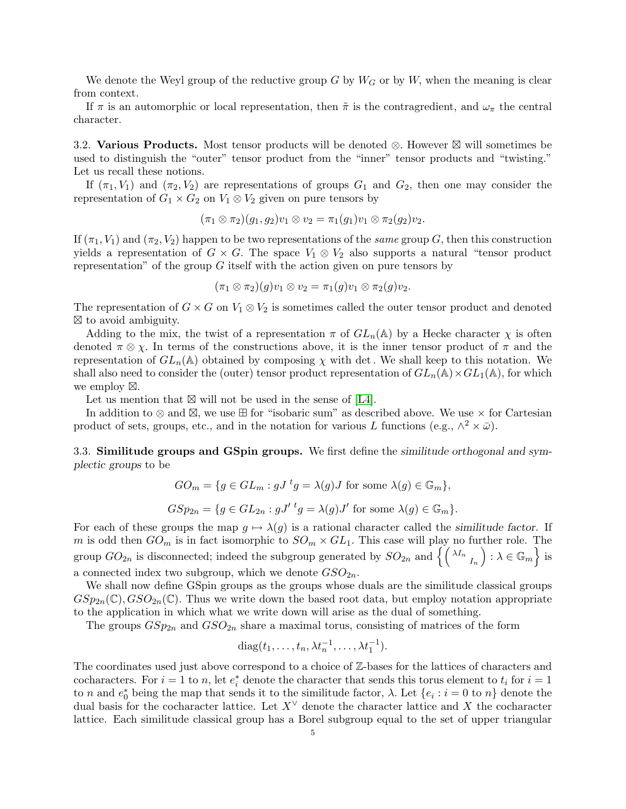We denote the Weyl group of the reductive group G by  $W<sub>G</sub>$  or by W, when the meaning is clear from context.

If  $\pi$  is an automorphic or local representation, then  $\tilde{\pi}$  is the contragredient, and  $\omega_{\pi}$  the central character.

<span id="page-4-0"></span>3.2. Various Products. Most tensor products will be denoted  $\otimes$ . However  $\boxtimes$  will sometimes be used to distinguish the "outer" tensor product from the "inner" tensor products and "twisting." Let us recall these notions.

If  $(\pi_1, V_1)$  and  $(\pi_2, V_2)$  are representations of groups  $G_1$  and  $G_2$ , then one may consider the representation of  $G_1 \times G_2$  on  $V_1 \otimes V_2$  given on pure tensors by

$$
(\pi_1 \otimes \pi_2)(g_1, g_2)v_1 \otimes v_2 = \pi_1(g_1)v_1 \otimes \pi_2(g_2)v_2.
$$

If  $(\pi_1, V_1)$  and  $(\pi_2, V_2)$  happen to be two representations of the same group G, then this construction yields a representation of  $G \times G$ . The space  $V_1 \otimes V_2$  also supports a natural "tensor product" representation" of the group  $G$  itself with the action given on pure tensors by

$$
(\pi_1 \otimes \pi_2)(g)v_1 \otimes v_2 = \pi_1(g)v_1 \otimes \pi_2(g)v_2.
$$

The representation of  $G \times G$  on  $V_1 \otimes V_2$  is sometimes called the outer tensor product and denoted  $\boxtimes$  to avoid ambiguity.

Adding to the mix, the twist of a representation  $\pi$  of  $GL_n(\mathbb{A})$  by a Hecke character  $\chi$  is often denoted  $\pi \otimes \chi$ . In terms of the constructions above, it is the inner tensor product of  $\pi$  and the representation of  $GL_n(\mathbb{A})$  obtained by composing  $\chi$  with det. We shall keep to this notation. We shall also need to consider the (outer) tensor product representation of  $GL_n(\mathbb{A}) \times GL_1(\mathbb{A})$ , for which we employ  $\boxtimes$ .

Let us mention that  $\boxtimes$  will not be used in the sense of [\[L4\]](#page-39-13).

In addition to  $\otimes$  and  $\boxtimes$ , we use  $\boxplus$  for "isobaric sum" as described above. We use  $\times$  for Cartesian product of sets, groups, etc., and in the notation for various L functions (e.g.,  $\wedge^2 \times \bar{\omega}$ ).

<span id="page-4-1"></span>3.3. Similitude groups and GSpin groups. We first define the similitude orthogonal and symplectic groups to be

$$
GO_m = \{ g \in GL_m : gJ^t g = \lambda(g)J \text{ for some } \lambda(g) \in \mathbb{G}_m \},
$$
  

$$
GSp_{2n} = \{ g \in GL_{2n} : gJ'^t g = \lambda(g)J' \text{ for some } \lambda(g) \in \mathbb{G}_m \}.
$$

For each of these groups the map  $g \mapsto \lambda(g)$  is a rational character called the similitude factor. If m is odd then  $GO_m$  is in fact isomorphic to  $SO_m \times GL_1$ . This case will play no further role. The group  $GO_{2n}$  is disconnected; indeed the subgroup generated by  $SO_{2n}$  and  $\left\{ \left(\begin{smallmatrix} \lambda I_n& \ A_n& \end{smallmatrix}\right) : \lambda \in \mathbb{G}_m \right\}$  is a connected index two subgroup, which we denote  $GSO_{2n}$ .

We shall now define GSpin groups as the groups whose duals are the similitude classical groups  $GSp_{2n}(\mathbb{C}), GSO_{2n}(\mathbb{C}).$  Thus we write down the based root data, but employ notation appropriate to the application in which what we write down will arise as the dual of something.

The groups  $GSp_{2n}$  and  $GSO_{2n}$  share a maximal torus, consisting of matrices of the form

$$
diag(t_1,\ldots,t_n,\lambda t_n^{-1},\ldots,\lambda t_1^{-1}).
$$

The coordinates used just above correspond to a choice of Z-bases for the lattices of characters and cocharacters. For  $i = 1$  to n, let  $e_i^*$  denote the character that sends this torus element to  $t_i$  for  $i = 1$ to n and  $e_0^*$  being the map that sends it to the similitude factor,  $\lambda$ . Let  $\{e_i : i = 0 \text{ to } n\}$  denote the dual basis for the cocharacter lattice. Let  $X^{\vee}$  denote the character lattice and X the cocharacter lattice. Each similitude classical group has a Borel subgroup equal to the set of upper triangular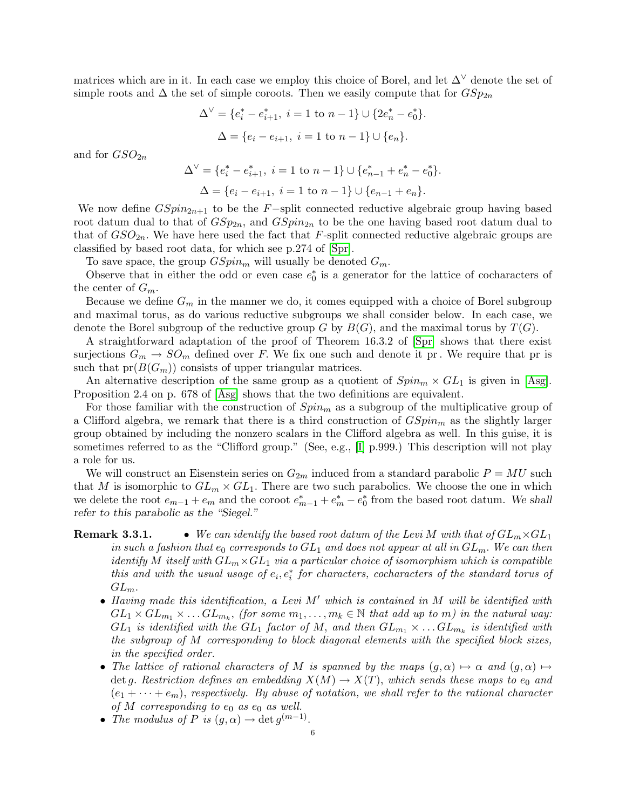matrices which are in it. In each case we employ this choice of Borel, and let  $\Delta^{\vee}$  denote the set of simple roots and  $\Delta$  the set of simple coroots. Then we easily compute that for  $GSp_{2n}$ 

$$
\Delta^{\vee} = \{e_i^* - e_{i+1}^*, i = 1 \text{ to } n-1\} \cup \{2e_n^* - e_0^*\}.
$$

$$
\Delta = \{e_i - e_{i+1}, i = 1 \text{ to } n-1\} \cup \{e_n\}.
$$

and for  $GSO_{2n}$ 

$$
\Delta^{\vee} = \{e_i^* - e_{i+1}^*, i = 1 \text{ to } n-1\} \cup \{e_{n-1}^* + e_n^* - e_0^*\}.
$$
  

$$
\Delta = \{e_i - e_{i+1}, i = 1 \text{ to } n-1\} \cup \{e_{n-1} + e_n\}.
$$

We now define  $GSpin_{2n+1}$  to be the F-split connected reductive algebraic group having based root datum dual to that of  $GSp_{2n}$ , and  $GSpin_{2n}$  to be the one having based root datum dual to that of  $GSO_{2n}$ . We have here used the fact that F-split connected reductive algebraic groups are classified by based root data, for which see p.274 of [\[Spr\]](#page-39-14).

To save space, the group  $GSpin_m$  will usually be denoted  $G_m$ .

Observe that in either the odd or even case  $e_0^*$  is a generator for the lattice of cocharacters of the center of  $G_m$ .

Because we define  $G_m$  in the manner we do, it comes equipped with a choice of Borel subgroup and maximal torus, as do various reductive subgroups we shall consider below. In each case, we denote the Borel subgroup of the reductive group G by  $B(G)$ , and the maximal torus by  $T(G)$ .

A straightforward adaptation of the proof of Theorem 16.3.2 of [\[Spr\]](#page-39-14) shows that there exist surjections  $G_m \to SO_m$  defined over F. We fix one such and denote it pr. We require that pr is such that  $pr(B(G_m))$  consists of upper triangular matrices.

An alternative description of the same group as a quotient of  $Spin_m \times GL_1$  is given in [\[Asg\]](#page-38-14). Proposition 2.4 on p. 678 of [\[Asg\]](#page-38-14) shows that the two definitions are equivalent.

For those familiar with the construction of  $Spin<sub>m</sub>$  as a subgroup of the multiplicative group of a Clifford algebra, we remark that there is a third construction of  $GSpin<sub>m</sub>$  as the slightly larger group obtained by including the nonzero scalars in the Clifford algebra as well. In this guise, it is sometimes referred to as the "Clifford group." (See, e.g., [\[I\]](#page-39-15) p.999.) This description will not play a role for us.

We will construct an Eisenstein series on  $G_{2m}$  induced from a standard parabolic  $P = MU$  such that M is isomorphic to  $GL_m \times GL_1$ . There are two such parabolics. We choose the one in which we delete the root  $e_{m-1} + e_m$  and the coroot  $e_{m-1}^* + e_m^* - e_0^*$  from the based root datum. We shall refer to this parabolic as the "Siegel."

# <span id="page-5-0"></span>**Remark 3.3.1.** • We can identify the based root datum of the Levi M with that of  $GL_m \times GL_1$ in such a fashion that  $e_0$  corresponds to  $GL_1$  and does not appear at all in  $GL_m$ . We can then *identify* M itself with  $GL_m \times GL_1$  via a particular choice of isomorphism which is compatible this and with the usual usage of  $e_i, e_i^*$  for characters, cocharacters of the standard torus of  $GL_m$ .

- Having made this identification, a Levi  $M'$  which is contained in M will be identified with  $GL_1 \times GL_{m_1} \times \ldots GL_{m_k}$ , (for some  $m_1, \ldots, m_k \in \mathbb{N}$  that add up to m) in the natural way:  $GL_1$  is identified with the  $GL_1$  factor of M, and then  $GL_{m_1} \times \ldots GL_{m_k}$  is identified with the subgroup of M corresponding to block diagonal elements with the specified block sizes, in the specified order.
- The lattice of rational characters of M is spanned by the maps  $(g, \alpha) \mapsto \alpha$  and  $(g, \alpha) \mapsto$ det g. Restriction defines an embedding  $X(M) \to X(T)$ , which sends these maps to  $e_0$  and  $(e_1 + \cdots + e_m)$ , respectively. By abuse of notation, we shall refer to the rational character of M corresponding to  $e_0$  as  $e_0$  as well.
- The modulus of P is  $(g, \alpha) \to \det g^{(m-1)}$ .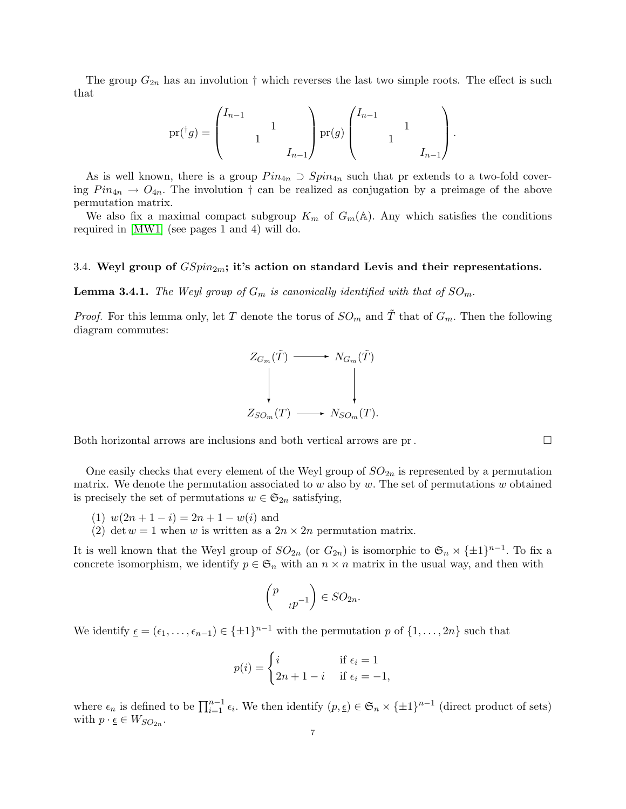The group  $G_{2n}$  has an involution  $\dagger$  which reverses the last two simple roots. The effect is such that

$$
\mathrm{pr}({}^{\dagger}g) = \begin{pmatrix} I_{n-1} & & \\ & 1 & \\ & & I_{n-1} \end{pmatrix} \mathrm{pr}(g) \begin{pmatrix} I_{n-1} & & \\ & 1 & \\ & & I_{n-1} \end{pmatrix}.
$$

As is well known, there is a group  $Pin_{4n} \supset Spin_{4n}$  such that pr extends to a two-fold covering  $Pin_{4n} \rightarrow O_{4n}$ . The involution  $\dagger$  can be realized as conjugation by a preimage of the above permutation matrix.

We also fix a maximal compact subgroup  $K_m$  of  $G_m(\mathbb{A})$ . Any which satisfies the conditions required in [\[MW1\]](#page-39-11) (see pages 1 and 4) will do.

#### <span id="page-6-0"></span>3.4. Weyl group of  $GSpin<sub>2m</sub>$ ; it's action on standard Levis and their representations.

**Lemma 3.4.1.** The Weyl group of  $G_m$  is canonically identified with that of  $SO_m$ .

*Proof.* For this lemma only, let T denote the torus of  $SO_m$  and  $\tilde{T}$  that of  $G_m$ . Then the following diagram commutes:



Both horizontal arrows are inclusions and both vertical arrows are pr.

One easily checks that every element of the Weyl group of  $SO_{2n}$  is represented by a permutation matrix. We denote the permutation associated to w also by  $w$ . The set of permutations  $w$  obtained is precisely the set of permutations  $w \in \mathfrak{S}_{2n}$  satisfying,

- (1)  $w(2n+1-i) = 2n+1-w(i)$  and
- (2) det  $w = 1$  when w is written as a  $2n \times 2n$  permutation matrix.

It is well known that the Weyl group of  $SO_{2n}$  (or  $G_{2n}$ ) is isomorphic to  $\mathfrak{S}_n \rtimes {\pm 1}^{n-1}$ . To fix a concrete isomorphism, we identify  $p \in \mathfrak{S}_n$  with an  $n \times n$  matrix in the usual way, and then with

$$
\begin{pmatrix} p \\ & t^{p-1} \end{pmatrix} \in SO_{2n}.
$$

We identify  $\underline{\epsilon} = (\epsilon_1, \ldots, \epsilon_{n-1}) \in \{\pm 1\}^{n-1}$  with the permutation p of  $\{1, \ldots, 2n\}$  such that

$$
p(i) = \begin{cases} i & \text{if } \epsilon_i = 1\\ 2n + 1 - i & \text{if } \epsilon_i = -1, \end{cases}
$$

where  $\epsilon_n$  is defined to be  $\prod_{i=1}^{n-1} \epsilon_i$ . We then identify  $(p, \epsilon) \in \mathfrak{S}_n \times {\pm 1}^{n-1}$  (direct product of sets) with  $p \cdot \underline{\epsilon} \in W_{SO_{2n}}$ .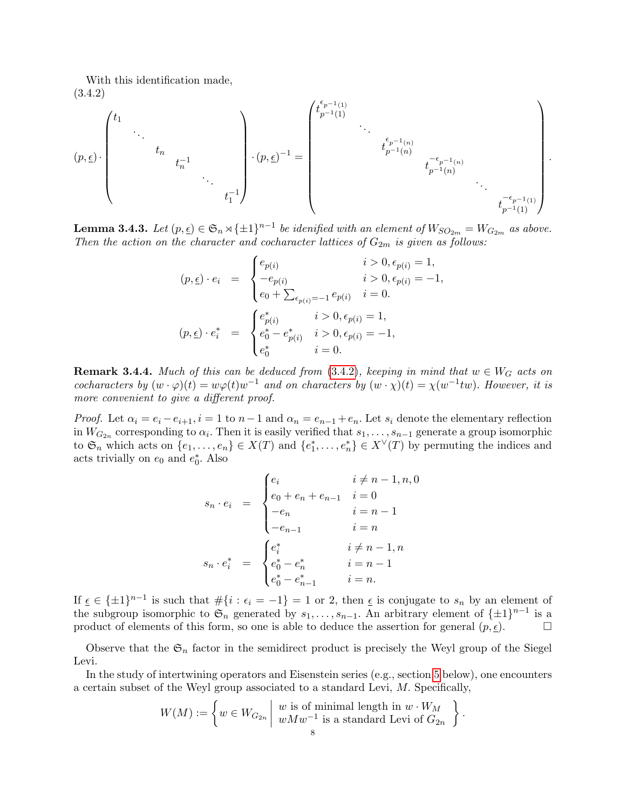With this identification made, (3.4.2)

<span id="page-7-0"></span>
$$
(p,\underline{\epsilon}) \cdot \begin{pmatrix} t_1 & & & & & \\ & \ddots & & & & \\ & & t_n & & & \\ & & & t_n^{-1} & & \\ & & & & & t_1^{-1} \end{pmatrix} \cdot (p,\underline{\epsilon})^{-1} = \begin{pmatrix} t_{p^{-1}(1)}^{\epsilon_{p^{-1}(1)}} & & & & & \\ & \ddots & & & & \\ & & t_{p^{-1}(n)}^{\epsilon_{p^{-1}(n)}} & & \\ & & & t_{p^{-1}(n)}^{-\epsilon_{p^{-1}(n)}} & \\ & & & & & t_{p^{-1}(1)}^{-\epsilon_{p^{-1}(1)}} \end{pmatrix}
$$

.

<span id="page-7-1"></span>**Lemma 3.4.3.** Let  $(p, \underline{\epsilon}) \in \mathfrak{S}_n \rtimes {\{\pm 1\}}^{n-1}$  be idenified with an element of  $W_{SO_{2m}} = W_{G_{2m}}$  as above. Then the action on the character and cocharacter lattices of  $G_{2m}$  is given as follows:

$$
(p, \underline{\epsilon}) \cdot e_i = \begin{cases} e_{p(i)} & i > 0, \epsilon_{p(i)} = 1, \\ -e_{p(i)} & i > 0, \epsilon_{p(i)} = -1, \\ e_0 + \sum_{\epsilon_{p(i)} = -1} e_{p(i)} & i = 0. \end{cases}
$$
\n
$$
(p, \underline{\epsilon}) \cdot e_i^* = \begin{cases} e_{p(i)}^* & i > 0, \epsilon_{p(i)} = 1, \\ e_0^* - e_{p(i)}^* & i > 0, \epsilon_{p(i)} = -1, \\ e_0^* & i = 0. \end{cases}
$$

**Remark 3.4.4.** Much of this can be deduced from [\(3.4.2\)](#page-7-0), keeping in mind that  $w \in W_G$  acts on cocharacters by  $(w \cdot \varphi)(t) = w\varphi(t)w^{-1}$  and on characters by  $(w \cdot \chi)(t) = \chi(w^{-1}tw)$ . However, it is more convenient to give a different proof.

*Proof.* Let  $\alpha_i = e_i - e_{i+1}$ ,  $i = 1$  to  $n-1$  and  $\alpha_n = e_{n-1} + e_n$ . Let  $s_i$  denote the elementary reflection in  $W_{G_{2n}}$  corresponding to  $\alpha_i$ . Then it is easily verified that  $s_1, \ldots, s_{n-1}$  generate a group isomorphic to  $\mathfrak{S}_n$  which acts on  $\{e_1,\ldots,e_n\} \in X(T)$  and  $\{e_1^*,\ldots,e_n^*\} \in X^{\vee}(T)$  by permuting the indices and acts trivially on  $e_0$  and  $e_0^*$ . Also

$$
s_n \cdot e_i = \begin{cases} e_i & i \neq n-1, n, 0 \\ e_0 + e_n + e_{n-1} & i = 0 \\ -e_n & i = n-1 \\ -e_{n-1} & i = n \end{cases}
$$

$$
s_n \cdot e_i^* = \begin{cases} e_i^* & i \neq n-1, n \\ e_0^* - e_n^* & i = n-1 \\ e_0^* - e_{n-1}^* & i = n. \end{cases}
$$

If  $\underline{\epsilon} \in {\pm 1}^{n-1}$  is such that  $\#\{i : \epsilon_i = -1\} = 1$  or 2, then  $\underline{\epsilon}$  is conjugate to  $s_n$  by an element of the subgroup isomorphic to  $\mathfrak{S}_n$  generated by  $s_1, \ldots, s_{n-1}$ . An arbitrary element of  $\{\pm 1\}^{n-1}$  is a product of elements of this form, so one is able to deduce the assertion for general  $(p, \underline{\epsilon})$ .

Observe that the  $\mathfrak{S}_n$  factor in the semidirect product is precisely the Weyl group of the Siegel Levi.

In the study of intertwining operators and Eisenstein series (e.g., section [5](#page-10-1) below), one encounters a certain subset of the Weyl group associated to a standard Levi, M. Specifically,

$$
W(M) := \left\{ w \in W_{G_{2n}} \mid \begin{array}{c} w \text{ is of minimal length in } w \cdot W_M \\ w M w^{-1} \text{ is a standard Levi of } G_{2n} \end{array} \right\}.
$$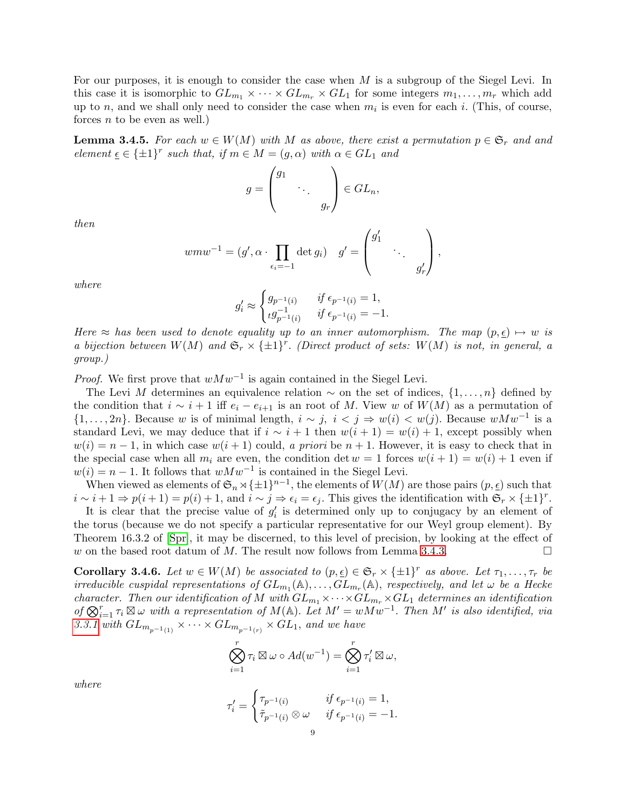For our purposes, it is enough to consider the case when  $M$  is a subgroup of the Siegel Levi. In this case it is isomorphic to  $GL_{m_1} \times \cdots \times GL_{m_r} \times GL_1$  for some integers  $m_1, \ldots, m_r$  which add up to n, and we shall only need to consider the case when  $m_i$  is even for each i. (This, of course, forces  $n$  to be even as well.)

<span id="page-8-1"></span>**Lemma 3.4.5.** For each  $w \in W(M)$  with M as above, there exist a permutation  $p \in \mathfrak{S}_r$  and and element  $\underline{\epsilon} \in {\pm 1}^r$  such that, if  $m \in M = (g, \alpha)$  with  $\alpha \in GL_1$  and

$$
g = \begin{pmatrix} g_1 & & \\ & \ddots & \\ & & g_r \end{pmatrix} \in GL_n,
$$

then

$$
wmw^{-1} = (g', \alpha \cdot \prod_{\epsilon_i = -1} \det g_i) \quad g' = \begin{pmatrix} g'_1 & & \\ & \ddots & \\ & & g'_r \end{pmatrix},
$$

where

$$
g_i' \approx \begin{cases} g_{p^{-1}(i)} & \text{if } \epsilon_{p^{-1}(i)} = 1, \\ \iota g_{p^{-1}(i)}^{-1} & \text{if } \epsilon_{p^{-1}(i)} = -1. \end{cases}
$$

Here  $\approx$  has been used to denote equality up to an inner automorphism. The map  $(p, \epsilon) \mapsto w$  is a bijection between  $W(M)$  and  $\mathfrak{S}_r \times {\pm 1}^r$ . (Direct product of sets:  $W(M)$  is not, in general, a group.)

*Proof.* We first prove that  $wMw^{-1}$  is again contained in the Siegel Levi.

The Levi M determines an equivalence relation  $\sim$  on the set of indices,  $\{1,\ldots,n\}$  defined by the condition that  $i \sim i + 1$  iff  $e_i - e_{i+1}$  is an root of M. View w of  $W(M)$  as a permutation of  $\{1,\ldots,2n\}$ . Because w is of minimal length,  $i \sim j$ ,  $i < j \Rightarrow w(i) < w(j)$ . Because  $wMw^{-1}$  is a standard Levi, we may deduce that if  $i \sim i + 1$  then  $w(i + 1) = w(i) + 1$ , except possibly when  $w(i) = n - 1$ , in which case  $w(i + 1)$  could, a priori be  $n + 1$ . However, it is easy to check that in the special case when all  $m_i$  are even, the condition det  $w = 1$  forces  $w(i + 1) = w(i) + 1$  even if  $w(i) = n - 1$ . It follows that  $wMw^{-1}$  is contained in the Siegel Levi.

When viewed as elements of  $\mathfrak{S}_n \rtimes \{\pm 1\}^{n-1}$ , the elements of  $W(M)$  are those pairs  $(p, \underline{\epsilon})$  such that  $i \sim i + 1 \Rightarrow p(i + 1) = p(i) + 1$ , and  $i \sim j \Rightarrow \epsilon_i = \epsilon_j$ . This gives the identification with  $\mathfrak{S}_r \times {\pm 1}^r$ .

It is clear that the precise value of  $g_i'$  is determined only up to conjugacy by an element of the torus (because we do not specify a particular representative for our Weyl group element). By Theorem 16.3.2 of [\[Spr\]](#page-39-14), it may be discerned, to this level of precision, by looking at the effect of w on the based root datum of M. The result now follows from Lemma [3.4.3.](#page-7-1)

<span id="page-8-0"></span>**Corollary 3.4.6.** Let  $w \in W(M)$  be associated to  $(p, \underline{\epsilon}) \in \mathfrak{S}_r \times \{\pm 1\}^r$  as above. Let  $\tau_1, \ldots, \tau_r$  be irreducible cuspidal representations of  $GL_{m_1}(\mathbb{A}), \ldots, GL_{m_r}(\mathbb{A}),$  respectively, and let  $\omega$  be a Hecke character. Then our identification of M with  $GL_{m_1} \times \cdots \times GL_{m_r} \times GL_1$  determines an identification of  $\bigotimes_{i=1}^r \tau_i \boxtimes \omega$  with a representation of  $M(\mathbb{A})$ . Let  $M' = wMw^{-1}$ . Then  $M'$  is also identified, via [3.3.1](#page-5-0) with  $GL_{m_{p^{-1}(1)}} \times \cdots \times GL_{m_{p^{-1}(r)}} \times GL_1$ , and we have

$$
\bigotimes_{i=1}^r \tau_i \boxtimes \omega \circ Ad(w^{-1}) = \bigotimes_{i=1}^r \tau_i' \boxtimes \omega,
$$

where

$$
\tau_i' = \begin{cases} \tau_{p^{-1}(i)} & \text{if } \epsilon_{p^{-1}(i)} = 1, \\ \tilde{\tau}_{p^{-1}(i)} \otimes \omega & \text{if } \epsilon_{p^{-1}(i)} = -1. \end{cases}
$$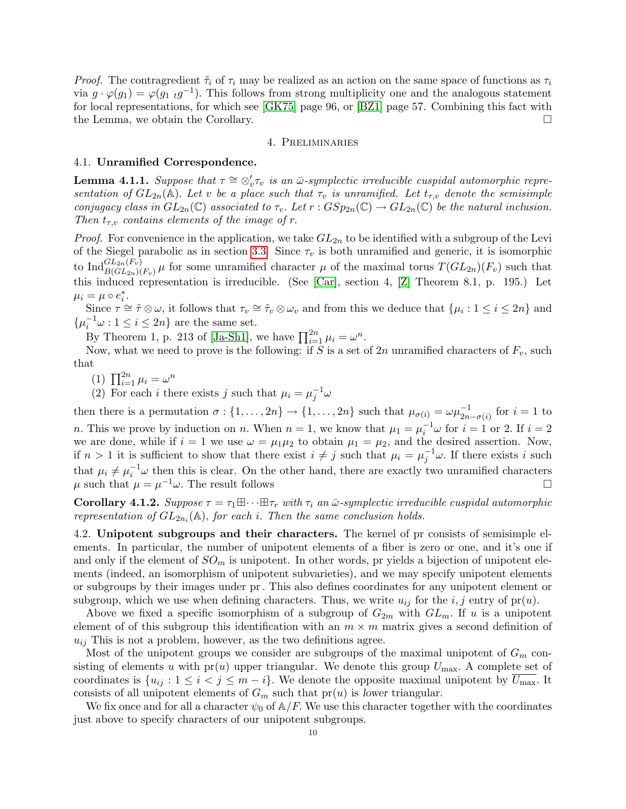*Proof.* The contragredient  $\tilde{\tau}_i$  of  $\tau_i$  may be realized as an action on the same space of functions as  $\tau_i$ via  $g \cdot \varphi(g_1) = \varphi(g_1 \cdot g^{-1})$ . This follows from strong multiplicity one and the analogous statement for local representations, for which see [\[GK75\]](#page-38-15) page 96, or [\[BZ1\]](#page-38-16) page 57. Combining this fact with the Lemma, we obtain the Corollary.

#### 4. Preliminaries

### <span id="page-9-1"></span><span id="page-9-0"></span>4.1. Unramified Correspondence.

<span id="page-9-3"></span>**Lemma 4.1.1.** Suppose that  $\tau \cong \otimes_v' \tau_v$  is an  $\bar{\omega}$ -symplectic irreducible cuspidal automorphic representation of  $GL_{2n}(\mathbb{A})$ . Let v be a place such that  $\tau_v$  is unramified. Let  $t_{\tau,v}$  denote the semisimple conjugacy class in  $GL_{2n}(\mathbb{C})$  associated to  $\tau_v$ . Let  $r: GSp_{2n}(\mathbb{C}) \to GL_{2n}(\mathbb{C})$  be the natural inclusion. Then  $t_{\tau,v}$  contains elements of the image of r.

*Proof.* For convenience in the application, we take  $GL_{2n}$  to be identified with a subgroup of the Levi of the Siegel parabolic as in section [3.3.](#page-4-1) Since  $\tau_v$  is both unramified and generic, it is isomorphic to  $\text{Ind}_{B(GL_{2n}(F_v)}^{GL_{2n}(F_v)}\mu$  for some unramified character  $\mu$  of the maximal torus  $T(GL_{2n})(F_v)$  such that this induced representation is irreducible. (See [\[Car\]](#page-38-17), section 4, [\[Z\]](#page-40-1) Theorem 8.1, p. 195.) Let  $\mu_i = \mu \circ e_i^*$ .

Since  $\tau \simeq \tilde{\tau} \otimes \omega$ , it follows that  $\tau_v \simeq \tilde{\tau}_v \otimes \omega_v$  and from this we deduce that  $\{\mu_i : 1 \leq i \leq 2n\}$  and  $\{\mu_i^{-1}\omega : 1 \leq i \leq 2n\}$  are the same set.

By Theorem 1, p. 213 of [\[Ja-Sh1\]](#page-39-8), we have  $\prod_{i=1}^{2n} \mu_i = \omega^n$ .

Now, what we need to prove is the following: if S is a set of  $2n$  unramified characters of  $F_v$ , such that

(1)  $\prod_{i=1}^{2n} \mu_i = \omega^n$ 

(2) For each *i* there exists *j* such that  $\mu_i = \mu_j^{-1} \omega$ 

then there is a permutation  $\sigma: \{1, \ldots, 2n\} \to \{1, \ldots, 2n\}$  such that  $\mu_{\sigma(i)} = \omega \mu_{2n-\sigma(i)}^{-1}$  for  $i = 1$  to *n*. This we prove by induction on *n*. When  $n = 1$ , we know that  $\mu_1 = \mu_i^{-1} \omega$  for  $i = 1$  or 2. If  $i = 2$ we are done, while if  $i = 1$  we use  $\omega = \mu_1 \mu_2$  to obtain  $\mu_1 = \mu_2$ , and the desired assertion. Now, if  $n > 1$  it is sufficient to show that there exist  $i \neq j$  such that  $\mu_i = \mu_j^{-1} \omega$ . If there exists i such that  $\mu_i \neq \mu_i^{-1} \omega$  then this is clear. On the other hand, there are exactly two unramified characters  $\mu$  such that  $\mu = \mu^{-1}\omega$ . The result follows

**Corollary 4.1.2.** Suppose  $\tau = \tau_1 \boxplus \cdots \boxplus \tau_r$  with  $\tau_i$  an  $\bar{\omega}$ -symplectic irreducible cuspidal automorphic representation of  $GL_{2n_i}(\mathbb{A})$ , for each i. Then the same conclusion holds.

<span id="page-9-2"></span>4.2. Unipotent subgroups and their characters. The kernel of pr consists of semisimple elements. In particular, the number of unipotent elements of a fiber is zero or one, and it's one if and only if the element of  $SO_m$  is unipotent. In other words, pr yields a bijection of unipotent elements (indeed, an isomorphism of unipotent subvarieties), and we may specify unipotent elements or subgroups by their images under pr. This also defines coordinates for any unipotent element or subgroup, which we use when defining characters. Thus, we write  $u_{ij}$  for the  $i, j$  entry of pr(u).

Above we fixed a specific isomorphism of a subgroup of  $G_{2m}$  with  $GL_m$ . If u is a unipotent element of of this subgroup this identification with an  $m \times m$  matrix gives a second definition of  $u_{ij}$  This is not a problem, however, as the two definitions agree.

Most of the unipotent groups we consider are subgroups of the maximal unipotent of  $G_m$  consisting of elements u with  $pr(u)$  upper triangular. We denote this group  $U_{\text{max}}$ . A complete set of coordinates is  $\{u_{ij}: 1 \le i < j \le m - i\}$ . We denote the opposite maximal unipotent by  $\overline{U_{\text{max}}}$ . It consists of all unipotent elements of  $G_m$  such that  $pr(u)$  is lower triangular.

We fix once and for all a character  $\psi_0$  of  $\mathbb{A}/F$ . We use this character together with the coordinates just above to specify characters of our unipotent subgroups.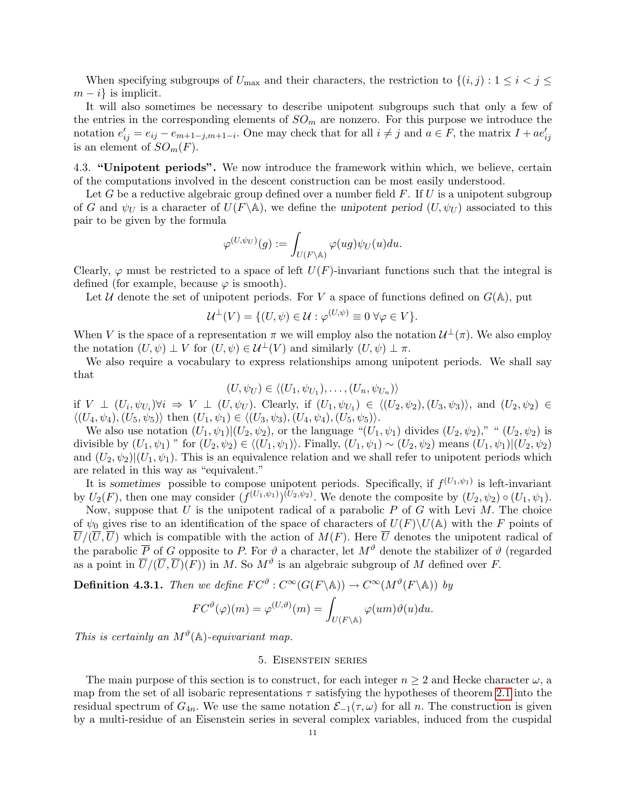When specifying subgroups of  $U_{\text{max}}$  and their characters, the restriction to  $\{(i, j) : 1 \le i \le j \le n\}$  $m - i$  is implicit.

It will also sometimes be necessary to describe unipotent subgroups such that only a few of the entries in the corresponding elements of  $SO_m$  are nonzero. For this purpose we introduce the notation  $e'_{ij} = e_{ij} - e_{m+1-j,m+1-i}$ . One may check that for all  $i \neq j$  and  $a \in F$ , the matrix  $I + ae'_{ij}$ is an element of  $SO_m(F)$ .

<span id="page-10-0"></span>4.3. "Unipotent periods". We now introduce the framework within which, we believe, certain of the computations involved in the descent construction can be most easily understood.

Let G be a reductive algebraic group defined over a number field  $F$ . If U is a unipotent subgroup of G and  $\psi_U$  is a character of  $U(F \backslash \mathbb{A})$ , we define the unipotent period  $(U, \psi_U)$  associated to this pair to be given by the formula

$$
\varphi^{(U,\psi_U)}(g):=\int_{U(F\backslash \mathbb{A})}\varphi(ug)\psi_U(u)du.
$$

Clearly,  $\varphi$  must be restricted to a space of left  $U(F)$ -invariant functions such that the integral is defined (for example, because  $\varphi$  is smooth).

Let U denote the set of unipotent periods. For V a space of functions defined on  $G(A)$ , put

$$
\mathcal{U}^{\perp}(V) = \{ (U, \psi) \in \mathcal{U} : \varphi^{(U, \psi)} \equiv 0 \,\forall \varphi \in V \}.
$$

When V is the space of a representation  $\pi$  we will employ also the notation  $\mathcal{U}^{\perp}(\pi)$ . We also employ the notation  $(U, \psi) \perp V$  for  $(U, \psi) \in \mathcal{U}^{\perp}(V)$  and similarly  $(U, \psi) \perp \pi$ .

We also require a vocabulary to express relationships among unipotent periods. We shall say that

$$
(U, \psi_U) \in \langle (U_1, \psi_{U_1}), \dots, (U_n, \psi_{U_n}) \rangle
$$

if  $V \perp (U_i, \psi_{U_i}) \forall i \Rightarrow V \perp (U, \psi_U)$ . Clearly, if  $(U_1, \psi_{U_1}) \in \langle (U_2, \psi_2), (U_3, \psi_3) \rangle$ , and  $(U_2, \psi_2) \in$  $\langle (U_4, \psi_4), (U_5, \psi_5) \rangle$  then  $(U_1, \psi_1) \in \langle (U_3, \psi_3), (U_4, \psi_4), (U_5, \psi_5) \rangle$ .

We also use notation  $(U_1, \psi_1)|(U_2, \psi_2)$ , or the language " $(U_1, \psi_1)$  divides  $(U_2, \psi_2)$ ," " $(U_2, \psi_2)$  is divisible by  $(U_1, \psi_1)$  " for  $(U_2, \psi_2) \in \langle (U_1, \psi_1) \rangle$ . Finally,  $(U_1, \psi_1) \sim (U_2, \psi_2)$  means  $(U_1, \psi_1)|(U_2, \psi_2)$ and  $(U_2, \psi_2)|(U_1, \psi_1)$ . This is an equivalence relation and we shall refer to unipotent periods which are related in this way as "equivalent."

It is sometimes possible to compose unipotent periods. Specifically, if  $f^{(U_1,\psi_1)}$  is left-invariant by  $U_2(F)$ , then one may consider  $(f^{(U_1,\psi_1)})(U_2,\psi_2)$ . We denote the composite by  $(U_2,\psi_2) \circ (U_1,\psi_1)$ .

Now, suppose that U is the unipotent radical of a parabolic  $P$  of G with Levi  $M$ . The choice of  $\psi_0$  gives rise to an identification of the space of characters of  $U(F)\setminus U(A)$  with the F points of  $\overline{U}/(\overline{U},\overline{U})$  which is compatible with the action of  $M(F)$ . Here  $\overline{U}$  denotes the unipotent radical of the parabolic  $\overline{P}$  of G opposite to P. For  $\vartheta$  a character, let  $M^{\vartheta}$  denote the stabilizer of  $\vartheta$  (regarded as a point in  $\overline{U}/(\overline{U}, \overline{U})(F)$  in M. So  $M^{\vartheta}$  is an algebraic subgroup of M defined over F.

<span id="page-10-2"></span>**Definition 4.3.1.** Then we define  $FC^{\vartheta} : C^{\infty}(G(F \backslash \mathbb{A})) \to C^{\infty}(M^{\vartheta}(F \backslash \mathbb{A}))$  by

$$
FC^{\vartheta}(\varphi)(m) = \varphi^{(U,\vartheta)}(m) = \int_{U(F \backslash \mathbb{A})} \varphi(um)\vartheta(u) du.
$$

This is certainly an  $M^{\vartheta}(\mathbb{A})$ -equivariant map.

### 5. Eisenstein series

<span id="page-10-1"></span>The main purpose of this section is to construct, for each integer  $n \geq 2$  and Hecke character  $\omega$ , a map from the set of all isobaric representations  $\tau$  satisfying the hypotheses of theorem [2.1](#page-3-2) into the residual spectrum of  $G_{4n}$ . We use the same notation  $\mathcal{E}_{-1}(\tau,\omega)$  for all n. The construction is given by a multi-residue of an Eisenstein series in several complex variables, induced from the cuspidal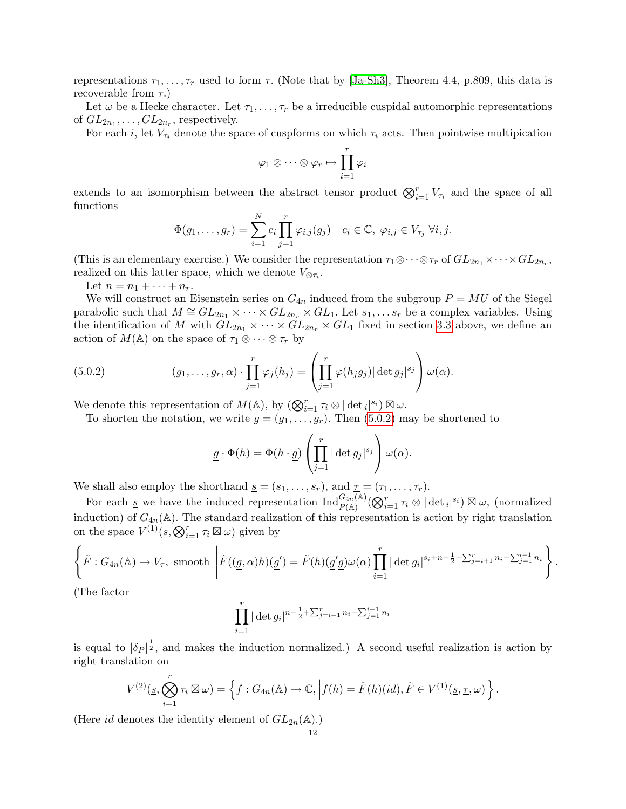representations  $\tau_1, \ldots, \tau_r$  used to form  $\tau$ . (Note that by [\[Ja-Sh3\]](#page-39-12), Theorem 4.4, p.809, this data is recoverable from  $\tau$ .)

Let  $\omega$  be a Hecke character. Let  $\tau_1, \ldots, \tau_r$  be a irreducible cuspidal automorphic representations of  $GL_{2n_1},\ldots, GL_{2n_r}$ , respectively.

For each i, let  $V_{\tau_i}$  denote the space of cuspforms on which  $\tau_i$  acts. Then pointwise multipication

$$
\varphi_1 \otimes \cdots \otimes \varphi_r \mapsto \prod_{i=1}^r \varphi_i
$$

extends to an isomorphism between the abstract tensor product  $\bigotimes_{i=1}^r V_{\tau_i}$  and the space of all functions

$$
\Phi(g_1,\ldots,g_r)=\sum_{i=1}^N c_i \prod_{j=1}^r \varphi_{i,j}(g_j) \quad c_i\in\mathbb{C}, \ \varphi_{i,j}\in V_{\tau_j} \ \forall i,j.
$$

(This is an elementary exercise.) We consider the representation  $\tau_1 \otimes \cdots \otimes \tau_r$  of  $GL_{2n_1} \times \cdots \times GL_{2n_r}$ , realized on this latter space, which we denote  $V_{\otimes \tau_i}$ .

Let  $n = n_1 + \cdots + n_r$ .

We will construct an Eisenstein series on  $G_{4n}$  induced from the subgroup  $P = MU$  of the Siegel parabolic such that  $M \cong GL_{2n_1} \times \cdots \times GL_{2n_r} \times GL_1$ . Let  $s_1, \ldots s_r$  be a complex variables. Using the identification of M with  $GL_{2n_1} \times \cdots \times GL_{2n_r} \times GL_1$  fixed in section [3.3](#page-4-1) above, we define an action of  $M(\mathbb{A})$  on the space of  $\tau_1 \otimes \cdots \otimes \tau_r$  by

(5.0.2) 
$$
(g_1,\ldots,g_r,\alpha)\cdot\prod_{j=1}^r\varphi_j(h_j)=\left(\prod_{j=1}^r\varphi(h_jg_j)|\det g_j|^{s_j}\right)\omega(\alpha).
$$

We denote this representation of  $M(\mathbb{A})$ , by  $(\bigotimes_{i=1}^r \tau_i \otimes |\det_i|^{s_i}) \boxtimes \omega$ .

To shorten the notation, we write  $g = (g_1, \ldots, g_r)$ . Then [\(5.0.2\)](#page-11-0) may be shortened to

<span id="page-11-0"></span>
$$
\underline{g} \cdot \Phi(\underline{h}) = \Phi(\underline{h} \cdot \underline{g}) \left( \prod_{j=1}^r |\det g_j|^{s_j} \right) \omega(\alpha).
$$

We shall also employ the shorthand  $\underline{s} = (s_1, \ldots, s_r)$ , and  $\underline{\tau} = (\tau_1, \ldots, \tau_r)$ .

For each <u>s</u> we have the induced representation  $\text{Ind}_{P(\mathbb{A})}^{G_{4n}(\mathbb{A})}(\bigotimes_{i=1}^{r}\tau_{i}\otimes|\det_{i}|^{s_{i}})\boxtimes \omega$ , (normalized induction) of  $G_{4n}(\mathbb{A})$ . The standard realization of this representation is action by right translation on the space  $V^{(1)}(\underline{s}, \bigotimes_{i=1}^r \tau_i \boxtimes \omega)$  given by

$$
\left\{\tilde{F}: G_{4n}(\mathbb{A}) \to V_{\tau}, \text{ smooth }\left|\tilde{F}((\underline{g}, \alpha)h)(\underline{g}') = \tilde{F}(h)(\underline{g}'\underline{g})\omega(\alpha) \prod_{i=1}^r |\det g_i|^{s_i+n-\frac{1}{2}+\sum_{j=i+1}^r n_j-\sum_{j=1}^{i-1} n_i}\right\}.
$$

(The factor

$$
\prod_{i=1}^{r} |\det g_i|^{n-\frac{1}{2} + \sum_{j=i+1}^{r} n_i - \sum_{j=1}^{i-1} n_i}
$$

is equal to  $|\delta_P|^{\frac{1}{2}}$ , and makes the induction normalized.) A second useful realization is action by right translation on

$$
V^{(2)}(\underline{s}, \bigotimes_{i=1}^r \tau_i \boxtimes \omega) = \left\{ f : G_{4n}(\mathbb{A}) \to \mathbb{C}, \Big| f(h) = \tilde{F}(h)(id), \tilde{F} \in V^{(1)}(\underline{s}, \underline{\tau}, \omega) \right\}.
$$

(Here id denotes the identity element of  $GL_{2n}(\mathbb{A}).$ )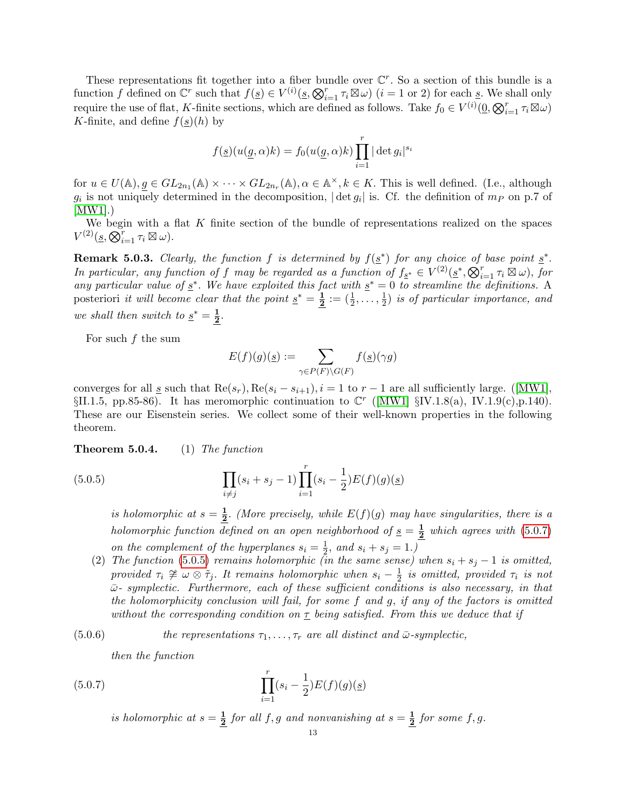These representations fit together into a fiber bundle over  $\mathbb{C}^r$ . So a section of this bundle is a function f defined on  $\mathbb{C}^r$  such that  $f(\underline{s}) \in V^{(i)}(\underline{s}, \bigotimes_{i=1}^r \tau_i \boxtimes \omega)$   $(i = 1 \text{ or } 2)$  for each  $\underline{s}$ . We shall only require the use of flat, K-finite sections, which are defined as follows. Take  $f_0 \in V^{(i)}(\underline{0}, \bigotimes_{i=1}^r \tau_i \boxtimes \omega)$ K-finite, and define  $f(s)(h)$  by

$$
f(\underline{s})(u(\underline{g}, \alpha)k) = f_0(u(\underline{g}, \alpha)k) \prod_{i=1}^r |\det g_i|^{s_i}
$$

for  $u \in U(\mathbb{A}), g \in GL_{2n_1}(\mathbb{A}) \times \cdots \times GL_{2n_r}(\mathbb{A}), \alpha \in \mathbb{A}^{\times}, k \in K$ . This is well defined. (I.e., although  $g_i$  is not uniquely determined in the decomposition,  $|\det g_i|$  is. Cf. the definition of  $m_P$  on p.7 of  $|MW1|$ .)

We begin with a flat  $K$  finite section of the bundle of representations realized on the spaces  $V^{(2)}(\underline{s}, \overline{\mathcal{Q}}_{i=1}^r \tau_i \boxtimes \omega).$ 

**Remark 5.0.3.** Clearly, the function f is determined by  $f(\underline{s}^*)$  for any choice of base point  $\underline{s}^*$ . In particular, any function of f may be regarded as a function of  $f_{\underline{s}^*} \in V^{(2)}(\underline{s}^*, \bigotimes_{i=1}^r \tau_i \boxtimes \omega)$ , for any particular value of  $\underline{s}^*$ . We have exploited this fact with  $\underline{s}^* = 0$  to streamline the definitions. A posteriori *it will become clear that the point*  $\underline{s}^* = \frac{1}{2}$  $\frac{\mathbf{1}}{\mathbf{2}}:=(\frac{1}{2},\ldots,\frac{1}{2}% ,\ldots,(\frac{1}{2},\ldots))$  $\frac{1}{2}$ ) is of particular importance, and we shall then switch to  $s^* = \frac{1}{2}$  $\frac{1}{2}$ .

For such  $f$  the sum

$$
E(f)(g)(\underline{s}) := \sum_{\gamma \in P(F) \backslash G(F)} f(\underline{s})(\gamma g)
$$

convergesfor all s such that  $\text{Re}(s_r)$ ,  $\text{Re}(s_i - s_{i+1})$ ,  $i = 1$  to  $r - 1$  are all sufficiently large. ([\[MW1\]](#page-39-11),  $\S II.1.5, pp.85-86$ ). It has meromorphic continuation to  $\mathbb{C}^r$  ([\[MW1\]](#page-39-11)  $\S IV.1.8(a)$ , IV.1.9(c), p.140). These are our Eisenstein series. We collect some of their well-known properties in the following theorem.

<span id="page-12-0"></span>**Theorem 5.0.4.** (1) The function

(5.0.5) 
$$
\prod_{i \neq j} (s_i + s_j - 1) \prod_{i=1}^r (s_i - \frac{1}{2}) E(f)(g)(\underline{s})
$$

<span id="page-12-2"></span>is holomorphic at  $s=\frac{1}{2}$  $\frac{1}{2}$ . (More precisely, while  $E(f)(g)$  may have singularities, there is a holomorphic function defined on an open neighborhood of  $s = \frac{1}{2}$  $\frac{1}{2}$  which agrees with [\(5.0.7\)](#page-12-1) on the complement of the hyperplanes  $s_i = \frac{1}{2}$  $\frac{1}{2}$ , and  $s_i + s_j = 1$ .)

<span id="page-12-4"></span>(2) The function [\(5.0.5\)](#page-12-2) remains holomorphic (in the same sense) when  $s_i + s_j - 1$  is omitted, provided  $\tau_i \not\cong \omega \otimes \tilde{\tau}_j$ . It remains holomorphic when  $s_i - \frac{1}{2}$  $\frac{1}{2}$  is omitted, provided  $\tau_i$  is not  $\bar{\omega}$ - symplectic. Furthermore, each of these sufficient conditions is also necessary, in that the holomorphicity conclusion will fail, for some f and g, if any of the factors is omitted without the corresponding condition on  $\tau$  being satisfied. From this we deduce that if

(5.0.6) *the representations* 
$$
\tau_1, \ldots, \tau_r
$$
 *are all distinct and*  $\bar{\omega}$ *-symplectic,*

<span id="page-12-3"></span><span id="page-12-1"></span>then the function

(5.0.7) 
$$
\prod_{i=1}^{r} (s_i - \frac{1}{2}) E(f)(g)(\underline{s})
$$

is holomorphic at  $s=\frac{1}{2}$  $\frac{1}{2}$  for all f, g and nonvanishing at  $s=\frac{1}{2}$  $\frac{1}{2}$  for some f, g.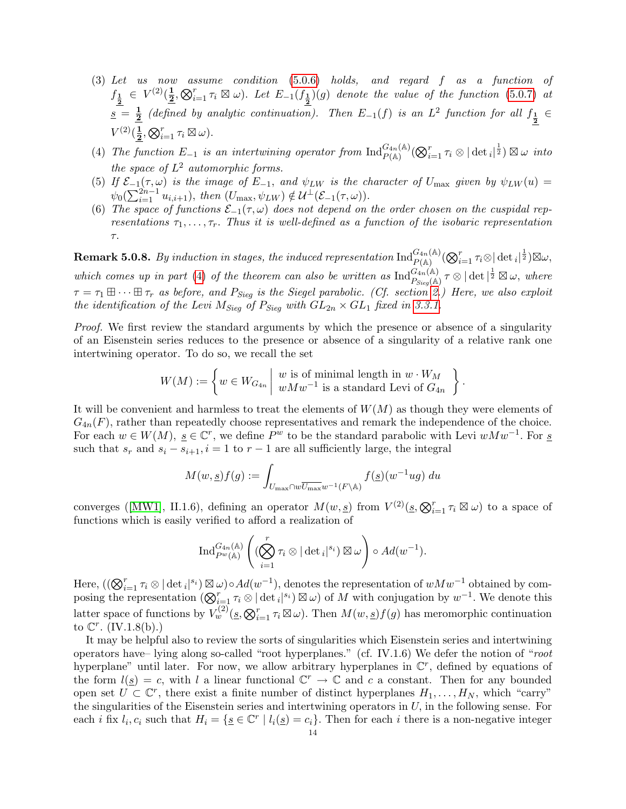- <span id="page-13-1"></span>(3) Let us now assume condition [\(5.0.6\)](#page-12-3) holds, and regard f as a function of  $f_{\frac{1}{2}} \in V^{(2)}(\frac{1}{2})$  $\frac{1}{2}, \bigotimes_{i=1}^r \tau_i \boxtimes \omega$ ). Let  $E_{-1}(f_{\frac{1}{2}})(g)$  denote the value of the function [\(5.0.7\)](#page-12-1) at  $s = \frac{1}{2}$  $\frac{1}{2}$  (defined by analytic continuation). Then  $E_{-1}(f)$  is an  $L^2$  function for all  $f_{\frac{1}{2}} \in$  $V^{(2)}(\frac{1}{2})$  $\frac{1}{2}, \bigotimes_{i=1}^r \tau_i \boxtimes \omega$ ).
- <span id="page-13-0"></span>(4) The function  $E_{-1}$  is an intertwining operator from  $\text{Ind}_{P(\mathbb{A})}^{G_{4n}(\mathbb{A})}(\bigotimes_{i=1}^{r} \tau_i \otimes |\det_i|^{\frac{1}{2}}) \boxtimes \omega$  into the space of  $L^2$  automorphic forms.
- <span id="page-13-2"></span>(5) If  $\mathcal{E}_{-1}(\tau,\omega)$  is the image of  $E_{-1}$ , and  $\psi_{LW}$  is the character of  $U_{\text{max}}$  given by  $\psi_{LW}(u)$  $\psi_0(\sum_{i=1}^{2n-1} u_{i,i+1}), \text{ then } (U_{\text{max}}, \psi_{LW}) \notin \mathcal{U}^{\perp}(\mathcal{E}_{-1}(\tau, \omega)).$
- <span id="page-13-3"></span>(6) The space of functions  $\mathcal{E}_{-1}(\tau,\omega)$  does not depend on the order chosen on the cuspidal representations  $\tau_1, \ldots, \tau_r$ . Thus it is well-defined as a function of the isobaric representation τ.

<span id="page-13-4"></span> ${\bf Remark~5.0.8.}~~By~induction~in~stages,~the~induced~representation~\text{Ind}_{P(\mathbb{A})}^{G_{4n}(\mathbb{A})}(\bigotimes_{i=1}^{r}\tau_{i}\otimes|\det{}_{i}|^{\frac{1}{2}})\boxtimes\omega,$ which comes up in part [\(4\)](#page-13-0) of the theorem can also be written as  $\text{Ind}_{P_{\text{Sieg}}(\mathbb{A})}^{G_{4n}(\mathbb{A})} \tau \otimes |\det|^{\frac{1}{2}} \boxtimes \omega$ , where  $\tau = \tau_1 \boxplus \cdots \boxplus \tau_r$  as before, and  $P_{\text{Sieg}}$  is the Siegel parabolic. (Cf. section [2.](#page-3-3)) Here, we also exploit the identification of the Levi  $M_{\text{Sieg}}$  of  $P_{\text{Sieg}}$  with  $GL_{2n} \times GL_1$  fixed in [3.3.1.](#page-5-0)

Proof. We first review the standard arguments by which the presence or absence of a singularity of an Eisenstein series reduces to the presence or absence of a singularity of a relative rank one intertwining operator. To do so, we recall the set

$$
W(M) := \left\{ w \in W_{G_{4n}} \mid \begin{array}{c} w \text{ is of minimal length in } w \cdot W_M \\ w M w^{-1} \text{ is a standard Levi of } G_{4n} \end{array} \right\}.
$$

It will be convenient and harmless to treat the elements of  $W(M)$  as though they were elements of  $G_{4n}(F)$ , rather than repeatedly choose representatives and remark the independence of the choice. For each  $w \in W(M)$ ,  $s \in \mathbb{C}^r$ , we define  $P^w$  to be the standard parabolic with Levi  $wMw^{-1}$ . For s such that  $s_r$  and  $s_i - s_{i+1}$ ,  $i = 1$  to  $r - 1$  are all sufficiently large, the integral

$$
M(w, \underline{s}) f(g) := \int_{U_{\max} \cap w \overline{U_{\max}}} w^{-1}(F \backslash \mathbb{A})} f(\underline{s}) (w^{-1}ug) \, du
$$

converges([\[MW1\]](#page-39-11), II.1.6), defining an operator  $M(w, s)$  from  $V^{(2)}(s, \mathcal{Q}_{i=1}^r \tau_i \boxtimes \omega)$  to a space of functions which is easily verified to afford a realization of

$$
\operatorname{Ind}_{P^w(\mathbb{A})}^{G_{4n}(\mathbb{A})} \left( (\bigotimes_{i=1}^r \tau_i \otimes |\det_i|^{s_i}) \boxtimes \omega \right) \circ Ad(w^{-1}).
$$

Here,  $((\bigotimes_{i=1}^r \tau_i \otimes |\det_i|^{s_i}) \boxtimes \omega) \circ Ad(w^{-1}),$  denotes the representation of  $wMw^{-1}$  obtained by composing the representation  $(\bigotimes_{i=1}^r \tau_i \otimes |\det_i|^{s_i}) \boxtimes \omega$  of M with conjugation by  $w^{-1}$ . We denote this latter space of functions by  $V_w^{(2)}(\underline{s}, \bigotimes_{i=1}^r \tau_i \boxtimes \omega)$ . Then  $M(w, \underline{s})f(g)$  has meromorphic continuation to  $\mathbb{C}^r$ . (IV.1.8(b).)

It may be helpful also to review the sorts of singularities which Eisenstein series and intertwining operators have– lying along so-called "root hyperplanes." (cf. IV.1.6) We defer the notion of "root hyperplane" until later. For now, we allow arbitrary hyperplanes in  $\mathbb{C}^r$ , defined by equations of the form  $l(\underline{s}) = c$ , with l a linear functional  $\mathbb{C}^r \to \mathbb{C}$  and c a constant. Then for any bounded open set  $\overrightarrow{U} \subset \mathbb{C}^r$ , there exist a finite number of distinct hyperplanes  $H_1, \ldots, H_N$ , which "carry" the singularities of the Eisenstein series and intertwining operators in  $U$ , in the following sense. For each *i* fix  $l_i$ ,  $c_i$  such that  $H_i = \{ \underline{s} \in \mathbb{C}^r \mid l_i(\underline{s}) = c_i \}.$  Then for each *i* there is a non-negative integer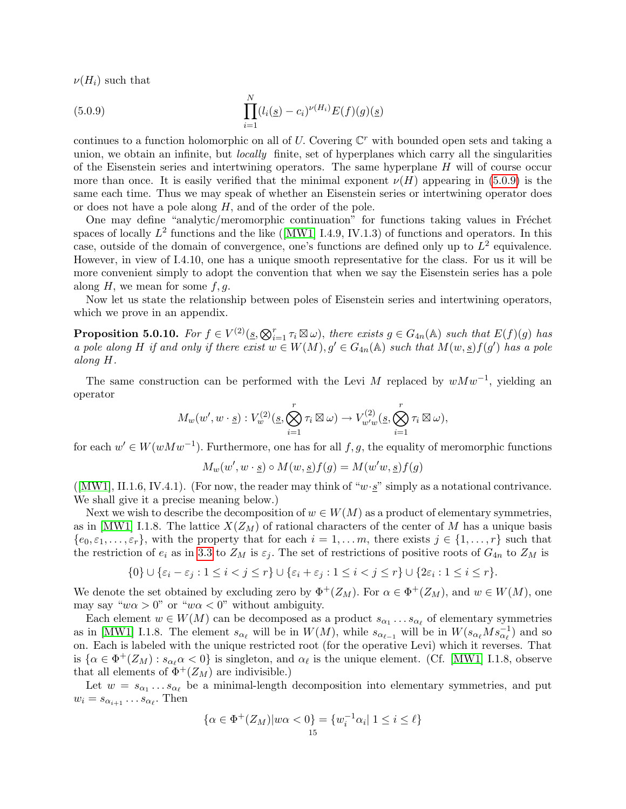$\nu(H_i)$  such that

<span id="page-14-1"></span>(5.0.9) 
$$
\prod_{i=1}^{N} (l_i(\underline{s}) - c_i)^{\nu(H_i)} E(f)(g)(\underline{s})
$$

continues to a function holomorphic on all of U. Covering  $\mathbb{C}^r$  with bounded open sets and taking a union, we obtain an infinite, but *locally* finite, set of hyperplanes which carry all the singularities of the Eisenstein series and intertwining operators. The same hyperplane  $H$  will of course occur more than once. It is easily verified that the minimal exponent  $\nu(H)$  appearing in [\(5.0.9\)](#page-14-1) is the same each time. Thus we may speak of whether an Eisenstein series or intertwining operator does or does not have a pole along  $H$ , and of the order of the pole.

One may define "analytic/meromorphic continuation" for functions taking values in Fréchet spacesof locally  $L^2$  functions and the like ([\[MW1\]](#page-39-11) I.4.9, IV.1.3) of functions and operators. In this case, outside of the domain of convergence, one's functions are defined only up to  $L^2$  equivalence. However, in view of I.4.10, one has a unique smooth representative for the class. For us it will be more convenient simply to adopt the convention that when we say the Eisenstein series has a pole along  $H$ , we mean for some  $f, g$ .

Now let us state the relationship between poles of Eisenstein series and intertwining operators, which we prove in an appendix.

<span id="page-14-0"></span>**Proposition 5.0.10.** For  $f \in V^{(2)}(\underline{s}, \bigotimes_{i=1}^r \tau_i \boxtimes \omega)$ , there exists  $g \in G_{4n}(\mathbb{A})$  such that  $E(f)(g)$  has a pole along H if and only if there exist  $w \in W(M)$ ,  $g' \in G_{4n}(\mathbb{A})$  such that  $M(w, s) f(g')$  has a pole along H.

The same construction can be performed with the Levi M replaced by  $wMw^{-1}$ , yielding an operator

$$
M_w(w', w \cdot \underline{s}) : V_w^{(2)}(\underline{s}, \bigotimes_{i=1}^r \tau_i \boxtimes \omega) \to V_{w'w}^{(2)}(\underline{s}, \bigotimes_{i=1}^r \tau_i \boxtimes \omega),
$$

for each  $w' \in W(wMw^{-1})$ . Furthermore, one has for all  $f, g$ , the equality of meromorphic functions

$$
M_w(w', w \cdot \underline{s}) \circ M(w, \underline{s}) f(g) = M(w'w, \underline{s}) f(g)
$$

 $([MWI], II.1.6, IV.4.1)$ . (For now, the reader may think of "w·s" simply as a notational contrivance. We shall give it a precise meaning below.)

Next we wish to describe the decomposition of  $w \in W(M)$  as a product of elementary symmetries, as in [\[MW1\]](#page-39-11) I.1.8. The lattice  $X(Z_M)$  of rational characters of the center of M has a unique basis  ${e_0, \varepsilon_1, \ldots, \varepsilon_r}$ , with the property that for each  $i = 1, \ldots, m$ , there exists  $j \in \{1, \ldots, r\}$  such that the restriction of  $e_i$  as in [3.3](#page-4-1) to  $Z_M$  is  $\varepsilon_j$ . The set of restrictions of positive roots of  $G_{4n}$  to  $Z_M$  is

$$
\{0\} \cup \{\varepsilon_i - \varepsilon_j : 1 \leq i < j \leq r\} \cup \{\varepsilon_i + \varepsilon_j : 1 \leq i < j \leq r\} \cup \{2\varepsilon_i : 1 \leq i \leq r\}.
$$

We denote the set obtained by excluding zero by  $\Phi^+(Z_M)$ . For  $\alpha \in \Phi^+(Z_M)$ , and  $w \in W(M)$ , one may say " $w\alpha > 0$ " or " $w\alpha < 0$ " without ambiguity.

Each element  $w \in W(M)$  can be decomposed as a product  $s_{\alpha_1} \dots s_{\alpha_\ell}$  of elementary symmetries as in [\[MW1\]](#page-39-11) I.1.8. The element  $s_{\alpha_\ell}$  will be in  $W(M)$ , while  $s_{\alpha_{\ell-1}}$  will be in  $W(s_{\alpha_\ell}Ms_{\alpha_\ell}^{-1})$  and so on. Each is labeled with the unique restricted root (for the operative Levi) which it reverses. That is  $\{\alpha \in \Phi^+(Z_M) : s_{\alpha_\ell} \alpha < 0\}$  is singleton, and  $\alpha_\ell$  is the unique element. (Cf. [\[MW1\]](#page-39-11) I.1.8, observe that all elements of  $\Phi^+(Z_M)$  are indivisible.)

Let  $w = s_{\alpha_1} \dots s_{\alpha_\ell}$  be a minimal-length decomposition into elementary symmetries, and put  $w_i = s_{\alpha_{i+1}} \dots s_{\alpha_{\ell}}$ . Then

$$
\{\alpha \in \Phi^+(Z_M)|w\alpha < 0\} = \{w_i^{-1}\alpha_i | 1 \le i \le \ell\}
$$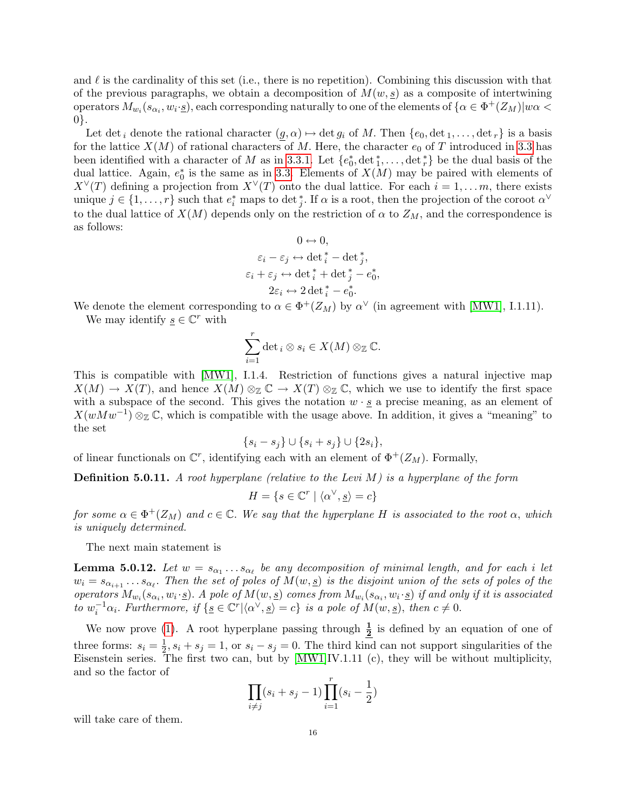and  $\ell$  is the cardinality of this set (i.e., there is no repetition). Combining this discussion with that of the previous paragraphs, we obtain a decomposition of  $M(w, s)$  as a composite of intertwining operators  $M_{w_i}(s_{\alpha_i},w_i\cdot\underline{s})$ , each corresponding naturally to one of the elements of  $\{\alpha\in\Phi^+(Z_M)|w\alpha<\pi\}$ 0}.

Let det<sub>i</sub> denote the rational character  $(g, \alpha) \mapsto \det g_i$  of M. Then  $\{e_0, \det_1, \ldots, \det_r\}$  is a basis for the lattice  $X(M)$  of rational characters of M. Here, the character  $e_0$  of T introduced in [3.3](#page-4-1) has been identified with a character of M as in [3.3.1.](#page-5-0) Let  $\{e_0^*, \det_1^*, \ldots, \det_r^*\}$  be the dual basis of the dual lattice. Again,  $e_0^*$  is the same as in [3.3.](#page-4-1) Elements of  $X(M)$  may be paired with elements of  $X^{\vee}(T)$  defining a projection from  $X^{\vee}(T)$  onto the dual lattice. For each  $i = 1, \ldots m$ , there exists unique  $j \in \{1, \ldots, r\}$  such that  $e_i^*$  maps to det  $_j^*$ . If  $\alpha$  is a root, then the projection of the coroot  $\alpha^{\vee}$ to the dual lattice of  $X(M)$  depends only on the restriction of  $\alpha$  to  $Z_M$ , and the correspondence is as follows:

$$
0 \leftrightarrow 0,
$$
  
\n
$$
\varepsilon_i - \varepsilon_j \leftrightarrow \det_i^* - \det_j^*,
$$
  
\n
$$
\varepsilon_i + \varepsilon_j \leftrightarrow \det_i^* + \det_j^* - e_0^*,
$$
  
\n
$$
2\varepsilon_i \leftrightarrow 2 \det_i^* - e_0^*.
$$

We denote the element corresponding to  $\alpha \in \Phi^+(Z_M)$  by  $\alpha^{\vee}$  (in agreement with [\[MW1\]](#page-39-11), I.1.11). We may identify  $\underline{s} \in \mathbb{C}^r$  with

$$
\sum_{i=1}^r \det_i \otimes s_i \in X(M) \otimes_{\mathbb{Z}} \mathbb{C}.
$$

This is compatible with [\[MW1\]](#page-39-11), I.1.4. Restriction of functions gives a natural injective map  $X(M) \to X(T)$ , and hence  $X(M) \otimes_{\mathbb{Z}} \mathbb{C} \to X(T) \otimes_{\mathbb{Z}} \mathbb{C}$ , which we use to identify the first space with a subspace of the second. This gives the notation  $w \cdot g$  a precise meaning, as an element of  $X(wMw^{-1})\otimes_{\mathbb{Z}}\mathbb{C}$ , which is compatible with the usage above. In addition, it gives a "meaning" to the set

$$
\{s_i - s_j\} \cup \{s_i + s_j\} \cup \{2s_i\},\
$$

of linear functionals on  $\mathbb{C}^r$ , identifying each with an element of  $\Phi^+(Z_M)$ . Formally,

**Definition 5.0.11.** A root hyperplane (relative to the Levi M) is a hyperplane of the form

$$
H = \{ s \in \mathbb{C}^r \mid \langle \alpha^\vee, \underline{s} \rangle = c \}
$$

for some  $\alpha \in \Phi^+(Z_M)$  and  $c \in \mathbb{C}$ . We say that the hyperplane H is associated to the root  $\alpha$ , which is uniquely determined.

The next main statement is

<span id="page-15-0"></span>**Lemma 5.0.12.** Let  $w = s_{\alpha_1} \ldots s_{\alpha_\ell}$  be any decomposition of minimal length, and for each i let  $w_i = s_{\alpha_{i+1}} \dots s_{\alpha_{\ell}}$ . Then the set of poles of  $M(w, \underline{s})$  is the disjoint union of the sets of poles of the operators  $M_{w_i}(s_{\alpha_i}, w_i \cdot \underline{s})$ . A pole of  $M(w, \underline{s})$  comes from  $M_{w_i}(s_{\alpha_i}, w_i \cdot \underline{s})$  if and only if it is associated to  $w_i^{-1}\alpha_i$ . Furthermore, if  $\{g \in \mathbb{C}^r | \langle \alpha^\vee, g \rangle = c\}$  is a pole of  $M(w, s)$ , then  $c \neq 0$ .

We now prove [\(1\)](#page-12-2). A root hyperplane passing through  $\frac{1}{2}$  is defined by an equation of one of three forms:  $s_i = \frac{1}{2}$  $\frac{1}{2}$ ,  $s_i + s_j = 1$ , or  $s_i - s_j = 0$ . The third kind can not support singularities of the Eisenstein series. The first two can, but by [\[MW1\]](#page-39-11)IV.1.11 (c), they will be without multiplicity, and so the factor of

$$
\prod_{i \neq j} (s_i + s_j - 1) \prod_{i=1}^r (s_i - \frac{1}{2})
$$

will take care of them.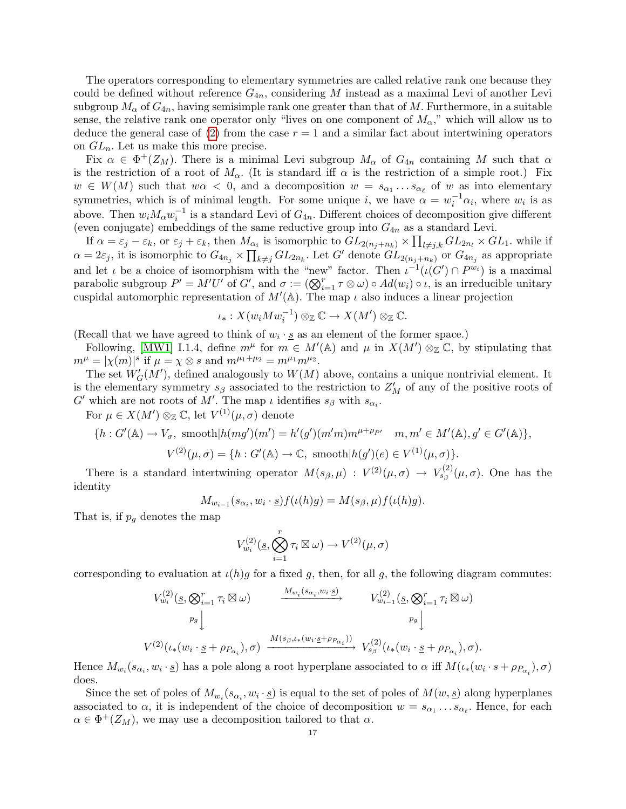The operators corresponding to elementary symmetries are called relative rank one because they could be defined without reference  $G_{4n}$ , considering M instead as a maximal Levi of another Levi subgroup  $M_{\alpha}$  of  $G_{4n}$ , having semisimple rank one greater than that of M. Furthermore, in a suitable sense, the relative rank one operator only "lives on one component of  $M_{\alpha}$ ," which will allow us to deduce the general case of [\(2\)](#page-12-4) from the case  $r = 1$  and a similar fact about intertwining operators on  $GL_n$ . Let us make this more precise.

Fix  $\alpha \in \Phi^+(Z_M)$ . There is a minimal Levi subgroup  $M_\alpha$  of  $G_{4n}$  containing M such that  $\alpha$ is the restriction of a root of  $M_{\alpha}$ . (It is standard iff  $\alpha$  is the restriction of a simple root.) Fix  $w \in W(M)$  such that  $w\alpha < 0$ , and a decomposition  $w = s_{\alpha_1} \dots s_{\alpha_\ell}$  of w as into elementary symmetries, which is of minimal length. For some unique i, we have  $\alpha = w_i^{-1} \alpha_i$ , where  $w_i$  is as above. Then  $w_i M_\alpha w_i^{-1}$  is a standard Levi of  $G_{4n}$ . Different choices of decomposition give different (even conjugate) embeddings of the same reductive group into  $G_{4n}$  as a standard Levi.

If  $\alpha = \varepsilon_j - \varepsilon_k$ , or  $\varepsilon_j + \varepsilon_k$ , then  $M_{\alpha_i}$  is isomorphic to  $GL_{2(n_j+n_k)} \times \prod_{l \neq j,k} GL_{2n_l} \times GL_1$ . while if  $\alpha = 2\varepsilon_j$ , it is isomorphic to  $G_{4n_j} \times \prod_{k \neq j} GL_{2n_k}$ . Let G' denote  $GL_{2(n_j+n_k)}$  or  $G_{4n_j}$  as appropriate and let  $\iota$  be a choice of isomorphism with the "new" factor. Then  $\iota^{-1}(\iota(G') \cap P^{w_i})$  is a maximal parabolic subgroup  $P' = M'U'$  of G', and  $\sigma := (\bigotimes_{i=1}^r \tau \otimes \omega) \circ Ad(w_i) \circ \iota$ , is an irreducible unitary cuspidal automorphic representation of  $M'(\mathbb{A})$ . The map  $\iota$  also induces a linear projection

$$
\iota_*: X(w_i M w_i^{-1}) \otimes_{\mathbb{Z}} \mathbb{C} \to X(M') \otimes_{\mathbb{Z}} \mathbb{C}.
$$

(Recall that we have agreed to think of  $w_i \cdot \underline{s}$  as an element of the former space.)

Following, [\[MW1\]](#page-39-11) I.1.4, define  $m^{\mu}$  for  $m \in M'(\mathbb{A})$  and  $\mu$  in  $X(M') \otimes_{\mathbb{Z}} \mathbb{C}$ , by stipulating that  $m^{\mu} = |\chi(m)|^s$  if  $\mu = \chi \otimes s$  and  $m^{\mu_1 + \mu_2} = m^{\mu_1} m^{\mu_2}$ .

The set  $W'_{G}(M')$ , defined analogously to  $W(M)$  above, contains a unique nontrivial element. It is the elementary symmetry  $s_\beta$  associated to the restriction to  $Z_M'$  of any of the positive roots of  $G'$  which are not roots of M'. The map  $\iota$  identifies  $s_{\beta}$  with  $s_{\alpha_i}$ .

For  $\mu \in X(M')\otimes_{\mathbb{Z}} \mathbb{C}$ , let  $V^{(1)}(\mu, \sigma)$  denote

$$
\{h: G'(\mathbb{A}) \to V_{\sigma}, \text{ smooth}|h(mg')(m') = h'(g')(m'm)m^{\mu+\rho_{P'}} \quad m, m' \in M'(\mathbb{A}), g' \in G'(\mathbb{A})\},\
$$

$$
V^{(2)}(\mu, \sigma) = \{h: G'(\mathbb{A}) \to \mathbb{C}, \text{ smooth}|h(g')(e) \in V^{(1)}(\mu, \sigma)\}.
$$

There is a standard intertwining operator  $M(s_{\beta}, \mu) : V^{(2)}(\mu, \sigma) \to V^{(2)}_{s_{\beta}}(\mu, \sigma)$ . One has the identity

$$
M_{w_{i-1}}(s_{\alpha_i}, w_i \cdot \underline{s}) f(\iota(h)g) = M(s_{\beta}, \mu) f(\iota(h)g).
$$

That is, if  $p_q$  denotes the map

$$
V_{w_i}^{(2)}(\underline{s}, \bigotimes_{i=1}^r \tau_i \boxtimes \omega) \to V^{(2)}(\mu, \sigma)
$$

corresponding to evaluation at  $\iota(h)q$  for a fixed g, then, for all g, the following diagram commutes:

$$
V_{w_i}^{(2)}(s, \bigotimes_{i=1}^r \tau_i \boxtimes \omega) \longrightarrow V_{w_{i-1}}^{(2)}(s, \bigotimes_{i=1}^r \tau_i \boxtimes \omega)
$$
  
\n
$$
V_{w_{i-1}}^{(2)}(s, \bigotimes_{i=1}^r \tau_i \boxtimes \omega)
$$
  
\n
$$
V_{w_{i-1}}^{(2)}(s, \bigotimes_{i=1}^r \tau_i \boxtimes \omega)
$$
  
\n
$$
V_{w_{i-1}}^{(2)}(s, \bigotimes_{i=1}^r \tau_i \boxtimes \omega)
$$
  
\n
$$
V_{w_{i-1}}^{(2)}(s, \bigotimes_{i=1}^r \tau_i \boxtimes \omega)
$$

Hence  $M_{w_i}(s_{\alpha_i}, w_i \cdot \underline{s})$  has a pole along a root hyperplane associated to  $\alpha$  iff  $M(\iota_*(w_i \cdot s + \rho_{P_{\alpha_i}}), \sigma)$ does.

Since the set of poles of  $M_{w_i}(s_{\alpha_i}, w_i \cdot \underline{s})$  is equal to the set of poles of  $M(w, \underline{s})$  along hyperplanes associated to  $\alpha$ , it is independent of the choice of decomposition  $w = s_{\alpha_1} \dots s_{\alpha_\ell}$ . Hence, for each  $\alpha \in \Phi^+(Z_M)$ , we may use a decomposition tailored to that  $\alpha$ .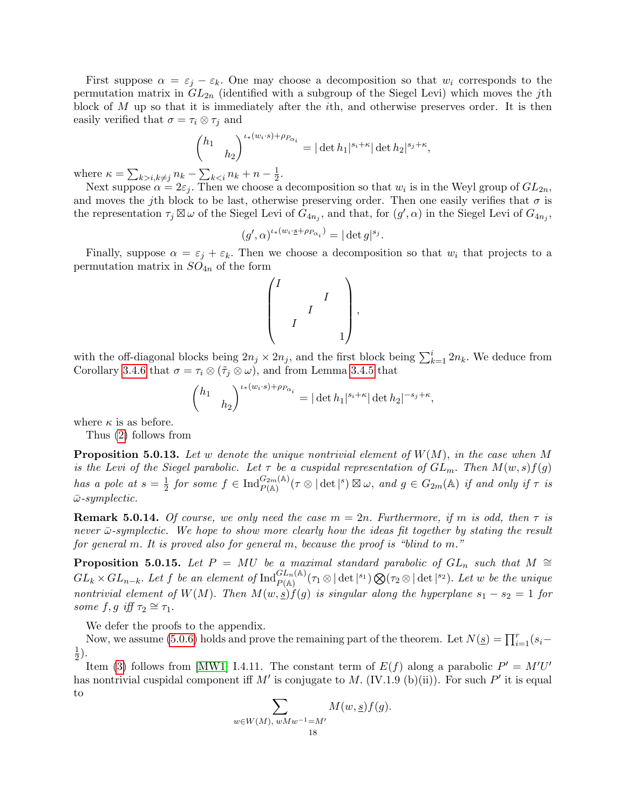First suppose  $\alpha = \varepsilon_j - \varepsilon_k$ . One may choose a decomposition so that  $w_i$  corresponds to the permutation matrix in  $GL_{2n}$  (identified with a subgroup of the Siegel Levi) which moves the jth block of  $M$  up so that it is immediately after the *i*th, and otherwise preserves order. It is then easily verified that  $\sigma = \tau_i \otimes \tau_j$  and

$$
\begin{pmatrix} h_1 & \cdots & h_2 \end{pmatrix}^{i_*(w_i \cdot s) + \rho_{P_{\alpha_i}}} = |\det h_1|^{s_i + \kappa} |\det h_2|^{s_j + \kappa}
$$

,

where  $\kappa = \sum_{k>i, k\neq j} n_k - \sum_{k$  $\frac{1}{2}$ .

Next suppose  $\alpha = 2\varepsilon_j$ . Then we choose a decomposition so that  $w_i$  is in the Weyl group of  $GL_{2n}$ , and moves the jth block to be last, otherwise preserving order. Then one easily verifies that  $\sigma$  is the representation  $\tau_j \boxtimes \omega$  of the Siegel Levi of  $G_{4n_j}$ , and that, for  $(g', \alpha)$  in the Siegel Levi of  $G_{4n_j}$ ,

$$
(g', \alpha)^{\iota \cdot (w_i \cdot \underline{s} + \rho_{P_{\alpha_i}})} = |\det g|^{s_j}.
$$

Finally, suppose  $\alpha = \varepsilon_i + \varepsilon_k$ . Then we choose a decomposition so that  $w_i$  that projects to a permutation matrix in  $SO_{4n}$  of the form

$$
\begin{pmatrix} I & & & \\ & & I & \\ & & I & \\ & & I & \\ & & & 1 \end{pmatrix},
$$

with the off-diagonal blocks being  $2n_j \times 2n_j$ , and the first block being  $\sum_{k=1}^{i} 2n_k$ . We deduce from Corollary [3.4.6](#page-8-0) that  $\sigma = \tau_i \otimes (\tilde{\tau}_i \otimes \omega)$ , and from Lemma [3.4.5](#page-8-1) that

$$
\binom{h_1}{h_2}^{\iota_*(w_i \cdot s) + \rho_{P_{\alpha_i}}}= |\det h_1|^{s_i + \kappa} |\det h_2|^{-s_j + \kappa},
$$

where  $\kappa$  is as before.

Thus [\(2\)](#page-12-4) follows from

<span id="page-17-0"></span>**Proposition 5.0.13.** Let w denote the unique nontrivial element of  $W(M)$ , in the case when M is the Levi of the Siegel parabolic. Let  $\tau$  be a cuspidal representation of  $GL_m$ . Then  $M(w, s) f(g)$ has a pole at  $s=\frac{1}{2}$  $\frac{1}{2}$  for some  $f \in \text{Ind}_{P(\mathbb{A})}^{G_{2m}(\mathbb{A})}(\tau \otimes |\det|^s) \boxtimes \omega$ , and  $g \in G_{2m}(\mathbb{A})$  if and only if  $\tau$  is  $\bar{\omega}$ -symplectic.

**Remark 5.0.14.** Of course, we only need the case  $m = 2n$ . Furthermore, if m is odd, then  $\tau$  is never  $\bar{\omega}$ -symplectic. We hope to show more clearly how the ideas fit together by stating the result for general m. It is proved also for general m, because the proof is "blind to m."

<span id="page-17-1"></span>**Proposition 5.0.15.** Let P = MU be a maximal standard parabolic of  $GL_n$  such that M ≅  $GL_k \times GL_{n-k}$ . Let f be an element of  $\text{Ind}_{P(\mathbb{A})}^{GL_n(\mathbb{A})}(\tau_1 \otimes |\det|^{s_1}) \bigotimes (\tau_2 \otimes |\det|^{s_2})$ . Let w be the unique nontrivial element of W(M). Then  $M(w, \underline{s})f(g)$  is singular along the hyperplane  $s_1 - s_2 = 1$  for some  $f, g \text{ iff } \tau_2 \cong \tau_1$ .

We defer the proofs to the appendix.

Now, we assume [\(5.0.6\)](#page-12-3) holds and prove the remaining part of the theorem. Let  $N(\underline{s}) = \prod_{i=1}^{r} (s_i -$ 1  $(\frac{1}{2})$ .

Item [\(3\)](#page-13-1) follows from [\[MW1\]](#page-39-11) I.4.11. The constant term of  $E(f)$  along a parabolic  $P' = M'U'$ has nontrivial cuspidal component iff M' is conjugate to M. (IV.1.9 (b)(ii)). For such  $P'$  it is equal to

$$
\sum_{w \in W(M), \; wMw^{-1} = M'} M(w, \underline{s}) f(g).
$$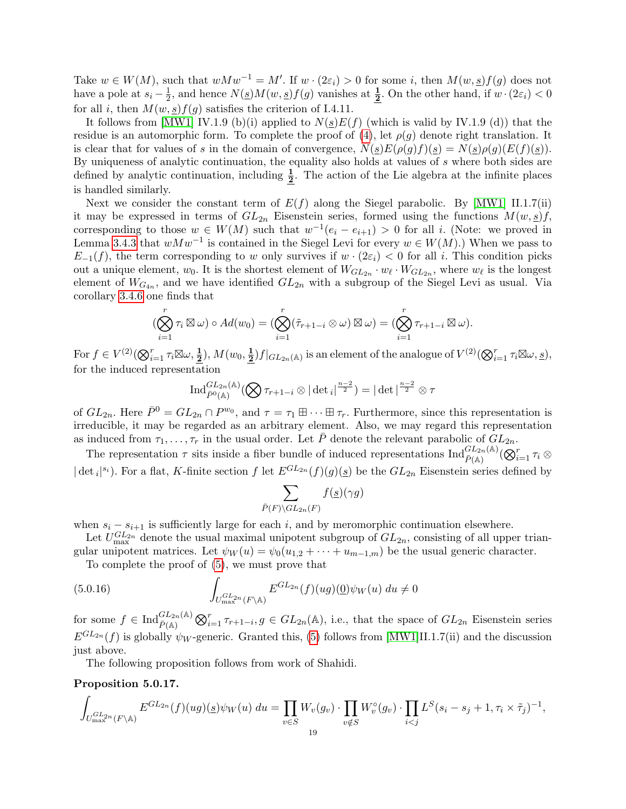Take  $w \in W(M)$ , such that  $wMw^{-1} = M'$ . If  $w \cdot (2\varepsilon_i) > 0$  for some i, then  $M(w, \underline{s})f(g)$  does not have a pole at  $s_i - \frac{1}{2}$  $\frac{1}{2}$ , and hence  $N(\underline{s})M(w, \underline{s})f(g)$  vanishes at  $\frac{1}{2}$ . On the other hand, if  $w \cdot (2\varepsilon_i) < 0$ for all i, then  $M(w, s)f(g)$  satisfies the criterion of I.4.11.

It follows from [\[MW1\]](#page-39-11) IV.1.9 (b)(i) applied to  $N(\underline{s})E(f)$  (which is valid by IV.1.9 (d)) that the residue is an automorphic form. To complete the proof of  $(4)$ , let  $\rho(g)$  denote right translation. It is clear that for values of s in the domain of convergence,  $N(s)E(\rho(g)f)(s) = N(s)\rho(g)(E(f)(s)).$ By uniqueness of analytic continuation, the equality also holds at values of s where both sides are defined by analytic continuation, including  $\frac{1}{2}$ . The action of the Lie algebra at the infinite places is handled similarly.

Next we consider the constant term of  $E(f)$  along the Siegel parabolic. By [\[MW1\]](#page-39-11) II.1.7(ii) it may be expressed in terms of  $GL_{2n}$  Eisenstein series, formed using the functions  $M(w, s)f$ , corresponding to those  $w \in W(M)$  such that  $w^{-1}(e_i - e_{i+1}) > 0$  for all i. (Note: we proved in Lemma [3.4.3](#page-7-1) that  $wMw^{-1}$  is contained in the Siegel Levi for every  $w \in W(M)$ .) When we pass to  $E_{-1}(f)$ , the term corresponding to w only survives if  $w \cdot (2\varepsilon_i) < 0$  for all i. This condition picks out a unique element,  $w_0$ . It is the shortest element of  $W_{GL_{2n}} \cdot w_{\ell} \cdot W_{GL_{2n}}$ , where  $w_{\ell}$  is the longest element of  $W_{G_{4n}}$ , and we have identified  $GL_{2n}$  with a subgroup of the Siegel Levi as usual. Via corollary [3.4.6](#page-8-0) one finds that

$$
(\bigotimes_{i=1}^r \tau_i \boxtimes \omega) \circ Ad(w_0) = (\bigotimes_{i=1}^r (\tilde{\tau}_{r+1-i} \otimes \omega) \boxtimes \omega) = (\bigotimes_{i=1}^r \tau_{r+1-i} \boxtimes \omega).
$$

For  $f \in V^{(2)}(\bigotimes_{i=1}^r \tau_i \boxtimes \omega, \frac{1}{2}), M(w_0, \frac{1}{2})$  $\frac{1}{2}$ )  $f|_{GL_{2n}(\mathbb{A})}$  is an element of the analogue of  $V^{(2)}(\bigotimes_{i=1}^{r} \tau_i \boxtimes \omega, s)$ , for the induced representation

$$
\operatorname{Ind}_{\bar{P}^0(\mathbb{A})}^{GL_{2n}(\mathbb{A})}(\bigotimes \tau_{r+1-i} \otimes |\det_i|^{\frac{n-2}{2}}) = |\det|^{\frac{n-2}{2}} \otimes \tau
$$

of  $GL_{2n}$ . Here  $\bar{P}^0 = GL_{2n} \cap P^{w_0}$ , and  $\tau = \tau_1 \boxplus \cdots \boxplus \tau_r$ . Furthermore, since this representation is irreducible, it may be regarded as an arbitrary element. Also, we may regard this representation as induced from  $\tau_1, \ldots, \tau_r$  in the usual order. Let  $\overline{P}$  denote the relevant parabolic of  $GL_{2n}$ .

The representation  $\tau$  sits inside a fiber bundle of induced representations  $\text{Ind}_{\bar{P}(\mathbb{A})}^{\tilde{GL}_{2n}(\mathbb{A})}(\mathbb{Q}_{i=1}^r \tau_i \otimes$  $|\det_i|^{s_i}$ ). For a flat, K-finite section f let  $E^{GL_{2n}}(f)(g)(\underline{s})$  be the  $GL_{2n}$  Eisenstein series defined by

$$
\sum_{\bar{P}(F)\backslash GL_{2n}(F)} f(\underline{s})(\gamma g)
$$

when  $s_i - s_{i+1}$  is sufficiently large for each i, and by meromorphic continuation elsewhere.

Let  $U_{\text{max}}^{GL_{2n}}$  denote the usual maximal unipotent subgroup of  $GL_{2n}$ , consisting of all upper triangular unipotent matrices. Let  $\psi_W(u) = \psi_0(u_{1,2} + \cdots + u_{m-1,m})$  be the usual generic character.

To complete the proof of [\(5\)](#page-13-2), we must prove that

(5.0.16) 
$$
\int_{U_{\max}^{GL_{2n}}(F\backslash\mathbb{A})} E^{GL_{2n}}(f)(ug)(\underline{0})\psi_W(u) du \neq 0
$$

for some  $f \in \text{Ind}_{\bar{P}(\mathbb{A})}^{GL_{2n}(\mathbb{A})} \bigotimes_{i=1}^{r} \tau_{r+1-i}, g \in GL_{2n}(\mathbb{A}),$  i.e., that the space of  $GL_{2n}$  Eisenstein series  $E^{GL_{2n}}(f)$  is globally  $\psi_W$ -generic. Granted this, [\(5\)](#page-13-2) follows from [\[MW1\]](#page-39-11)II.1.7(ii) and the discussion just above.

The following proposition follows from work of Shahidi.

#### <span id="page-18-0"></span>Proposition 5.0.17.

$$
\int_{U_{\max}^{GL_{2n}}(F\backslash\mathbb{A})} E^{GL_{2n}}(f)(ug)(\underline{s})\psi_W(u) du = \prod_{v\in S} W_v(g_v) \cdot \prod_{v\notin S} W_v^{\circ}(g_v) \cdot \prod_{i
$$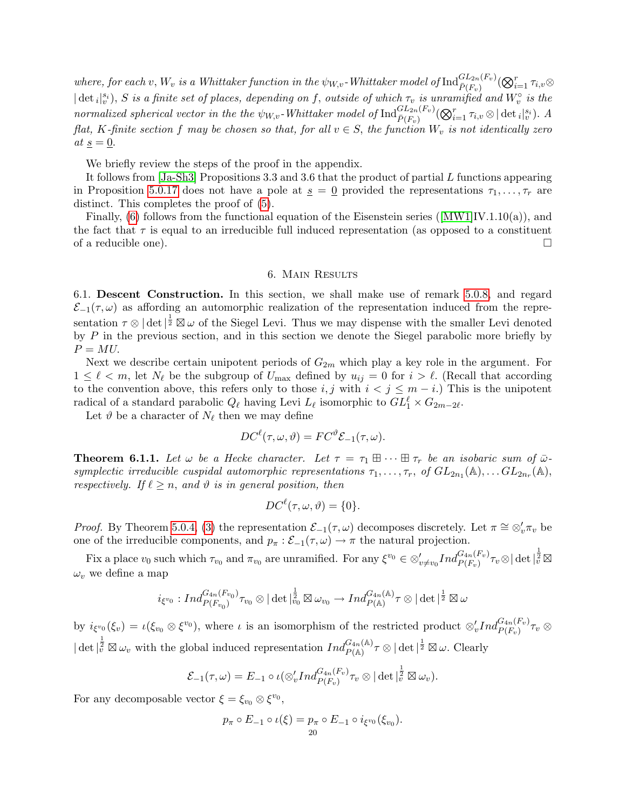where, for each  $v, W_v$  is a Whittaker function in the  $\psi_{W,v}$ -Whittaker model of  ${\rm Ind}_{\bar{P}(F_v)}^{GL_{2n}(F_v)}(\bigotimes_{i=1}^r \tau_{i,v} \otimes$  $|\det_i|_v^{s_i}$ , S is a finite set of places, depending on f, outside of which  $\tau_v$  is unramified and  $W_v^{\circ}$  is the normalized spherical vector in the the  $\psi_{W,v}$ -Whittaker model of  $\text{Ind}_{\bar{P}(F_v)}^{GL_{2n}(F_v)}(\bigotimes_{i=1}^r \tau_{i,v} \otimes |\det{}_i|_v^{s_i}).$  A flat, K-finite section f may be chosen so that, for all  $v \in S$ , the function  $W_v$  is not identically zero at  $s = 0$ .

We briefly review the steps of the proof in the appendix.

It follows from  $|Ja-Sh3|$  Propositions 3.3 and 3.6 that the product of partial L functions appearing in Proposition [5.0.17](#page-18-0) does not have a pole at  $s = 0$  provided the representations  $\tau_1, \ldots, \tau_r$  are distinct. This completes the proof of [\(5\)](#page-13-2).

Finally, [\(6\)](#page-13-3)follows from the functional equation of the Eisenstein series ( $[MW1]IV.1.10(a)$  $[MW1]IV.1.10(a)$ ), and the fact that  $\tau$  is equal to an irreducible full induced representation (as opposed to a constituent of a reducible one).  $\Box$ 

#### 6. Main Results

<span id="page-19-1"></span><span id="page-19-0"></span>6.1. Descent Construction. In this section, we shall make use of remark [5.0.8,](#page-13-4) and regard  $\mathcal{E}_{-1}(\tau,\omega)$  as affording an automorphic realization of the representation induced from the representation  $\tau \otimes |\det|^{\frac{1}{2}} \boxtimes \omega$  of the Siegel Levi. Thus we may dispense with the smaller Levi denoted by  $P$  in the previous section, and in this section we denote the Siegel parabolic more briefly by  $P = MU$ .

Next we describe certain unipotent periods of  $G_{2m}$  which play a key role in the argument. For  $1 \leq \ell < m$ , let  $N_{\ell}$  be the subgroup of  $U_{\text{max}}$  defined by  $u_{ij} = 0$  for  $i > \ell$ . (Recall that according to the convention above, this refers only to those i, j with  $i < j \leq m - i$ .) This is the unipotent radical of a standard parabolic  $Q_\ell$  having Levi  $L_\ell$  isomorphic to  $GL_1^\ell \times G_{2m-2\ell}$ .

Let  $\vartheta$  be a character of  $N_{\ell}$  then we may define

$$
DC^{\ell}(\tau, \omega, \vartheta) = FC^{\vartheta} \mathcal{E}_{-1}(\tau, \omega).
$$

<span id="page-19-2"></span>**Theorem 6.1.1.** Let  $\omega$  be a Hecke character. Let  $\tau = \tau_1 \boxplus \cdots \boxplus \tau_r$  be an isobaric sum of  $\bar{\omega}$ symplectic irreducible cuspidal automorphic representations  $\tau_1, \ldots, \tau_r$ , of  $GL_{2n_1}(\mathbb{A}), \ldots GL_{2n_r}(\mathbb{A}),$ respectively. If  $\ell \geq n$ , and  $\vartheta$  is in general position, then

$$
DC^{\ell}(\tau, \omega, \vartheta) = \{0\}.
$$

*Proof.* By Theorem [5.0.4,](#page-12-0) [\(3\)](#page-13-1) the representation  $\mathcal{E}_{-1}(\tau,\omega)$  decomposes discretely. Let  $\pi \cong \otimes_v' \pi_v$  be one of the irreducible components, and  $p_{\pi} : \mathcal{E}_{-1}(\tau, \omega) \to \pi$  the natural projection.

Fix a place  $v_0$  such which  $\tau_{v_0}$  and  $\pi_{v_0}$  are unramified. For any  $\xi^{v_0} \in \otimes'_{v \neq v_0} Ind_{P(F_v)}^{G_{4n}(F_v)} \tau_v \otimes |\det|_v^{\frac{1}{2}} \boxtimes$  $\omega_v$  we define a map

$$
i_{\xi^{v_0}}:Ind_{P(F_{v_0})}^{G_{4n}(F_{v_0})}\tau_{v_0}\otimes |\det|^{\frac{1}{2}}_{v_0}\boxtimes\omega_{v_0}\to Ind_{P(\mathbb{A})}^{G_{4n}(\mathbb{A})}\tau\otimes |\det|^{\frac{1}{2}}\boxtimes\omega
$$

by  $i_{\xi^{v_0}}(\xi_v) = \iota(\xi_{v_0} \otimes \xi^{v_0})$ , where  $\iota$  is an isomorphism of the restricted product  $\otimes'_v Ind_{P(F_v)}^{G_{4n}(F_v)} \tau_v \otimes$  $|\det|_{\tilde{v}}^{\frac{1}{2}} \boxtimes \omega_v$  with the global induced representation  $Ind_{P(\mathbb{A})}^{G_{4n}(\mathbb{A})}\tau \otimes |\det|^{\frac{1}{2}} \boxtimes \omega$ . Clearly

$$
\mathcal{E}_{-1}(\tau,\omega)=E_{-1}\circ\iota(\otimes'_v Ind_{P(F_v)}^{G_{4n}(F_v)}\tau_v\otimes|\det|_v^{\frac{1}{2}}\boxtimes\omega_v).
$$

For any decomposable vector  $\xi = \xi_{v_0} \otimes \xi^{v_0}$ ,

$$
p_{\pi} \circ E_{-1} \circ \iota(\xi) = p_{\pi} \circ E_{-1} \circ i_{\xi^{v_0}}(\xi_{v_0}).
$$
  
20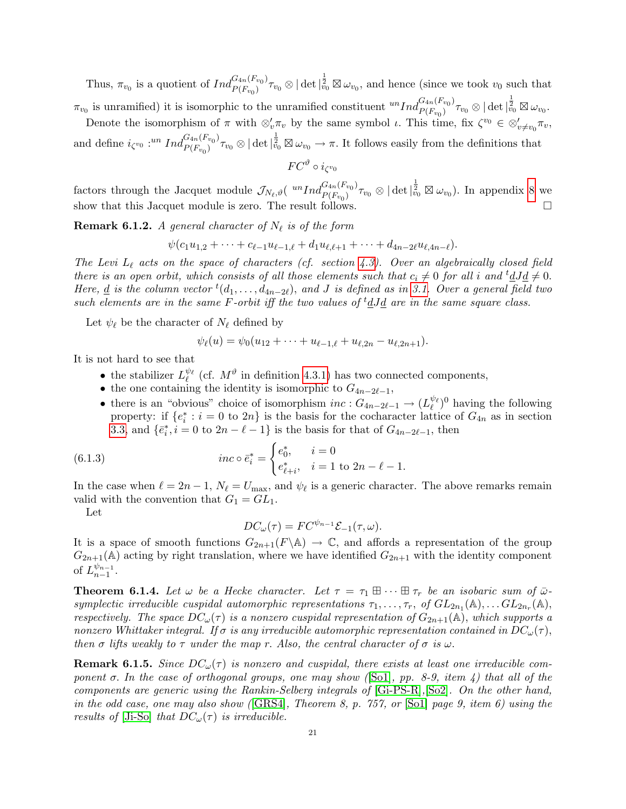Thus,  $\pi_{v_0}$  is a quotient of  $Ind_{P(F_{v_0})}^{G_{4n}(F_{v_0})}$  ${}_{P(F_{v_0})}^{G_{4n}(F_{v_0})}\tau_{v_0}\otimes|\det|^{\frac{1}{2}}_{v_0}\boxtimes\omega_{v_0}$ , and hence (since we took  $v_0$  such that  $\pi_{v_0}$  is unramified) it is isomorphic to the unramified constituent  ${}^{un}Ind_{P(F_{v_0})}^{G_{4n}(F_{v_0})}$  $\frac{G_{4n}(F_{v_0})}{P(F_{v_0})}\tau_{v_0}\otimes |\det|_{v_0}^{\frac{1}{2}}\boxtimes \omega_{v_0}.$ 

Denote the isomorphism of  $\pi$  with  $\otimes'_v \pi_v$  by the same symbol  $\iota$ . This time, fix  $\zeta^{v_0} \in \otimes'_{v \neq v_0} \pi_v$ ,

and define  $i_{\zeta^{v_0}}$  :<sup>un</sup> Ind ${}_{P(F_{v_0})}^{G_{4n}(F_{v_0})}$  ${}_{P(F_{v_0})}^{G_{4n}(F_{v_0})}\tau_{v_0}\otimes|\det|^{\frac{1}{2}}_{v_0}\boxtimes\omega_{v_0}\to\pi.$  It follows easily from the definitions that

$$
FC^{\vartheta} \circ i_{\zeta^{v_0}}
$$

factors through the Jacquet module  $\mathcal{J}_{N_{\ell},\vartheta}$  ( ${}^{un}Ind_{P(F_{v_0})}^{G_{4n}(F_{v_0})}$  $\frac{G_{4n}(F_{v_0})}{P(F_{v_0})}\tau_{v_0}\otimes|\det|^{\frac{1}{2}}_{v_0}\boxtimes\omega_{v_0}).$  In appendix [8](#page-28-0) we show that this Jacquet module is zero. The result follows.  $\square$ 

<span id="page-20-2"></span>**Remark 6.1.2.** A general character of  $N_{\ell}$  is of the form

 $\psi(c_1u_{1,2} + \cdots + c_{\ell-1}u_{\ell-1,\ell} + d_1u_{\ell,\ell+1} + \cdots + d_{4n-2\ell}u_{\ell,4n-\ell}).$ 

The Levi  $L_{\ell}$  acts on the space of characters (cf. section [4.3\)](#page-10-0). Over an algebraically closed field there is an open orbit, which consists of all those elements such that  $c_i \neq 0$  for all i and  ${}^t dJd \neq 0$ . Here, <u>d</u> is the column vector  ${}^t(d_1,\ldots,d_{4n-2\ell})$ , and J is defined as in [3.1.](#page-3-1) Over a general field two such elements are in the same F-orbit iff the two values of  ${}^t \underline{d} J \underline{d}$  are in the same square class.

Let  $\psi_{\ell}$  be the character of  $N_{\ell}$  defined by

$$
\psi_{\ell}(u) = \psi_0(u_{12} + \cdots + u_{\ell-1,\ell} + u_{\ell,2n} - u_{\ell,2n+1}).
$$

It is not hard to see that

- the stabilizer  $L_{\ell}^{\psi_{\ell}}$  (cf.  $M^{\vartheta}$  in definition [4.3.1\)](#page-10-2) has two connected components,
- the one containing the identity is isomorphic to  $G_{4n-2\ell-1}$ ,
- there is an "obvious" choice of isomorphism  $inc: G_{4n-2\ell-1} \to (L_{\ell}^{\psi_{\ell}})^0$  having the following property: if  $\{e_i^*: i = 0 \text{ to } 2n\}$  is the basis for the cocharacter lattice of  $G_{4n}$  as in section [3.3,](#page-4-1) and  $\{\bar{e}_i^*, i = 0 \text{ to } 2n - \ell - 1\}$  is the basis for that of  $G_{4n-2\ell-1}$ , then

(6.1.3) 
$$
inc \circ \bar{e}_i^* = \begin{cases} e_0^*, & i = 0\\ e_{\ell+i}^*, & i = 1 \text{ to } 2n - \ell - 1. \end{cases}
$$

In the case when  $\ell = 2n - 1$ ,  $N_{\ell} = U_{\text{max}}$ , and  $\psi_{\ell}$  is a generic character. The above remarks remain valid with the convention that  $G_1 = GL_1$ .

Let

<span id="page-20-1"></span>
$$
DC_{\omega}(\tau) = FC^{\psi_{n-1}} \mathcal{E}_{-1}(\tau, \omega).
$$

It is a space of smooth functions  $G_{2n+1}(F \backslash \mathbb{A}) \to \mathbb{C}$ , and affords a representation of the group  $G_{2n+1}(\mathbb{A})$  acting by right translation, where we have identified  $G_{2n+1}$  with the identity component of  $L_{n-1}^{\psi_{n-1}}$  $\frac{\varphi_{n-1}}{n-1}.$ 

<span id="page-20-0"></span>**Theorem 6.1.4.** Let  $\omega$  be a Hecke character. Let  $\tau = \tau_1 \boxplus \cdots \boxplus \tau_r$  be an isobaric sum of  $\bar{\omega}$ symplectic irreducible cuspidal automorphic representations  $\tau_1, \ldots, \tau_r$ , of  $GL_{2n_1}(\mathbb{A}), \ldots GL_{2n_r}(\mathbb{A}),$ respectively. The space  $DC_{\omega}(\tau)$  is a nonzero cuspidal representation of  $G_{2n+1}(\mathbb{A})$ , which supports a nonzero Whittaker integral. If  $\sigma$  is any irreducible automorphic representation contained in  $DC_{\omega}(\tau)$ , then  $\sigma$  lifts weakly to  $\tau$  under the map r. Also, the central character of  $\sigma$  is  $\omega$ .

**Remark 6.1.5.** Since  $DC_{\omega}(\tau)$  is nonzero and cuspidal, there exists at least one irreducible component  $\sigma$ . In the case of orthogonal groups, one may show ([\[So1\]](#page-39-0), pp. 8-9, item 4) that all of the components are generic using the Rankin-Selberg integrals of [\[Gi-PS-R\]](#page-38-18),[\[So2\]](#page-40-2). On the other hand, in the odd case, one may also show ( $[GRS4]$ , Theorem 8, p. 757, or  $[Sol]$  page 9, item 6) using the results of [\[Ji-So\]](#page-39-16) that  $DC_{\omega}(\tau)$  is irreducible.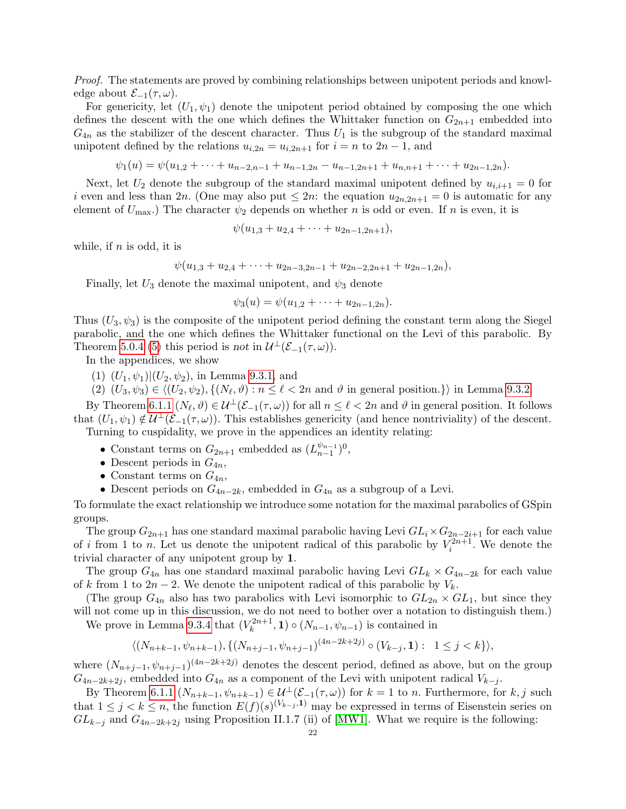Proof. The statements are proved by combining relationships between unipotent periods and knowledge about  $\mathcal{E}_{-1}(\tau,\omega)$ .

For genericity, let  $(U_1, \psi_1)$  denote the unipotent period obtained by composing the one which defines the descent with the one which defines the Whittaker function on  $G_{2n+1}$  embedded into  $G_{4n}$  as the stabilizer of the descent character. Thus  $U_1$  is the subgroup of the standard maximal unipotent defined by the relations  $u_{i,2n} = u_{i,2n+1}$  for  $i = n$  to  $2n - 1$ , and

 $\psi_1(u) = \psi(u_{1,2} + \cdots + u_{n-2,n-1} + u_{n-1,2n} - u_{n-1,2n+1} + u_{n,n+1} + \cdots + u_{2n-1,2n}).$ 

Next, let  $U_2$  denote the subgroup of the standard maximal unipotent defined by  $u_{i,i+1} = 0$  for i even and less than 2n. (One may also put  $\leq 2n$ : the equation  $u_{2n,2n+1} = 0$  is automatic for any element of  $U_{\text{max}}$ .) The character  $\psi_2$  depends on whether n is odd or even. If n is even, it is

$$
\psi(u_{1,3}+u_{2,4}+\cdots+u_{2n-1,2n+1}),
$$

while, if  $n$  is odd, it is

$$
\psi(u_{1,3} + u_{2,4} + \cdots + u_{2n-3,2n-1} + u_{2n-2,2n+1} + u_{2n-1,2n}),
$$

Finally, let  $U_3$  denote the maximal unipotent, and  $\psi_3$  denote

$$
\psi_3(u) = \psi(u_{1,2} + \cdots + u_{2n-1,2n}).
$$

Thus  $(U_3, \psi_3)$  is the composite of the unipotent period defining the constant term along the Siegel parabolic, and the one which defines the Whittaker functional on the Levi of this parabolic. By Theorem [5.0.4](#page-12-0) [\(5\)](#page-13-2) this period is not in  $\mathcal{U}^{\perp}(\mathcal{E}_{-1}(\tau,\omega)).$ 

In the appendices, we show

 $(1)$   $(U_1, \psi_1)|(U_2, \psi_2)$ , in Lemma [9.3.1,](#page-33-2) and

(2)  $(U_3, \psi_3) \in \langle (U_2, \psi_2), \{ (N_\ell, \vartheta) : n \le \ell < 2n \text{ and } \vartheta \text{ in general position.} \} \rangle$  in Lemma [9.3.2.](#page-34-0)

By Theorem [6.1.1](#page-19-2)  $(N_\ell, \vartheta) \in \mathcal{U}^\perp(\mathcal{E}_{-1}(\tau, \omega))$  for all  $n \leq \ell < 2n$  and  $\vartheta$  in general position. It follows that  $(U_1, \psi_1) \notin \mathcal{U}^{\perp}(\mathcal{E}_{-1}(\tau, \omega))$ . This establishes genericity (and hence nontriviality) of the descent. Turning to cuspidality, we prove in the appendices an identity relating:

- Constant terms on  $G_{2n+1}$  embedded as  $(L_{n-1}^{\psi_{n-1}})$  $_{n-1}^{\psi_{n-1}})^{0},$
- Descent periods in  $G_{4n}$ ,
- Constant terms on  $G_{4n}$ ,
- Descent periods on  $G_{4n-2k}$ , embedded in  $G_{4n}$  as a subgroup of a Levi.

To formulate the exact relationship we introduce some notation for the maximal parabolics of GSpin groups.

The group  $G_{2n+1}$  has one standard maximal parabolic having Levi  $GL_i \times G_{2n-2i+1}$  for each value of i from 1 to n. Let us denote the unipotent radical of this parabolic by  $V_i^{2n+1}$ . We denote the trivial character of any unipotent group by 1.

The group  $G_{4n}$  has one standard maximal parabolic having Levi  $GL_k \times G_{4n-2k}$  for each value of k from 1 to  $2n-2$ . We denote the unipotent radical of this parabolic by  $V_k$ .

(The group  $G_{4n}$  also has two parabolics with Levi isomorphic to  $GL_{2n} \times GL_1$ , but since they will not come up in this discussion, we do not need to bother over a notation to distinguish them.)

We prove in Lemma [9.3.4](#page-36-0) that  $(V_k^{2n+1})$  $(k^{2n+1}, 1) \circ (N_{n-1}, \psi_{n-1})$  is contained in

$$
\langle (N_{n+k-1}, \psi_{n+k-1}), \{ (N_{n+j-1}, \psi_{n+j-1})^{(4n-2k+2j)} \circ (V_{k-j}, \mathbf{1}) : 1 \le j < k \} \rangle,
$$

where  $(N_{n+j-1}, \psi_{n+j-1})^{(4n-2k+2j)}$  denotes the descent period, defined as above, but on the group  $G_{4n-2k+2j}$ , embedded into  $G_{4n}$  as a component of the Levi with unipotent radical  $V_{k-j}$ .

By Theorem [6.1.1](#page-19-2)  $(N_{n+k-1}, \psi_{n+k-1}) \in \mathcal{U}^{\perp}(\mathcal{E}_{-1}(\tau,\omega))$  for  $k=1$  to n. Furthermore, for  $k, j$  such that  $1 \leq j \leq k \leq n$ , the function  $E(f)(s)^{(V_{k-j},1)}$  may be expressed in terms of Eisenstein series on  $GL_{k-j}$  and  $G_{4n-2k+2j}$  using Proposition II.1.7 (ii) of [\[MW1\]](#page-39-11). What we require is the following: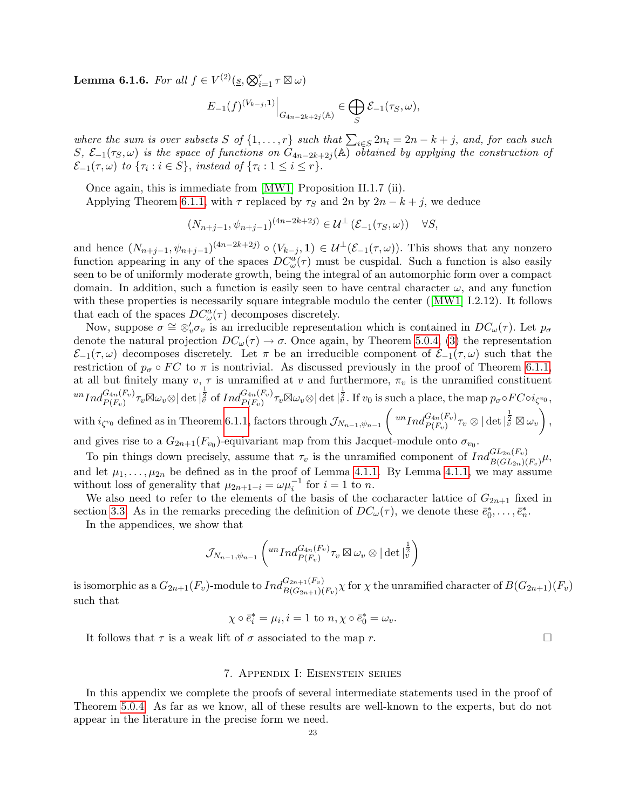**Lemma 6.1.6.** For all  $f \in V^{(2)}(\underline{s}, \bigotimes_{i=1}^r \tau \boxtimes \omega)$ 

$$
E_{-1}(f)^{(V_{k-j},\mathbf{1})}\Big|_{G_{4n-2k+2j}(\mathbb{A})}\in \bigoplus_{S}\mathcal{E}_{-1}(\tau_S,\omega),
$$

where the sum is over subsets S of  $\{1,\ldots,r\}$  such that  $\sum_{i\in S} 2n_i = 2n - k + j$ , and, for each such S,  $\mathcal{E}_{-1}(\tau_S,\omega)$  is the space of functions on  $G_{4n-2k+2j}(\mathbb{A})$  obtained by applying the construction of  $\mathcal{E}_{-1}(\tau,\omega)$  to  $\{\tau_i : i \in S\}$ , instead of  $\{\tau_i : 1 \leq i \leq r\}$ .

Once again, this is immediate from [\[MW1\]](#page-39-11) Proposition II.1.7 (ii).

Applying Theorem [6.1.1,](#page-19-2) with  $\tau$  replaced by  $\tau_S$  and  $2n$  by  $2n - k + j$ , we deduce

$$
(N_{n+j-1}, \psi_{n+j-1})^{(4n-2k+2j)} \in \mathcal{U}^{\perp}(\mathcal{E}_{-1}(\tau_S, \omega)) \quad \forall S,
$$

and hence  $(N_{n+j-1}, \psi_{n+j-1})^{(4n-2k+2j)} \circ (V_{k-j}, 1) \in \mathcal{U}^{\perp}(\mathcal{E}_{-1}(\tau,\omega))$ . This shows that any nonzero function appearing in any of the spaces  $DC^a_{\omega}(\tau)$  must be cuspidal. Such a function is also easily seen to be of uniformly moderate growth, being the integral of an automorphic form over a compact domain. In addition, such a function is easily seen to have central character  $\omega$ , and any function withthese properties is necessarily square integrable modulo the center ([\[MW1\]](#page-39-11) I.2.12). It follows that each of the spaces  $DC^a_\omega(\tau)$  decomposes discretely.

Now, suppose  $\sigma \cong \otimes'_v \sigma_v$  is an irreducible representation which is contained in  $DC_\omega(\tau)$ . Let  $p_\sigma$ denote the natural projection  $DC_{\omega}(\tau) \to \sigma$ . Once again, by Theorem [5.0.4,](#page-12-0) [\(3\)](#page-13-1) the representation  $\mathcal{E}_{-1}(\tau,\omega)$  decomposes discretely. Let  $\pi$  be an irreducible component of  $\mathcal{E}_{-1}(\tau,\omega)$  such that the restriction of  $p_{\sigma} \circ FC$  to  $\pi$  is nontrivial. As discussed previously in the proof of Theorem [6.1.1,](#page-19-2) at all but finitely many  $v, \tau$  is unramified at v and furthermore,  $\pi_v$  is the unramified constituent  $\|u\|_{L^2(\mathbb{R}^n)} \cdot \|u\|_{L^2(\mathbb{R}^n)} \leq \|\partial_t \sin \left(\frac{1}{2} \int_{\mathbb{R}^n} |u|^2_{L^2(\mathbb{R}^n)} \right) \cdot \|\partial_t \psi\|_{L^2(\mathbb{R}^n)} + \|u\|_{L^2(\mathbb{R}^n)} \leq \varepsilon^2 \|\partial_t \psi\|_{L^2(\mathbb{R}^n)}$  $\text{with } i_{\zeta^{v_0}} \text{ defined as in Theorem 6.1.1, factors through } \mathcal{J}_{N_{n-1}, \psi_{n-1}}\left( \sqrt{u^n Ind_{P(F_v)}^{G_{4n}(F_v)} \tau_v \otimes |\det|_v^{\frac{1}{2}}} \boxtimes \omega_v \right),$  $\text{with } i_{\zeta^{v_0}} \text{ defined as in Theorem 6.1.1, factors through } \mathcal{J}_{N_{n-1}, \psi_{n-1}}\left( \sqrt{u^n Ind_{P(F_v)}^{G_{4n}(F_v)} \tau_v \otimes |\det|_v^{\frac{1}{2}}} \boxtimes \omega_v \right),$  $\text{with } i_{\zeta^{v_0}} \text{ defined as in Theorem 6.1.1, factors through } \mathcal{J}_{N_{n-1}, \psi_{n-1}}\left( \sqrt{u^n Ind_{P(F_v)}^{G_{4n}(F_v)} \tau_v \otimes |\det|_v^{\frac{1}{2}}} \boxtimes \omega_v \right),$ 

and gives rise to a  $G_{2n+1}(F_{v_0})$ -equivariant map from this Jacquet-module onto  $\sigma_{v_0}$ .

To pin things down precisely, assume that  $\tau_v$  is the unramified component of  $Ind_{B(GL_{2n})(F_v)}^{GL_{2n}(F_v)}\mu$ , and let  $\mu_1, \ldots, \mu_{2n}$  be defined as in the proof of Lemma [4.1.1.](#page-9-3) By Lemma [4.1.1,](#page-9-3) we may assume without loss of generality that  $\mu_{2n+1-i} = \omega \mu_i^{-1}$  for  $i = 1$  to n.

We also need to refer to the elements of the basis of the cocharacter lattice of  $G_{2n+1}$  fixed in section [3.3.](#page-4-1) As in the remarks preceding the definition of  $DC_{\omega}(\tau)$ , we denote these  $\bar{e}_0^*, \ldots, \bar{e}_n^*$ .

In the appendices, we show that

$$
\mathcal{J}_{N_{n-1},\psi_{n-1}}\left( ^{un}Ind_{P(F_{v})}^{G_{4n}(F_{v})}\tau_{v}\boxtimes \omega_{v}\otimes |\det|_{v}^{\frac{1}{2}}\right)
$$

is isomorphic as a  $G_{2n+1}(F_v)$ -module to  $Ind_{B(G_{2n+1})(F_v)}^{G_{2n+1}(F_v)}\chi$  for  $\chi$  the unramified character of  $B(G_{2n+1})(F_v)$ such that

 $\chi \circ \bar{e}_i^* = \mu_i, i = 1$  to  $n, \chi \circ \bar{e}_0^* = \omega_v$ .

It follows that  $\tau$  is a weak lift of  $\sigma$  associated to the map r.

### 7. Appendix I: Eisenstein series

<span id="page-22-0"></span>In this appendix we complete the proofs of several intermediate statements used in the proof of Theorem [5.0.4.](#page-12-0) As far as we know, all of these results are well-known to the experts, but do not appear in the literature in the precise form we need.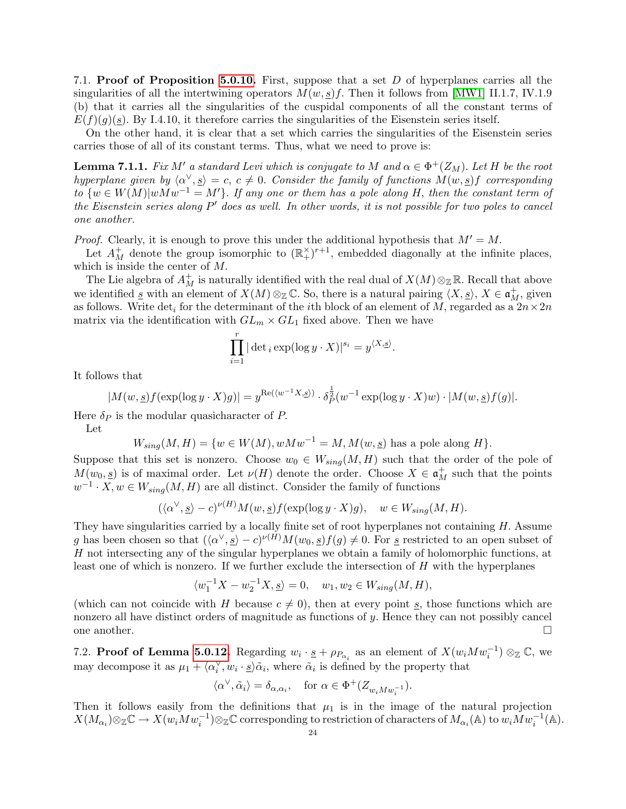<span id="page-23-0"></span>7.1. Proof of Proposition [5.0.10.](#page-14-0) First, suppose that a set D of hyperplanes carries all the singularities of all the intertwining operators  $M(w, s)f$ . Then it follows from [\[MW1\]](#page-39-11) II.1.7, IV.1.9 (b) that it carries all the singularities of the cuspidal components of all the constant terms of  $E(f)(q)(s)$ . By I.4.10, it therefore carries the singularities of the Eisenstein series itself.

On the other hand, it is clear that a set which carries the singularities of the Eisenstein series carries those of all of its constant terms. Thus, what we need to prove is:

**Lemma 7.1.1.** Fix M' a standard Levi which is conjugate to M and  $\alpha \in \Phi^+(Z_M)$ . Let H be the root hyperplane given by  $\langle \alpha^{\vee}, s \rangle = c, c \neq 0$ . Consider the family of functions  $M(w, s)$  corresponding to  $\{w \in W(M)|wMw^{-1} = M'\}$ . If any one or them has a pole along H, then the constant term of the Eisenstein series along  $P'$  does as well. In other words, it is not possible for two poles to cancel one another.

*Proof.* Clearly, it is enough to prove this under the additional hypothesis that  $M' = M$ .

Let  $A_M^+$  denote the group isomorphic to  $(\mathbb{R}^{\times})^{r+1}$ , embedded diagonally at the infinite places, which is inside the center of M.

The Lie algebra of  $A_M^+$  is naturally identified with the real dual of  $X(M) \otimes_{\mathbb{Z}} \mathbb{R}$ . Recall that above we identified  $\underline{s}$  with an element of  $X(M) \otimes_{\mathbb{Z}} \mathbb{C}$ . So, there is a natural pairing  $\langle X, \underline{s} \rangle$ ,  $X \in \mathfrak{a}_M^+$ , given as follows. Write det<sub>i</sub> for the determinant of the *i*th block of an element of M, regarded as a  $2n \times 2n$ matrix via the identification with  $GL_m \times GL_1$  fixed above. Then we have

$$
\prod_{i=1}^r |\det_i \exp(\log y \cdot X)|^{s_i} = y^{\langle X, \underline{s} \rangle}.
$$

It follows that

$$
|M(w, \underline{s})f(\exp(\log y \cdot X)g)| = y^{\text{Re}(\langle w^{-1}X, \underline{s}\rangle)} \cdot \delta_P^{\frac{1}{2}}(w^{-1}\exp(\log y \cdot X)w) \cdot |M(w, \underline{s})f(g)|.
$$

Here  $\delta_P$  is the modular quasicharacter of P.

Let

$$
W_{sing}(M,H) = \{w \in W(M), wMw^{-1} = M, M(w, \underline{s}) \text{ has a pole along } H\}.
$$

Suppose that this set is nonzero. Choose  $w_0 \in W_{sing}(M, H)$  such that the order of the pole of  $M(w_0, \underline{s})$  is of maximal order. Let  $\nu(H)$  denote the order. Choose  $X \in \mathfrak{a}^+_M$  such that the points  $w^{-1} \cdot X, w \in W_{sing}(M, H)$  are all distinct. Consider the family of functions

$$
(\langle \alpha^{\vee}, \underline{s} \rangle - c)^{\nu(H)} M(w, \underline{s}) f(\exp(\log y \cdot X) g), \quad w \in W_{sing}(M, H).
$$

They have singularities carried by a locally finite set of root hyperplanes not containing  $H$ . Assume g has been chosen so that  $({\langle} \alpha^{\vee},\underline{s}\rangle - c)^{\nu(H)}M(w_0,\underline{s})f(g) \neq 0$ . For <u>s</u> restricted to an open subset of H not intersecting any of the singular hyperplanes we obtain a family of holomorphic functions, at least one of which is nonzero. If we further exclude the intersection of  $H$  with the hyperplanes

$$
\langle w_1^{-1}X - w_2^{-1}X, \underline{s} \rangle = 0, \quad w_1, w_2 \in W_{sing}(M, H),
$$

(which can not coincide with H because  $c \neq 0$ ), then at every point s, those functions which are nonzero all have distinct orders of magnitude as functions of  $y$ . Hence they can not possibly cancel one another.  $\Box$ 

<span id="page-23-1"></span>7.2. **Proof of Lemma [5.0.12.](#page-15-0)** Regarding  $w_i \cdot \underline{s} + \rho_{P_{\alpha_i}}$  as an element of  $X(w_i M w_i^{-1}) \otimes_{\mathbb{Z}} \mathbb{C}$ , we may decompose it as  $\mu_1 + \langle \alpha_i^{\vee}, w_i \cdot \underline{s} \rangle \tilde{\alpha}_i$ , where  $\tilde{\alpha}_i$  is defined by the property that

$$
\langle \alpha^{\vee}, \tilde{\alpha}_i \rangle = \delta_{\alpha, \alpha_i}, \quad \text{for } \alpha \in \Phi^+(Z_{w_i M w_i^{-1}}).
$$

Then it follows easily from the definitions that  $\mu_1$  is in the image of the natural projection  $X(M_{\alpha_i})\otimes_{\mathbb Z}{\mathbb C} \to X(w_iMw_i^{-1})\otimes_{\mathbb Z}{\mathbb C}$  corresponding to restriction of characters of  $M_{\alpha_i}({\mathbb A})$  to  $w_iMw_i^{-1}({\mathbb A}).$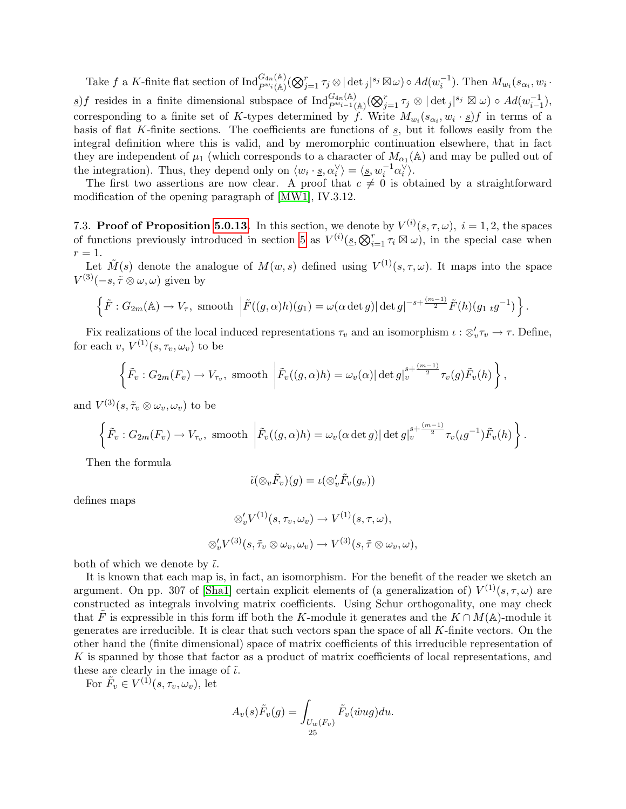Take f a K-finite flat section of  $\text{Ind}_{P^{w_i}(\mathbb{A})}^{G_{4n}(\mathbb{A})}(\bigotimes_{j=1}^r \tau_j \otimes |\det_j|^{s_j} \boxtimes \omega) \circ Ad(w_i^{-1})$ . Then  $M_{w_i}(s_{\alpha_i}, w_i \cdot$ s)f resides in a finite dimensional subspace of  $\text{Ind}_{P^{w_{i-1}}(A)}^{G_{4n}(A)}(\bigotimes_{j=1}^{r} \tau_j \otimes |\det_j|^{s_j} \boxtimes \omega) \circ Ad(w_{i-1}^{-1}),$ corresponding to a finite set of K-types determined by f. Write  $M_{w_i}(s_{\alpha_i}, w_i \cdot \underline{s})$  in terms of a basis of flat  $K$ -finite sections. The coefficients are functions of  $s$ , but it follows easily from the integral definition where this is valid, and by meromorphic continuation elsewhere, that in fact they are independent of  $\mu_1$  (which corresponds to a character of  $M_{\alpha_1}(\mathbb{A})$  and may be pulled out of the integration). Thus, they depend only on  $\langle w_i \cdot \underline{s}, \alpha_i^{\vee} \rangle = \langle \underline{s}, w_i^{-1} \alpha_i^{\vee} \rangle$ .

The first two assertions are now clear. A proof that  $c \neq 0$  is obtained by a straightforward modification of the opening paragraph of [\[MW1\]](#page-39-11), IV.3.12.

<span id="page-24-0"></span>7.3. Proof of Proposition [5.0.13.](#page-17-0) In this section, we denote by  $V^{(i)}(s,\tau,\omega)$ ,  $i=1,2$ , the spaces of functions previously introduced in section [5](#page-11-0) as  $V^{(i)}(s, \bigotimes_{i=1}^r \tau_i \boxtimes \omega)$ , in the special case when  $r=1$ .

Let  $\tilde{M}(s)$  denote the analogue of  $M(w, s)$  defined using  $V^{(1)}(s, \tau, \omega)$ . It maps into the space  $V^{(3)}(-s, \tilde{\tau} \otimes \omega, \omega)$  given by

$$
\left\{\tilde{F}: G_{2m}(\mathbb{A}) \to V_{\tau}, \text{ smooth }\left|\tilde{F}((g,\alpha)h)(g_1)=\omega(\alpha \det g) |\det g|^{-s+\frac{(m-1)}{2}}\tilde{F}(h)(g_1\ _{t}g^{-1})\right.\right\}.
$$

Fix realizations of the local induced representations  $\tau_v$  and an isomorphism  $\iota : \otimes_v' \tau_v \to \tau$ . Define, for each v,  $V^{(1)}(s, \tau_v, \omega_v)$  to be

$$
\left\{\tilde{F}_v: G_{2m}(F_v) \to V_{\tau_v}, \text{ smooth }\left|\tilde{F}_v((g,\alpha)h) = \omega_v(\alpha) |\det g|_v^{s + \frac{(m-1)}{2}} \tau_v(g) \tilde{F}_v(h)\right\},\right\}
$$

and  $V^{(3)}(s, \tilde{\tau}_v \otimes \omega_v, \omega_v)$  to be

$$
\left\{\tilde{F}_v: G_{2m}(F_v) \to V_{\tau_v}, \text{ smooth }\left|\tilde{F}_v((g,\alpha)h) = \omega_v(\alpha \det g) \right| \det g \big|_v^{s + \frac{(m-1)}{2}} \tau_v(\iota g^{-1}) \tilde{F}_v(h)\right\}.
$$

Then the formula

$$
\tilde{\iota}(\otimes_v \tilde{F}_v)(g)=\iota(\otimes_v'\tilde{F}_v(g_v))
$$

defines maps

$$
\otimes'_{v} V^{(1)}(s, \tau_{v}, \omega_{v}) \to V^{(1)}(s, \tau, \omega),
$$
  

$$
\otimes'_{v} V^{(3)}(s, \tilde{\tau}_{v} \otimes \omega_{v}, \omega_{v}) \to V^{(3)}(s, \tilde{\tau} \otimes \omega_{v}, \omega),
$$

both of which we denote by  $\tilde{\iota}$ .

It is known that each map is, in fact, an isomorphism. For the benefit of the reader we sketch an argument. On pp. 307 of [\[Sha1\]](#page-39-17) certain explicit elements of (a generalization of)  $V^{(1)}(s, \tau, \omega)$  are constructed as integrals involving matrix coefficients. Using Schur orthogonality, one may check that F is expressible in this form iff both the K-module it generates and the  $K \cap M(\mathbb{A})$ -module it generates are irreducible. It is clear that such vectors span the space of all K-finite vectors. On the other hand the (finite dimensional) space of matrix coefficients of this irreducible representation of K is spanned by those that factor as a product of matrix coefficients of local representations, and these are clearly in the image of  $\tilde{\iota}$ .

For  $\tilde{F}_v \in V^{(1)}(s, \tau_v, \omega_v)$ , let

$$
A_v(s)\tilde{F}_v(g) = \int_{\substack{U_w(F_v)\\25}} \tilde{F}_v(\dot{w}ug)du.
$$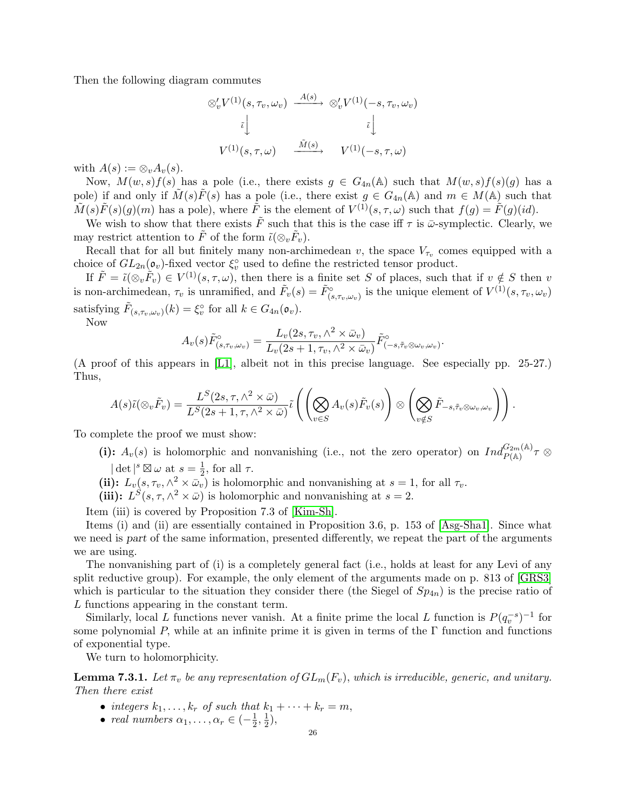Then the following diagram commutes

$$
\begin{aligned}\n\otimes'_{v} V^{(1)}(s, \tau_{v}, \omega_{v}) & \xrightarrow{A(s)} & \otimes'_{v} V^{(1)}(-s, \tau_{v}, \omega_{v}) \\
\downarrow \qquad \qquad \vdots \\
V^{(1)}(s, \tau, \omega) & \xrightarrow{\tilde{M}(s)} & V^{(1)}(-s, \tau, \omega)\n\end{aligned}
$$

with  $A(s) := \otimes_v A_v(s)$ .

Now,  $M(w, s)f(s)$  has a pole (i.e., there exists  $g \in G_{4n}(\mathbb{A})$  such that  $M(w, s)f(s)(g)$  has a pole) if and only if  $M(s)F(s)$  has a pole (i.e., there exist  $g \in G_{4n}(\mathbb{A})$  and  $m \in M(\mathbb{A})$  such that  $\tilde{M}(s)\tilde{F}(s)(g)(m)$  has a pole), where  $\tilde{F}$  is the element of  $V^{(1)}(s,\tau,\omega)$  such that  $f(g) = \tilde{F}(g)(id)$ .

We wish to show that there exists  $\tilde{F}$  such that this is the case iff  $\tau$  is  $\bar{\omega}$ -symplectic. Clearly, we may restrict attention to  $\tilde{F}$  of the form  $\tilde{\iota}(\otimes_v \tilde{F}_v)$ .

Recall that for all but finitely many non-archimedean v, the space  $V_{\tau_v}$  comes equipped with a choice of  $GL_{2n}(\mathfrak{o}_{v})$ -fixed vector  $\xi_{v}^{\circ}$  used to define the restricted tensor product.

If  $\tilde{F} = \tilde{\iota}(\otimes_v \tilde{F}_v) \in V^{(1)}(s, \tau, \omega)$ , then there is a finite set S of places, such that if  $v \notin S$  then v is non-archimedean,  $\tau_v$  is unramified, and  $\tilde{F}_v(s) = \tilde{F}_{(s,\tau_v,\omega_v)}^{\circ}$  is the unique element of  $V^{(1)}(s,\tau_v,\omega_v)$ satisfying  $\tilde{F}_{(s,\tau_v,\omega_v)}(k) = \xi_v^{\circ}$  for all  $k \in G_{4n}(\mathfrak{o}_v)$ .

Now

$$
A_v(s)\tilde{F}_{(s,\tau_v,\omega_v)}^{\circ} = \frac{L_v(2s,\tau_v,\wedge^2 \times \bar{\omega}_v)}{L_v(2s+1,\tau_v,\wedge^2 \times \bar{\omega}_v)}\tilde{F}_{(-s,\tilde{\tau}_v \otimes \omega_v,\omega_v)}^{\circ}.
$$

(A proof of this appears in [\[L1\]](#page-39-18), albeit not in this precise language. See especially pp. 25-27.) Thus,

$$
A(s)\tilde{\iota}(\otimes_v \tilde{F}_v) = \frac{L^S(2s,\tau,\wedge^2 \times \bar{\omega})}{L^S(2s+1,\tau,\wedge^2 \times \bar{\omega})}\tilde{\iota}\left(\left(\bigotimes_{v \in S} A_v(s)\tilde{F}_v(s)\right) \otimes \left(\bigotimes_{v \notin S} \tilde{F}_{-s,\tilde{\tau}_v \otimes \omega_v,\omega_v}\right)\right).
$$

To complete the proof we must show:

- (i):  $A_v(s)$  is holomorphic and nonvanishing (i.e., not the zero operator) on  $Ind_{P(A)}^{G_{2m}(A)} \tau \otimes$  $\det^{s} \boxtimes \omega$  at  $s = \frac{1}{2}$ 
	- $\frac{1}{2}$ , for all  $\tau$ .
- (ii):  $L_v(s, \tau_v, \wedge^2 \times \bar{\omega}_v)$  is holomorphic and nonvanishing at  $s = 1$ , for all  $\tau_v$ .

(iii):  $L^{S}(s, \tau, \wedge^{2} \times \bar{\omega})$  is holomorphic and nonvanishing at  $s = 2$ .

Item (iii) is covered by Proposition 7.3 of [\[Kim-Sh\]](#page-39-19).

Items (i) and (ii) are essentially contained in Proposition 3.6, p. 153 of [\[Asg-Sha1\]](#page-38-5). Since what we need is part of the same information, presented differently, we repeat the part of the arguments we are using.

The nonvanishing part of (i) is a completely general fact (i.e., holds at least for any Levi of any split reductive group). For example, the only element of the arguments made on p. 813 of [\[GRS3\]](#page-38-19) which is particular to the situation they consider there (the Siegel of  $Sp_{4n}$ ) is the precise ratio of L functions appearing in the constant term.

Similarly, local L functions never vanish. At a finite prime the local L function is  $P(q_v^{-s})^{-1}$  for some polynomial P, while at an infinite prime it is given in terms of the  $\Gamma$  function and functions of exponential type.

We turn to holomorphicity.

<span id="page-25-0"></span>**Lemma 7.3.1.** Let  $\pi_v$  be any representation of  $GL_m(F_v)$ , which is irreducible, generic, and unitary. Then there exist

- integers  $k_1, \ldots, k_r$  of such that  $k_1 + \cdots + k_r = m$ ,
- real numbers  $\alpha_1, \ldots, \alpha_r \in \left(-\frac{1}{2}\right)$  $\frac{1}{2}, \frac{1}{2}$  $(\frac{1}{2}),$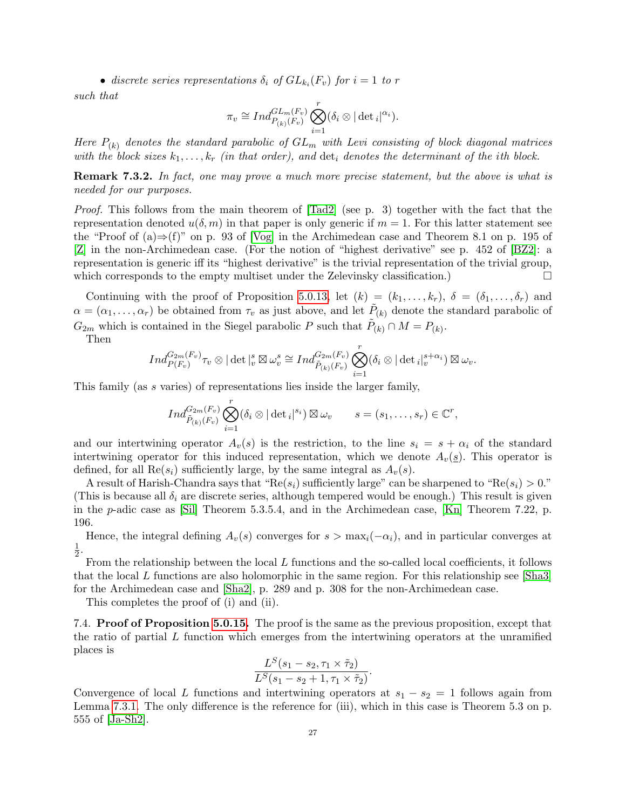• discrete series representations  $\delta_i$  of  $GL_{k_i}(F_v)$  for  $i=1$  to r

such that

$$
\pi_v \cong Ind_{P_{(k)}(F_v)}^{GL_m(F_v)} \bigotimes_{i=1}^r (\delta_i \otimes |\det_i|^{\alpha_i}).
$$

Here  $P_{(k)}$  denotes the standard parabolic of  $GL_m$  with Levi consisting of block diagonal matrices with the block sizes  $k_1, \ldots, k_r$  (in that order), and  $\det_i$  denotes the determinant of the ith block.

Remark 7.3.2. In fact, one may prove a much more precise statement, but the above is what is needed for our purposes.

Proof. This follows from the main theorem of  $[\text{rad}2]$  (see p. 3) together with the fact that the representation denoted  $u(\delta, m)$  in that paper is only generic if  $m = 1$ . For this latter statement see the "Proof of  $(a) \Rightarrow (f)$ " on p. 93 of [\[Vog\]](#page-40-4) in the Archimedean case and Theorem 8.1 on p. 195 of [\[Z\]](#page-40-1) in the non-Archimedean case. (For the notion of "highest derivative" see p. 452 of [\[BZ2\]](#page-38-20): a representation is generic iff its "highest derivative" is the trivial representation of the trivial group, which corresponds to the empty multiset under the Zelevinsky classification.)

Continuing with the proof of Proposition [5.0.13,](#page-17-0) let  $(k) = (k_1, \ldots, k_r)$ ,  $\delta = (\delta_1, \ldots, \delta_r)$  and  $\alpha = (\alpha_1, \ldots, \alpha_r)$  be obtained from  $\tau_v$  as just above, and let  $\tilde{P}_{(k)}$  denote the standard parabolic of  $G_{2m}$  which is contained in the Siegel parabolic P such that  $\tilde{P}_{(k)} \cap M = P_{(k)}$ .

Then

$$
Ind_{P(F_v)}^{G_{2m}(F_v)} \tau_v \otimes |\det|_{v}^{s} \boxtimes \omega_v^{s} \cong Ind_{\tilde{P}_{(k)}(F_v)}^{G_{2m}(F_v)} \bigotimes_{i=1}^{r} (\delta_i \otimes |\det_i|_{v}^{s+\alpha_i}) \boxtimes \omega_v.
$$

This family (as s varies) of representations lies inside the larger family,

$$
Ind_{\tilde{P}_{(k)}(F_v)}^{G_{2m}(F_v)} \bigotimes_{i=1}^r (\delta_i \otimes |\det_i|^{s_i}) \boxtimes \omega_v \qquad s = (s_1, \ldots, s_r) \in \mathbb{C}^r,
$$

and our intertwining operator  $A_v(s)$  is the restriction, to the line  $s_i = s + \alpha_i$  of the standard intertwining operator for this induced representation, which we denote  $A_v(s)$ . This operator is defined, for all  $\text{Re}(s_i)$  sufficiently large, by the same integral as  $A_v(s)$ .

A result of Harish-Chandra says that " $\text{Re}(s_i)$  sufficiently large" can be sharpened to " $\text{Re}(s_i) > 0$ ." (This is because all  $\delta_i$  are discrete series, although tempered would be enough.) This result is given in the p-adic case as [\[Sil\]](#page-39-20) Theorem 5.3.5.4, and in the Archimedean case, [\[Kn\]](#page-39-21) Theorem 7.22, p. 196.

Hence, the integral defining  $A_v(s)$  converges for  $s > \max_i(-\alpha_i)$ , and in particular converges at 1  $\frac{1}{2}$ .

From the relationship between the local L functions and the so-called local coefficients, it follows that the local L functions are also holomorphic in the same region. For this relationship see [\[Sha3\]](#page-39-22) for the Archimedean case and [\[Sha2\]](#page-39-4), p. 289 and p. 308 for the non-Archimedean case.

This completes the proof of (i) and (ii).

<span id="page-26-0"></span>7.4. Proof of Proposition [5.0.15.](#page-17-1) The proof is the same as the previous proposition, except that the ratio of partial  $L$  function which emerges from the intertwining operators at the unramified places is

$$
\frac{L^S(s_1-s_2,\tau_1\times\tilde{\tau}_2)}{L^S(s_1-s_2+1,\tau_1\times\tilde{\tau}_2)}.
$$

Convergence of local L functions and intertwining operators at  $s_1 - s_2 = 1$  follows again from Lemma [7.3.1.](#page-25-0) The only difference is the reference for (iii), which in this case is Theorem 5.3 on p. 555 of [\[Ja-Sh2\]](#page-39-1).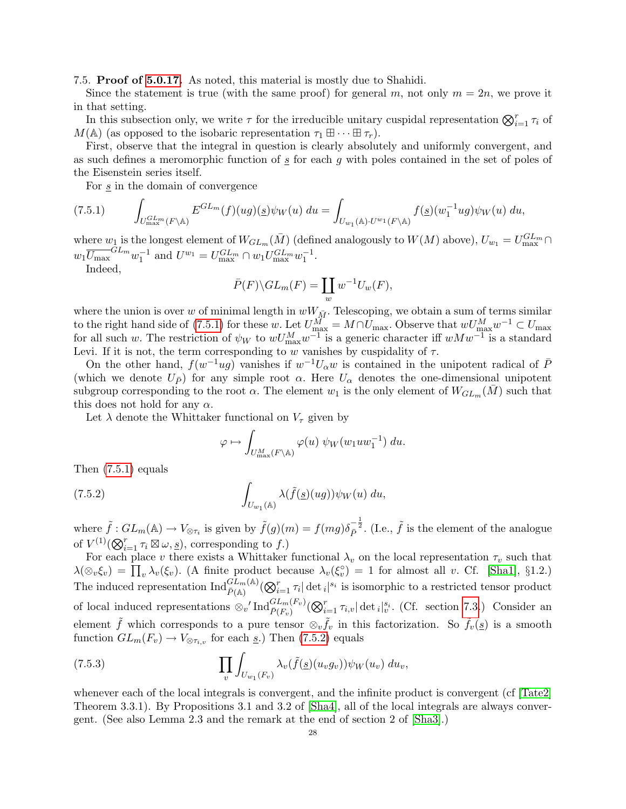<span id="page-27-0"></span>7.5. Proof of [5.0.17.](#page-18-0) As noted, this material is mostly due to Shahidi.

Since the statement is true (with the same proof) for general m, not only  $m = 2n$ , we prove it in that setting.

In this subsection only, we write  $\tau$  for the irreducible unitary cuspidal representation  $\bigotimes_{i=1}^r \tau_i$  of  $M(\mathbb{A})$  (as opposed to the isobaric representation  $\tau_1 \boxplus \cdots \boxplus \tau_r$ ).

First, observe that the integral in question is clearly absolutely and uniformly convergent, and as such defines a meromorphic function of  $s$  for each g with poles contained in the set of poles of the Eisenstein series itself.

<span id="page-27-1"></span>For s in the domain of convergence

$$
(7.5.1) \qquad \int_{U_{\text{max}}^{GL_m}(F\backslash\mathbb{A})} E^{GL_m}(f)(ug)(\underline{s})\psi_W(u) \, du = \int_{U_{w_1}(\mathbb{A})\cdot U^{w_1}(F\backslash\mathbb{A})} f(\underline{s})(w_1^{-1}ug)\psi_W(u) \, du,
$$

where  $w_1$  is the longest element of  $W_{GL_m}(\bar{M})$  (defined analogously to  $W(M)$  above),  $U_{w_1} = U_{\text{max}}^{GL_m} \cap$  $w_1 \overline{U_{\text{max}}}^{GL_m} w_1^{-1}$  and  $U^{w_1} = U_{\text{max}}^{GL_m} \cap w_1 U_{\text{max}}^{GL_m} w_1^{-1}$ .

Indeed,

$$
\bar{P}(F)\backslash GL_m(F)=\coprod_w w^{-1}U_w(F),
$$

where the union is over w of minimal length in  $wW_{\bar{M}}$ . Telescoping, we obtain a sum of terms similar to the right hand side of [\(7.5.1\)](#page-27-1) for these w. Let  $U_{\text{max}}^{\tilde{M}} = M \cap U_{\text{max}}$ . Observe that  $wU_{\text{max}}^M w^{-1} \subset U_{\text{max}}$ for all such w. The restriction of  $\psi_W$  to  $wU_{\text{max}}^M w^{-1}$  is a generic character iff  $wMw^{-1}$  is a standard Levi. If it is not, the term corresponding to w vanishes by cuspidality of  $\tau$ .

On the other hand,  $f(w^{-1}ug)$  vanishes if  $w^{-1}U_\alpha w$  is contained in the unipotent radical of  $\bar{P}$ (which we denote  $U_{\bar{P}}$ ) for any simple root  $\alpha$ . Here  $U_{\alpha}$  denotes the one-dimensional unipotent subgroup corresponding to the root  $\alpha$ . The element  $w_1$  is the only element of  $W_{GL_m}(\bar{M})$  such that this does not hold for any  $\alpha$ .

Let  $\lambda$  denote the Whittaker functional on  $V_{\tau}$  given by

<span id="page-27-2"></span>
$$
\varphi \mapsto \int_{U^M_{\text{max}}(F \backslash \mathbb{A})} \varphi(u) \psi_W(w_1 u w_1^{-1}) du.
$$

Then [\(7.5.1\)](#page-27-1) equals

(7.5.2) 
$$
\int_{U_{w_1}(\mathbb{A})} \lambda(\tilde{f}(\underline{s})(ug)) \psi_W(u) du,
$$

where  $\tilde{f}: GL_m(\mathbb{A}) \to V_{\otimes \tau_i}$  is given by  $\tilde{f}(g)(m) = f(mg)\delta_P^{-\frac{1}{2}}$ . (I.e.,  $\tilde{f}$  is the element of the analogue of  $V^{(1)}(\bigotimes_{i=1}^r \tau_i \boxtimes \omega, \underline{s})$ , corresponding to f.)

For each place v there exists a Whittaker functional  $\lambda_v$  on the local representation  $\tau_v$  such that  $\lambda(\otimes_v \xi_v) = \prod_v \lambda_v(\xi_v)$ . (A finite product because  $\lambda_v(\xi_v^{\circ}) = 1$  for almost all v. Cf. [\[Sha1\]](#page-39-17), §1.2.) The induced representation  $\text{Ind}_{\bar{P}(\mathbb{A})}^{\tilde{GL}_m(\mathbb{A})}(\bigotimes_{i=1}^r \tau_i |\det_i|^{s_i}$  is isomorphic to a restricted tensor product of local induced representations  $\otimes_v' \text{Ind}_{\bar{P}(F_v)}^{\tilde{GL}_m(F_v)}(\bigotimes_{i=1}^r \tau_{i,v}|\det_i|_v^{s_i}$ . (Cf. section [7.3.](#page-24-0)) Consider an element  $\tilde{f}$  which corresponds to a pure tensor  $\otimes_v \tilde{f}_v$  in this factorization. So  $\tilde{f}_v(\underline{s})$  is a smooth function  $GL_m(F_v) \to V_{\otimes \tau_{i,v}}$  for each  $\underline{s}$ .) Then [\(7.5.2\)](#page-27-2) equals

(7.5.3) 
$$
\prod_{v} \int_{U_{w_1}(F_v)} \lambda_v(\tilde{f}(\underline{s})(u_v g_v)) \psi_W(u_v) \ du_v,
$$

whenever each of the local integrals is convergent, and the infinite product is convergent (cf [\[Tate2\]](#page-40-5) Theorem 3.3.1). By Propositions 3.1 and 3.2 of [\[Sha4\]](#page-39-23), all of the local integrals are always convergent. (See also Lemma 2.3 and the remark at the end of section 2 of [\[Sha3\]](#page-39-22).)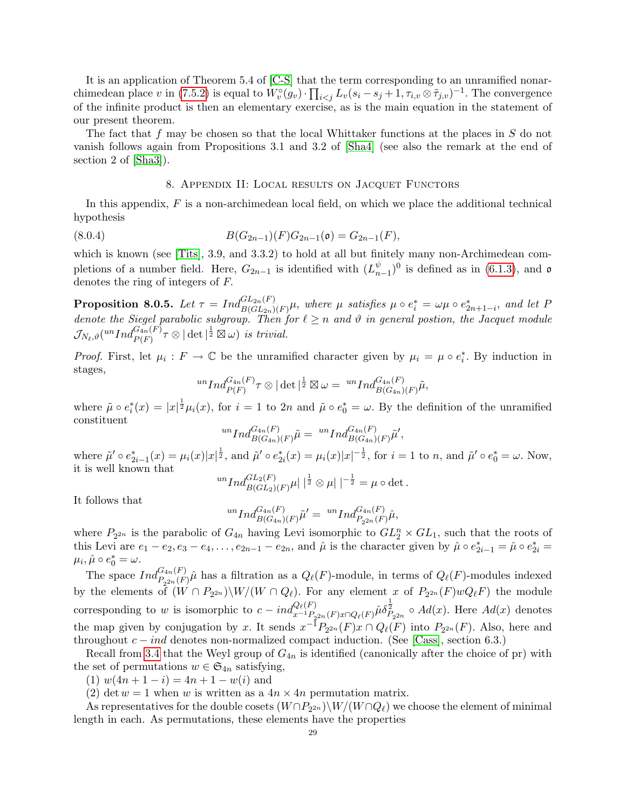It is an application of Theorem 5.4 of [\[C-S\]](#page-38-21) that the term corresponding to an unramified nonar-chimedean place v in [\(7.5.2\)](#page-27-2) is equal to  $W_v^{\circ}(g_v) \cdot \prod_{i < j} L_v(s_i - s_j + 1, \tau_{i,v} \otimes \tilde{\tau}_{j,v})^{-1}$ . The convergence of the infinite product is then an elementary exercise, as is the main equation in the statement of our present theorem.

The fact that  $f$  may be chosen so that the local Whittaker functions at the places in  $S$  do not vanish follows again from Propositions 3.1 and 3.2 of [\[Sha4\]](#page-39-23) (see also the remark at the end of section 2 of [\[Sha3\]](#page-39-22)).

# <span id="page-28-1"></span>8. Appendix II: Local results on Jacquet Functors

<span id="page-28-0"></span>In this appendix,  $F$  is a non-archimedean local field, on which we place the additional technical hypothesis

(8.0.4) 
$$
B(G_{2n-1})(F)G_{2n-1}(\mathfrak{o})=G_{2n-1}(F),
$$

which is known (see [\[Tits\]](#page-40-6), 3.9, and 3.3.2) to hold at all but finitely many non-Archimedean completions of a number field. Here,  $G_{2n-1}$  is identified with  $(L_n^{\psi})$  $_{n-1}^{\psi}$ )<sup>0</sup> is defined as in [\(6.1.3\)](#page-20-1), and  $\mathfrak{o}$ denotes the ring of integers of F.

**Proposition 8.0.5.** Let  $\tau = Ind_{B(GL_2n)(F)}^{GL_{2n}(F)}\mu$ , where  $\mu$  satisfies  $\mu \circ e_i^* = \omega \mu \circ e_{2n+1-i}^*$ , and let  $F$ denote the Siegel parabolic subgroup. Then for  $\ell \geq n$  and  $\vartheta$  in general postion, the Jacquet module  $\mathcal{J}_{N_\ell,\vartheta}( ^{un}Ind_{P(F)}^{G_{4n}(F)}\tau\otimes|\det|^{\frac{1}{2}}\boxtimes\omega) \ \textit{is trivial}.$ 

*Proof.* First, let  $\mu_i : F \to \mathbb{C}$  be the unramified character given by  $\mu_i = \mu \circ e_i^*$ . By induction in stages,

$$
{}^{un}Ind_{P(F)}^{G_{4n}(F)}\tau\otimes |\det|^{\frac{1}{2}}\boxtimes \omega=\ {}^{un}Ind_{B(G_{4n})(F)}^{G_{4n}(F)}\tilde{\mu},
$$

where  $\tilde{\mu} \circ e_i^*(x) = |x|^{\frac{1}{2}} \mu_i(x)$ , for  $i = 1$  to  $2n$  and  $\tilde{\mu} \circ e_0^* = \omega$ . By the definition of the unramified constituent

$$
^{un}Ind_{B(G_{4n})(F)}^{G_{4n}(F)}\tilde{\mu} = ~^{un}Ind_{B(G_{4n})(F)}^{G_{4n}(F)}\tilde{\mu}',
$$

where  $\tilde{\mu}' \circ e_{2i-1}^*(x) = \mu_i(x)|x|^{\frac{1}{2}},$  and  $\tilde{\mu}' \circ e_{2i}^*(x) = \mu_i(x)|x|^{-\frac{1}{2}},$  for  $i = 1$  to n, and  $\tilde{\mu}' \circ e_0^* = \omega$ . Now, it is well known that

$$
^{un}Ind_{B(GL_2)(F)}^{GL_2(F)}\mu \vert \vert^{\frac{1}{2}} \otimes \mu \vert \vert^{-\frac{1}{2}} = \mu \circ \det.
$$

It follows that

$$
^{un}Ind_{B(G_{4n})(F)}^{G_{4n}(F)}\tilde{\mu}' = {^{un}Ind_{P_{2^{2n}}(F)}\hat{\mu}},
$$

where  $P_{2^{2n}}$  is the parabolic of  $G_{4n}$  having Levi isomorphic to  $GL_2^n \times GL_1$ , such that the roots of this Levi are  $e_1 - e_2, e_3 - e_4, \ldots, e_{2n-1} - e_{2n}$ , and  $\hat{\mu}$  is the character given by  $\hat{\mu} \circ e_{2i-1}^* = \hat{\mu} \circ e_{2i}^* =$  $\mu_i, \hat{\mu} \circ e_0^* = \omega.$ 

The space  $Ind_{P_{2^{2n}}(F)}^{G_{4n}(F)}\hat{\mu}$  has a filtration as a  $Q_{\ell}(F)$ -module, in terms of  $Q_{\ell}(F)$ -modules indexed by the elements of  $(W \cap P_{2^{2n}}) \setminus W/(W \cap Q_\ell)$ . For any element x of  $P_{2^{2n}}(F)wQ_\ell F$  the module corresponding to w is isomorphic to  $c = ind_{x^{-1}P_{2^{2n}}(F)x \cap Q_{\ell}(F)}^{Q_{\ell}(F)} \hat{\mu} \delta_{P_{2^{2n}}}^{\frac{1}{2}} \circ Ad(x)$ . Here  $Ad(x)$  denotes the map given by conjugation by x. It sends  $x^{-1}P_{2^{2n}}(F)x \cap Q_{\ell}(F)$  into  $P_{2^{2n}}(F)$ . Also, here and throughout  $c - ind$  denotes non-normalized compact induction. (See [\[Cass\]](#page-38-22), section 6.3.)

Recall from [3.4](#page-6-0) that the Weyl group of  $G_{4n}$  is identified (canonically after the choice of pr) with the set of permutations  $w \in \mathfrak{S}_{4n}$  satisfying,

(1)  $w(4n + 1 - i) = 4n + 1 - w(i)$  and

(2) det  $w = 1$  when w is written as a  $4n \times 4n$  permutation matrix.

As representatives for the double cosets  $(W \cap P_{2^{2n}}) \setminus W/(W \cap Q_\ell)$  we choose the element of minimal length in each. As permutations, these elements have the properties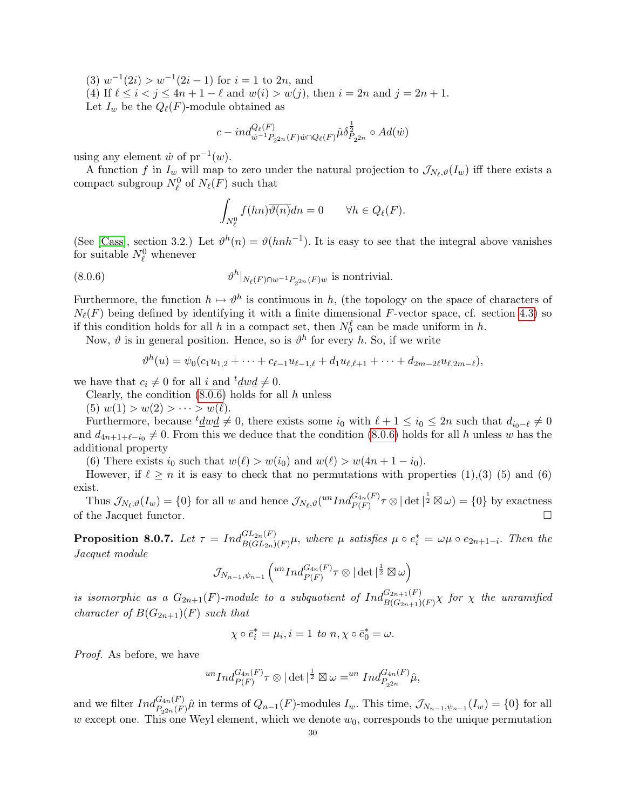$(3)$   $w^{-1}(2i) > w^{-1}(2i-1)$  for  $i = 1$  to  $2n$ , and

(4) If  $\ell \le i < j \le 4n + 1 - \ell$  and  $w(i) > w(j)$ , then  $i = 2n$  and  $j = 2n + 1$ . Let  $I_w$  be the  $Q_{\ell}(F)$ -module obtained as

$$
c - ind_{\dot{w}^{-1}P_{2^{2n}}(F)\dot{w}\cap Q_{\ell}(F)}^{\bar{Q}_{\ell}}\hat{\mu}\delta_{P_{2^{2n}}}^{\frac{1}{2}} \circ Ad(\dot{w})
$$

using any element  $\dot{w}$  of  $pr^{-1}(w)$ .

A function f in  $I_w$  will map to zero under the natural projection to  $\mathcal{J}_{N_\ell,\vartheta}(I_w)$  iff there exists a compact subgroup  $N_{\ell}^0$  of  $N_{\ell}(F)$  such that

<span id="page-29-0"></span>
$$
\int_{N_{\ell}^0} f(hn) \overline{\vartheta(n)} dn = 0 \qquad \forall h \in Q_{\ell}(F).
$$

(See [\[Cass\]](#page-38-22), section 3.2.) Let  $\vartheta^h(n) = \vartheta(hnh^{-1})$ . It is easy to see that the integral above vanishes for suitable  $N_{\ell}^0$  whenever

(8.0.6) 
$$
\vartheta^h|_{N_{\ell}(F)\cap w^{-1}P_{2^{2n}}(F)w} \text{ is nontrivial.}
$$

Furthermore, the function  $h \mapsto \vartheta^h$  is continuous in h, (the topology on the space of characters of  $N_{\ell}(F)$  being defined by identifying it with a finite dimensional F-vector space, cf. section [4.3\)](#page-10-0) so if this condition holds for all h in a compact set, then  $N_0^{\ell}$  can be made uniform in h.

Now,  $\vartheta$  is in general position. Hence, so is  $\vartheta^h$  for every h. So, if we write

$$
\vartheta^h(u) = \psi_0(c_1u_{1,2} + \cdots + c_{\ell-1}u_{\ell-1,\ell} + d_1u_{\ell,\ell+1} + \cdots + d_{2m-2\ell}u_{\ell,2m-\ell}),
$$

we have that  $c_i \neq 0$  for all i and  $t \underline{d} w \underline{d} \neq 0$ .

Clearly, the condition  $(8.0.6)$  holds for all h unless

(5)  $w(1) > w(2) > \cdots > w(\ell)$ .

Furthermore, because  $t \underline{d} w \underline{d} \neq 0$ , there exists some  $i_0$  with  $\ell + 1 \leq i_0 \leq 2n$  such that  $d_{i_0-\ell} \neq 0$ and  $d_{4n+1+\ell-i_0} \neq 0$ . From this we deduce that the condition [\(8.0.6\)](#page-29-0) holds for all h unless w has the additional property

(6) There exists  $i_0$  such that  $w(\ell) > w(i_0)$  and  $w(\ell) > w(4n + 1 - i_0)$ .

However, if  $\ell \ge n$  it is easy to check that no permutations with properties (1),(3) (5) and (6) exist.

Thus  $\mathcal{J}_{N_{\ell},\vartheta}(I_w) = \{0\}$  for all w and hence  $\mathcal{J}_{N_{\ell},\vartheta}(^{un}Ind_{P(F)}^{G_{4n}(F)}\tau \otimes |\det|^{\frac{1}{2}} \boxtimes \omega) = \{0\}$  by exactness of the Jacquet functor.

**Proposition 8.0.7.** Let  $\tau = Ind_{B(GL_{2n})(F)}^{GL_{2n}(F)}\mu$ , where  $\mu$  satisfies  $\mu \circ e_i^* = \omega \mu \circ e_{2n+1-i}$ . Then the Jacquet module

$$
\mathcal{J}_{N_{n-1},\psi_{n-1}}\left({^{un}Ind_{P(F)}^{G_{4n}(F)}\tau\otimes|\det|^{\frac{1}{2}}\boxtimes\omega}\right)
$$

is isomorphic as a  $G_{2n+1}(F)$ -module to a subquotient of  $Ind_{B(G_{2n+1})(F)}^{G_{2n+1}(F)}\chi$  for  $\chi$  the unramified character of  $B(G_{2n+1})(F)$  such that

$$
\chi \circ \bar{e}_i^* = \mu_i, i = 1 \text{ to } n, \chi \circ \bar{e}_0^* = \omega.
$$

Proof. As before, we have

$$
{}^{un}Ind_{P(F)}^{G_{4n}(F)}\tau\otimes|\det|^{\frac{1}{2}}\boxtimes\omega={}^{un}Ind_{P_{2^{2n}}}^{G_{4n}(F)}\hat{\mu},
$$

and we filter  $Ind_{P_{2^{2n}}(F)}^{G_{4n}(F)}\hat{\mu}$  in terms of  $Q_{n-1}(F)$ -modules  $I_w$ . This time,  $\mathcal{J}_{N_{n-1},\psi_{n-1}}(I_w) = \{0\}$  for all w except one. This one Weyl element, which we denote  $w_0$ , corresponds to the unique permutation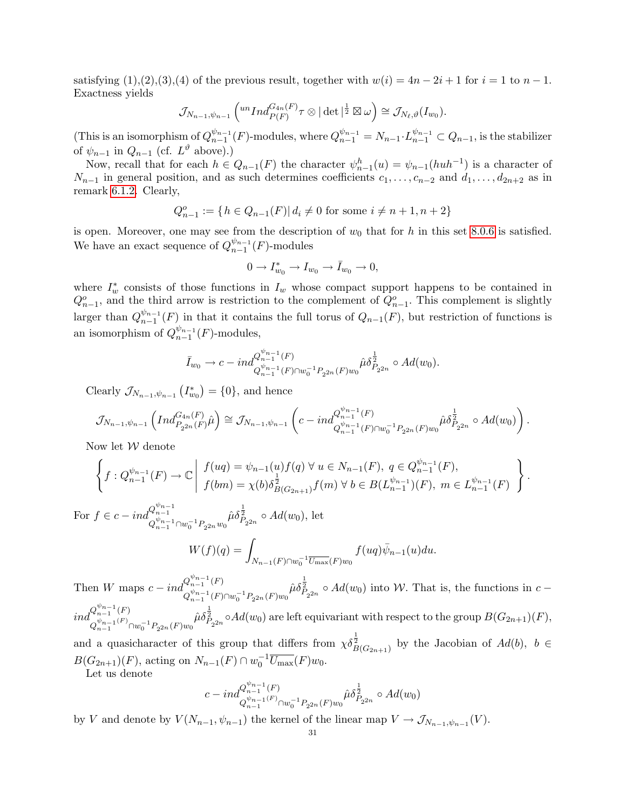satisfying  $(1),(2),(3),(4)$  of the previous result, together with  $w(i) = 4n - 2i + 1$  for  $i = 1$  to  $n - 1$ . Exactness yields

$$
\mathcal{J}_{N_{n-1},\psi_{n-1}}\left({^{un}Ind_{P(F)}^{G_{4n}(F)}\tau\otimes|\det|^{\frac{1}{2}}\boxtimes\omega}\right)\cong \mathcal{J}_{N_{\ell},\vartheta}(I_{w_0}).
$$

(This is an isomorphism of  $Q_{n-1}^{\psi_{n-1}}$  $\frac{\psi_{n-1}}{n-1}(F)$ -modules, where  $Q_{n-1}^{\psi_{n-1}} = N_{n-1} \cdot L_{n-1}^{\psi_{n-1}} \subset Q_{n-1}$ , is the stabilizer of  $\psi_{n-1}$  in  $Q_{n-1}$  (cf.  $L^{\vartheta}$  above).)

Now, recall that for each  $h \in Q_{n-1}(F)$  the character  $\psi_{n-1}^h(u) = \psi_{n-1}(huh^{-1})$  is a character of  $N_{n-1}$  in general position, and as such determines coefficients  $c_1, \ldots, c_{n-2}$  and  $d_1, \ldots, d_{2n+2}$  as in remark [6.1.2.](#page-20-2) Clearly,

$$
Q_{n-1}^o := \{ h \in Q_{n-1}(F) | d_i \neq 0 \text{ for some } i \neq n+1, n+2 \}
$$

is open. Moreover, one may see from the description of  $w_0$  that for h in this set [8.0.6](#page-29-0) is satisfied. We have an exact sequence of  $Q_{n-1}^{\psi_{n-1}}$  $_{n-1}^{\psi_{n-1}}(F)$ -modules

$$
0 \to I_{w_0}^* \to I_{w_0} \to \bar{I}_{w_0} \to 0,
$$

where  $I^*_w$  consists of those functions in  $I_w$  whose compact support happens to be contained in  $Q_{n-1}^o$ , and the third arrow is restriction to the complement of  $Q_{n-1}^o$ . This complement is slightly larger than  $Q_{n-1}^{\psi_{n-1}}$  $\binom{\psi_{n-1}}{n-1}(F)$  in that it contains the full torus of  $Q_{n-1}(F)$ , but restriction of functions is an isomorphism of  $Q_{n-1}^{\psi_{n-1}}$  $\frac{\psi_{n-1}}{n-1}(F)$ -modules,

$$
\bar{I}_{w_0}\to c-ind_{Q_{n-1}^{w_{n-1}}(F)\cap w_0^{-1}P_{2^{2n}}(F)w_0}\hat{\mu}\delta_{P_{2^{2n}}}^{\frac{1}{2}}\circ Ad(w_0).
$$

Clearly  $\mathcal{J}_{N_{n-1}, \psi_{n-1}}(I_{w_0}^*) = \{0\}$ , and hence

$$
\mathcal{J}_{N_{n-1},\psi_{n-1}}\left(Ind_{P_{2^{2n}}(F)}^{G_{4n}(F)}\hat{\mu}\right) \cong \mathcal{J}_{N_{n-1},\psi_{n-1}}\left(c-ind_{Q_{n-1}^{\psi_{n-1}}(F)\cap w_0^{-1}P_{2^{2n}}(F)w_0}\hat{\mu}\delta_{P_{2^{2n}}}^{\frac{1}{2}} \circ Ad(w_0)\right).
$$

Now let  $W$  denote

$$
\left\{ f : Q_{n-1}^{\psi_{n-1}}(F) \to \mathbb{C} \middle| \begin{array}{l} f(ug) = \psi_{n-1}(u) f(q) \ \forall \ u \in N_{n-1}(F), \ q \in Q_{n-1}^{\psi_{n-1}}(F), \\ f(bm) = \chi(b) \delta_{B(G_{2n+1})}^{\frac{1}{2}} f(m) \ \forall \ b \in B(L_{n-1}^{\psi_{n-1}})(F), \ m \in L_{n-1}^{\psi_{n-1}}(F) \end{array} \right\}.
$$

For  $f \in c - ind_{\psi_{n-1}}^{Q_{n-1}^{\psi_{n-1}}}$  $Q_{n-1}^{\psi_{n-1}} \cap w_0^{-1} P_{2^{2n}} w_0$  $\hat{\mu}\delta_{P_{2^{2n}}}^{\frac{1}{2}} \circ Ad(w_0)$ , let  $W(f)(q) = \square$ 

$$
W(f)(q) = \int_{N_{n-1}(F)\cap w_0^{-1}\overline{U_{\max}}(F)w_0} f(uq)\overline{\psi}_{n-1}(u)du.
$$

Then *W* maps  $c - ind_{\frac{v_{n-1}}{v_{n-1}}(F)}^{Q_{n-1}^{v_{n-1}}(F)}$  $Q_{n-1}^{\psi_{n-1}}(F) \cap w_0^{-1} P_{2^{2n}}(F) w_0$  $\hat{\mu}\delta_{P_{2^{2n}}}^{\frac{1}{2}} \circ Ad(w_0)$  into W. That is, the functions in  $c$  –  $ind_{\psi_{n-1}(F)}^{Q_{n-1}^{\psi_{n-1}}(F)}$  $Q_{n-1}^{\psi_{n-1}(F)} \cap w_0^{-1} P_{2^{2n}}(F) w_0$  $\hat{\mu}\delta_{P_{2^{2n}}}^{\frac{1}{2}} \circ Ad(w_0)$  are left equivariant with respect to the group  $B(G_{2n+1})(F)$ ,

and a quasicharacter of this group that differs from  $\chi \delta_{B(G_{2n+1})}^{\frac{1}{2}}$  by the Jacobian of  $Ad(b)$ ,  $b \in$  $B(G_{2n+1})(F)$ , acting on  $N_{n-1}(F) \cap w_0^{-1} \overline{U_{\text{max}}}(F)w_0$ .

Let us denote

$$
c-ind_{Q_{n-1}^{ \psi_{n-1} (F)} \cap w_0^{-1} P_{2^{2n}}(F)w_0}^{\mathcal{Q}_{n-1}^{ \psi_{n-1} (F)}} \hat{\mu} \delta_{P_{2^{2n}}}^{\frac{1}{2}} \circ Ad(w_0)
$$

by V and denote by  $V(N_{n-1}, \psi_{n-1})$  the kernel of the linear map  $V \to \mathcal{J}_{N_{n-1}, \psi_{n-1}}(V)$ .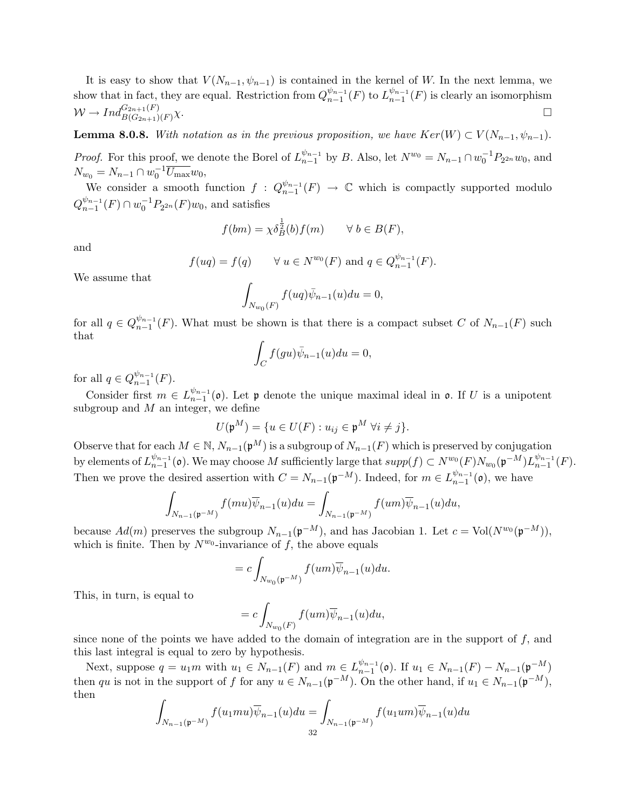It is easy to show that  $V(N_{n-1}, \psi_{n-1})$  is contained in the kernel of W. In the next lemma, we show that in fact, they are equal. Restriction from  $Q_{n-1}^{\psi_{n-1}}$  $\frac{\psi_{n-1}}{n-1}(F)$  to  $L_{n-1}^{\psi_{n-1}}$  $_{n-1}^{\psi_{n-1}}(F)$  is clearly an isomorphism  $W \to Ind_{B(G_{2n+1})(F)}^{G_{2n+1}(F)}$  $\chi$ .

**Lemma 8.0.8.** With notation as in the previous proposition, we have  $Ker(W) \subset V(N_{n-1}, \psi_{n-1})$ .

*Proof.* For this proof, we denote the Borel of  $L_{n-1}^{\psi_{n-1}}$  $\int_{n-1}^{\psi_{n-1}}$  by *B*. Also, let  $N^{w_0} = N_{n-1} \cap w_0^{-1} P_{2^{2n}} w_0$ , and  $N_{w_0} = N_{n-1} \cap w_0^{-1} \overline{U_{\text{max}}} w_0,$ 

We consider a smooth function  $f: Q_{n-1}^{\psi_{n-1}}$  $\frac{\psi_{n-1}}{n-1}(F) \rightarrow \mathbb{C}$  which is compactly supported modulo  $Q_{n-1}^{\psi_{n-1}}$  $\frac{\psi_{n-1}}{n-1}(F) \cap w_0^{-1}P_{2^{2n}}(F)w_0$ , and satisfies

$$
f(bm) = \chi \delta_B^{\frac{1}{2}}(b) f(m) \qquad \forall \ b \in B(F),
$$

and

$$
f(uq) = f(q) \qquad \forall u \in N^{w_0}(F) \text{ and } q \in Q_{n-1}^{\psi_{n-1}}(F).
$$

We assume that

$$
\int_{N_{w_0}(F)} f(uq)\bar{\psi}_{n-1}(u)du = 0,
$$

for all  $q \in Q_{n-1}^{\psi_{n-1}}$  $\binom{w_{n-1}}{n-1}(F)$ . What must be shown is that there is a compact subset C of  $N_{n-1}(F)$  such that

$$
\int_C f(gu)\bar{\psi}_{n-1}(u)du = 0,
$$

for all  $q \in Q_{n-1}^{\psi_{n-1}}$  $_{n-1}^{\psi_{n-1}}(F).$ 

Consider first  $m \in L_{n-1}^{\psi_{n-1}}$  $\binom{\psi_{n-1}}{n-1}$  (o). Let p denote the unique maximal ideal in o. If U is a unipotent subgroup and  $M$  an integer, we define

$$
U(\mathfrak{p}^M) = \{ u \in U(F) : u_{ij} \in \mathfrak{p}^M \ \forall i \neq j \}.
$$

Observe that for each  $M \in \mathbb{N}$ ,  $N_{n-1}(\mathfrak{p}^M)$  is a subgroup of  $N_{n-1}(F)$  which is preserved by conjugation by elements of  $L_{n-1}^{\psi_{n-1}}$  $\frac{\psi_{n-1}}{n-1}$  (o). We may choose M sufficiently large that  $supp(f) \subset N^{w_0}(F)N_{w_0}(\mathfrak{p}^{-M})L_{n-1}^{\psi_{n-1}}$  $_{n-1}^{\psi_{n-1}}(F).$ Then we prove the desired assertion with  $C = N_{n-1}(\mathfrak{p}^{-M})$ . Indeed, for  $m \in L_{n-1}^{\psi_{n-1}}$  $_{n-1}^{\psi_{n-1}}(0)$ , we have

$$
\int_{N_{n-1}(\mathfrak{p}^{-M})} f(mu)\overline{\psi}_{n-1}(u)du = \int_{N_{n-1}(\mathfrak{p}^{-M})} f(um)\overline{\psi}_{n-1}(u)du,
$$

because  $Ad(m)$  preserves the subgroup  $N_{n-1}(\mathfrak{p}^{-M})$ , and has Jacobian 1. Let  $c = Vol(N^{w_0}(\mathfrak{p}^{-M}))$ , which is finite. Then by  $N^{w_0}$ -invariance of f, the above equals

$$
=c\int_{N_{w_0}(\mathfrak{p}^{-M})}f(um)\overline{\psi}_{n-1}(u)du.
$$

This, in turn, is equal to

$$
=c\int_{N_{w_0}(F)}f(um)\overline{\psi}_{n-1}(u)du,
$$

since none of the points we have added to the domain of integration are in the support of  $f$ , and this last integral is equal to zero by hypothesis.

Next, suppose  $q = u_1 m$  with  $u_1 \in N_{n-1}(F)$  and  $m \in L_{n-1}^{\psi_{n-1}}$  $\frac{\psi_{n-1}}{n-1}(\mathfrak{o})$ . If  $u_1 \in N_{n-1}(F) - N_{n-1}(\mathfrak{p}^{-M})$ then qu is not in the support of f for any  $u \in N_{n-1}(\mathfrak{p}^{-M})$ . On the other hand, if  $u_1 \in N_{n-1}(\mathfrak{p}^{-M})$ , then

$$
\int_{N_{n-1}(\mathfrak{p}^{-M})} f(u_1mu)\overline{\psi}_{n-1}(u)du = \int_{N_{n-1}(\mathfrak{p}^{-M})} f(u_1um)\overline{\psi}_{n-1}(u)du
$$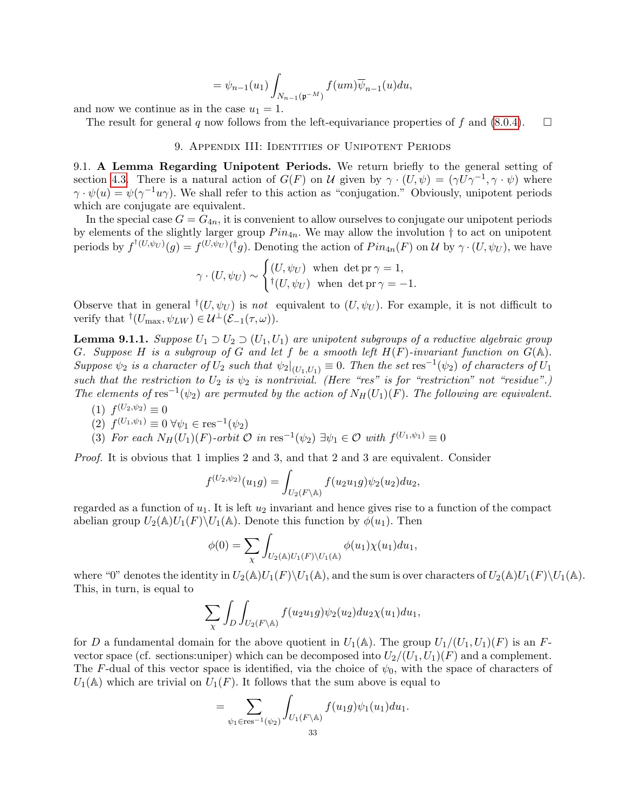$$
= \psi_{n-1}(u_1) \int_{N_{n-1}(\mathfrak{p}^{-M})} f(um) \overline{\psi}_{n-1}(u) du,
$$

and now we continue as in the case  $u_1 = 1$ .

The result for general q now follows from the left-equivariance properties of f and  $(8.0.4)$ .  $\square$ 

### 9. Appendix III: Identities of Unipotent Periods

<span id="page-32-1"></span><span id="page-32-0"></span>9.1. A Lemma Regarding Unipotent Periods. We return briefly to the general setting of section [4.3.](#page-10-0) There is a natural action of  $G(F)$  on U given by  $\gamma \cdot (U, \psi) = (\gamma U \gamma^{-1}, \gamma \cdot \psi)$  where  $\gamma \cdot \psi(u) = \psi(\gamma^{-1}u\gamma)$ . We shall refer to this action as "conjugation." Obviously, unipotent periods which are conjugate are equivalent.

In the special case  $G = G_{4n}$ , it is convenient to allow ourselves to conjugate our unipotent periods by elements of the slightly larger group  $Pin_{4n}$ . We may allow the involution  $\dagger$  to act on unipotent periods by  $f^{\dagger(U,\psi_U)}(g) = f^{(U,\psi_U)}({}^{\dagger}g)$ . Denoting the action of  $Pin_{4n}(F)$  on U by  $\gamma \cdot (U,\psi_U)$ , we have

$$
\gamma \cdot (U, \psi_U) \sim \begin{cases} (U, \psi_U) & \text{when } \det \mathrm{pr} \, \gamma = 1, \\ {}^{\dagger} (U, \psi_U) & \text{when } \det \mathrm{pr} \, \gamma = -1. \end{cases}
$$

Observe that in general  $^{\dagger}(U, \psi_U)$  is not equivalent to  $(U, \psi_U)$ . For example, it is not difficult to verify that  $^{\dagger}(U_{\text{max}}, \psi_{LW}) \in \mathcal{U}^{\perp}(\mathcal{E}_{-1}(\tau, \omega)).$ 

<span id="page-32-2"></span>**Lemma 9.1.1.** Suppose  $U_1 \supset U_2 \supset (U_1, U_1)$  are unipotent subgroups of a reductive algebraic group G. Suppose H is a subgroup of G and let f be a smooth left  $H(F)$ -invariant function on  $G(\mathbb{A})$ . Suppose  $\psi_2$  is a character of  $U_2$  such that  $\psi_2|_{(U_1,U_1)} \equiv 0$ . Then the set res<sup>-1</sup>( $\psi_2$ ) of characters of  $U_1$ such that the restriction to  $U_2$  is  $\psi_2$  is nontrivial. (Here "res" is for "restriction" not "residue".) The elements of res<sup>-1</sup>( $\psi_2$ ) are permuted by the action of  $N_H(U_1)(F)$ . The following are equivalent.

 $(1) f^{(U_2,\psi_2)} \equiv 0$ 

(2) 
$$
f^{(U_1,\psi_1)} \equiv 0 \,\forall \psi_1 \in \text{res}^{-1}(\psi_2)
$$

(3) For each  $N_H(U_1)(F)$ -orbit  $\mathcal O$  in res<sup>-1</sup>( $\psi_2$ )  $\exists \psi_1 \in \mathcal O$  with  $f^{(U_1,\psi_1)} \equiv 0$ 

Proof. It is obvious that 1 implies 2 and 3, and that 2 and 3 are equivalent. Consider

$$
f^{(U_2,\psi_2)}(u_1g) = \int_{U_2(F \backslash \mathbb{A})} f(u_2u_1g)\psi_2(u_2)du_2,
$$

regarded as a function of  $u_1$ . It is left  $u_2$  invariant and hence gives rise to a function of the compact abelian group  $U_2(\mathbb{A})U_1(F)\backslash U_1(\mathbb{A})$ . Denote this function by  $\phi(u_1)$ . Then

$$
\phi(0) = \sum_{\chi} \int_{U_2(\mathbb{A})U_1(F)\backslash U_1(\mathbb{A})} \phi(u_1) \chi(u_1) du_1,
$$

where "0" denotes the identity in  $U_2(\mathbb{A})U_1(F)\setminus U_1(\mathbb{A})$ , and the sum is over characters of  $U_2(\mathbb{A})U_1(F)\setminus U_1(\mathbb{A})$ . This, in turn, is equal to

$$
\sum_{\chi} \int_{D} \int_{U_2(F \backslash \mathbb{A})} f(u_2 u_1 g) \psi_2(u_2) du_2 \chi(u_1) du_1,
$$

for D a fundamental domain for the above quotient in  $U_1(\mathbb{A})$ . The group  $U_1/(U_1, U_1)(F)$  is an Fvector space (cf. sections:uniper) which can be decomposed into  $U_2/(U_1, U_1)(F)$  and a complement. The F-dual of this vector space is identified, via the choice of  $\psi_0$ , with the space of characters of  $U_1(\mathbb{A})$  which are trivial on  $U_1(F)$ . It follows that the sum above is equal to

$$
= \sum_{\psi_1 \in \text{res}^{-1}(\psi_2)} \int_{U_1(F \backslash \mathbb{A})} f(u_1 g) \psi_1(u_1) du_1.
$$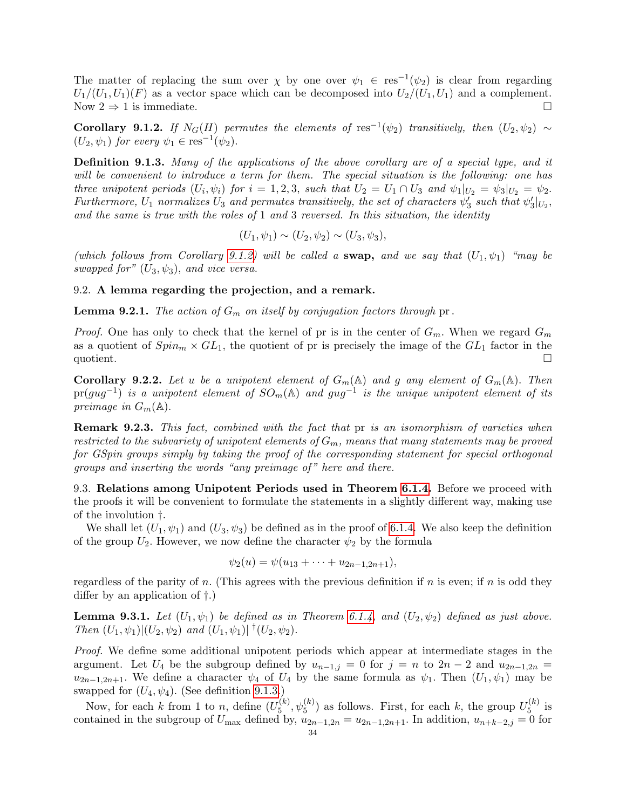The matter of replacing the sum over  $\chi$  by one over  $\psi_1 \in \text{res}^{-1}(\psi_2)$  is clear from regarding  $U_1/(U_1, U_1)(F)$  as a vector space which can be decomposed into  $U_2/(U_1, U_1)$  and a complement. Now  $2 \Rightarrow 1$  is immediate.

<span id="page-33-3"></span>Corollary 9.1.2. If  $N_G(H)$  permutes the elements of res<sup>-1</sup>( $\psi_2$ ) transitively, then  $(U_2, \psi_2) \sim$  $(U_2, \psi_1)$  for every  $\psi_1 \in \text{res}^{-1}(\psi_2)$ .

<span id="page-33-4"></span>Definition 9.1.3. Many of the applications of the above corollary are of a special type, and it will be convenient to introduce a term for them. The special situation is the following: one has three unipotent periods  $(U_i, \psi_i)$  for  $i = 1, 2, 3$ , such that  $U_2 = U_1 \cap U_3$  and  $\psi_1|_{U_2} = \psi_3|_{U_2} = \psi_2$ . Furthermore,  $U_1$  normalizes  $U_3$  and permutes transitively, the set of characters  $\psi'_3$  such that  $\psi'_3|_{U_2}$ , and the same is true with the roles of  $1$  and  $3$  reversed. In this situation, the identity

$$
(U_1, \psi_1) \sim (U_2, \psi_2) \sim (U_3, \psi_3),
$$

(which follows from Corollary [9.1.2\)](#page-33-3) will be called a swap, and we say that  $(U_1, \psi_1)$  "may be swapped for"  $(U_3, \psi_3)$ , and vice versa.

### <span id="page-33-0"></span>9.2. A lemma regarding the projection, and a remark.

**Lemma 9.2.1.** The action of  $G_m$  on itself by conjugation factors through pr.

*Proof.* One has only to check that the kernel of pr is in the center of  $G_m$ . When we regard  $G_m$ as a quotient of  $Spin_m \times GL_1$ , the quotient of pr is precisely the image of the  $GL_1$  factor in the quotient.

**Corollary 9.2.2.** Let u be a unipotent element of  $G_m(\mathbb{A})$  and g any element of  $G_m(\mathbb{A})$ . Then  $pr(gug^{-1})$  is a unipotent element of  $SO_m(\mathbb{A})$  and  $gug^{-1}$  is the unique unipotent element of its preimage in  $G_m(\mathbb{A})$ .

Remark 9.2.3. This fact, combined with the fact that pr is an isomorphism of varieties when restricted to the subvariety of unipotent elements of  $G_m$ , means that many statements may be proved for GSpin groups simply by taking the proof of the corresponding statement for special orthogonal groups and inserting the words "any preimage of " here and there.

<span id="page-33-1"></span>9.3. Relations among Unipotent Periods used in Theorem [6.1.4.](#page-20-0) Before we proceed with the proofs it will be convenient to formulate the statements in a slightly different way, making use of the involution †.

We shall let  $(U_1, \psi_1)$  and  $(U_3, \psi_3)$  be defined as in the proof of [6.1.4.](#page-20-0) We also keep the definition of the group  $U_2$ . However, we now define the character  $\psi_2$  by the formula

$$
\psi_2(u) = \psi(u_{13} + \cdots + u_{2n-1,2n+1}),
$$

regardless of the parity of n. (This agrees with the previous definition if n is even; if n is odd they differ by an application of †.)

<span id="page-33-2"></span>**Lemma 9.3.1.** Let  $(U_1, \psi_1)$  be defined as in Theorem [6.1.4,](#page-20-0) and  $(U_2, \psi_2)$  defined as just above. Then  $(U_1, \psi_1)|(U_2, \psi_2)$  and  $(U_1, \psi_1)|^{\dagger} (U_2, \psi_2)$ .

Proof. We define some additional unipotent periods which appear at intermediate stages in the argument. Let  $U_4$  be the subgroup defined by  $u_{n-1,j} = 0$  for  $j = n$  to  $2n - 2$  and  $u_{2n-1,2n} =$  $u_{2n-1,2n+1}$ . We define a character  $\psi_4$  of  $U_4$  by the same formula as  $\psi_1$ . Then  $(U_1, \psi_1)$  may be swapped for  $(U_4, \psi_4)$ . (See definition [9.1.3.](#page-33-4))

Now, for each k from 1 to n, define  $(U_5^{(k)})$  $\mathcal{L}_5^{(k)}$ ,  $\psi_5^{(k)}$ ) as follows. First, for each k, the group  $U_5^{(k)}$  $5^{(\kappa)}$  is contained in the subgroup of  $U_{\text{max}}$  defined by,  $u_{2n-1,2n} = u_{2n-1,2n+1}$ . In addition,  $u_{n+k-2,j} = 0$  for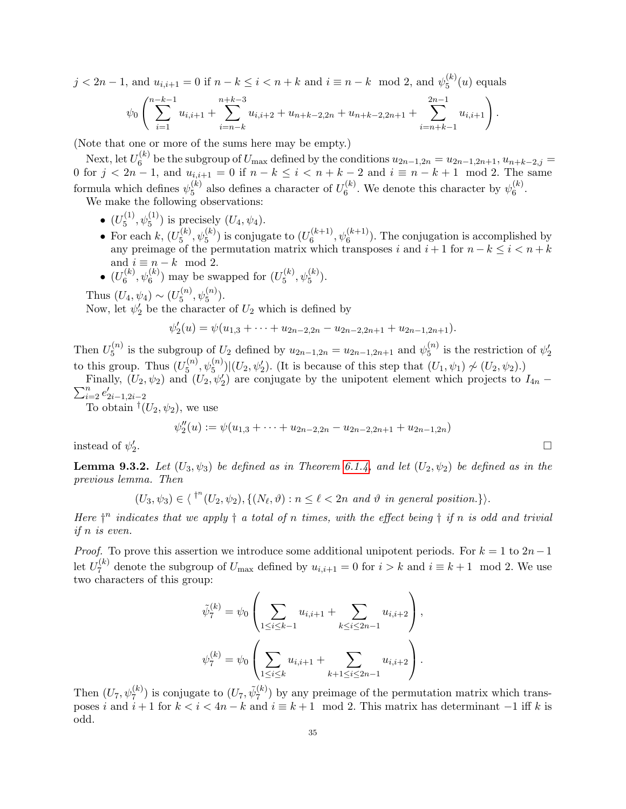$j < 2n-1$ , and  $u_{i,i+1} = 0$  if  $n - k \le i < n + k$  and  $i \equiv n - k \mod 2$ , and  $\psi_5^{(k)}$  $5^{(\kappa)}(u)$  equals

$$
\psi_0\left(\sum_{i=1}^{n-k-1} u_{i,i+1} + \sum_{i=n-k}^{n+k-3} u_{i,i+2} + u_{n+k-2,2n} + u_{n+k-2,2n+1} + \sum_{i=n+k-1}^{2n-1} u_{i,i+1}\right).
$$

(Note that one or more of the sums here may be empty.)

Next, let  $U_6^{(k)}$ <sup>(k)</sup> be the subgroup of  $U_{\text{max}}$  defined by the conditions  $u_{2n-1,2n} = u_{2n-1,2n+1}, u_{n+k-2,j} =$ 0 for  $j < 2n - 1$ , and  $u_{i,i+1} = 0$  if  $n - k \le i < n + k - 2$  and  $i \equiv n - k + 1 \mod 2$ . The same formula which defines  $\psi_5^{(k)}$  $_5^{(k)}$  also defines a character of  $U_6^{(k)}$  $\mathfrak{h}_6^{(k)}$ . We denote this character by  $\psi_6^{(k)}$  $\binom{(\kappa)}{6}$ .

We make the following observations:

- $\bullet$   $(U_5^{(1)}$  $(\mathbf{L}_5^{(1)}, \psi_5^{(1)})$  is precisely  $(U_4, \psi_4)$ .
- For each  $k, (U_5^{(k)})$  $\mathcal{L}_5^{(k)}, \psi_5^{(k)}$ ) is conjugate to  $(U_6^{(k+1)})$  $\mathfrak{h}_{6}^{(k+1)}$ ,  $\psi_{6}^{(k+1)}$ ). The conjugation is accomplished by any preimage of the permutation matrix which transposes i and  $i + 1$  for  $n - k \leq i < n + k$ and  $i \equiv n - k \mod 2$ .
- $\bullet$   $(U_6^{(k)}$  $\mathbf{t}_{6}^{(k)}, \mathbf{\psi}_{6}^{(k)}$ ) may be swapped for  $(U_5^{(k)})$  $_{5}^{(k)}, \psi_{5}^{(k)}).$

Thus  $(U_4, \psi_4) \sim (U_5^{(n)}$  $\mathcal{L}_5^{(n)}, \psi_5^{(n)}$ ).

Now, let  $\psi_2'$  be the character of  $U_2$  which is defined by

$$
\psi_2'(u) = \psi(u_{1,3} + \cdots + u_{2n-2,2n} - u_{2n-2,2n+1} + u_{2n-1,2n+1}).
$$

Then  $U_5^{(n)}$  $\mathbf{y}_{5}^{(n)}$  is the subgroup of  $U_2$  defined by  $u_{2n-1,2n} = u_{2n-1,2n+1}$  and  $\psi_{5}^{(n)}$  $\binom{n}{5}$  is the restriction of  $\psi'_2$ to this group. Thus  $(U_5^{(n)}$  $\mathcal{L}_5^{(n)}, \psi_5^{(n)}$  | $(U_2, \psi_2')$ . (It is because of this step that  $(U_1, \psi_1) \not\sim (U_2, \psi_2)$ .)

Finally,  $(U_2, \psi_2)$  and  $(U_2, \psi_2')$  are conjugate by the unipotent element which projects to  $I_{4n}$  –  $\sum_{i=2}^{n} e'_{2i-1,2i-2}$ 

To obtain  $^{\dagger}(U_2, \psi_2)$ , we use

$$
\psi''_2(u) := \psi(u_{1,3} + \dots + u_{2n-2,2n} - u_{2n-2,2n+1} + u_{2n-1,2n})
$$

instead of  $\psi_2'$ .

<span id="page-34-0"></span>**Lemma 9.3.2.** Let  $(U_3, \psi_3)$  be defined as in Theorem [6.1.4,](#page-20-0) and let  $(U_2, \psi_2)$  be defined as in the previous lemma. Then

$$
(U_3, \psi_3) \in \langle f^n(U_2, \psi_2), \{(N_\ell, \vartheta) : n \leq \ell < 2n \text{ and } \vartheta \text{ in general position.}\}\rangle.
$$

Here  $\dagger^n$  indicates that we apply  $\dagger$  a total of n times, with the effect being  $\dagger$  if n is odd and trivial if n is even.

*Proof.* To prove this assertion we introduce some additional unipotent periods. For  $k = 1$  to  $2n-1$ let  $U_7^{(k)}$  $U_{\tau}^{(k)}$  denote the subgroup of  $U_{\text{max}}$  defined by  $u_{i,i+1} = 0$  for  $i > k$  and  $i \equiv k+1 \mod 2$ . We use two characters of this group:

$$
\tilde{\psi}_7^{(k)} = \psi_0 \left( \sum_{1 \le i \le k-1} u_{i,i+1} + \sum_{k \le i \le 2n-1} u_{i,i+2} \right),
$$
  

$$
\psi_7^{(k)} = \psi_0 \left( \sum_{1 \le i \le k} u_{i,i+1} + \sum_{k+1 \le i \le 2n-1} u_{i,i+2} \right).
$$

Then  $(U_7, \psi_7^{(k)})$  is conjugate to  $(U_7, \tilde{\psi}_7^{(k)})$  $\binom{k}{7}$  by any preimage of the permutation matrix which transposes i and  $i+1$  for  $k < i < 4n - k$  and  $i \equiv k+1 \mod 2$ . This matrix has determinant  $-1$  iff k is odd.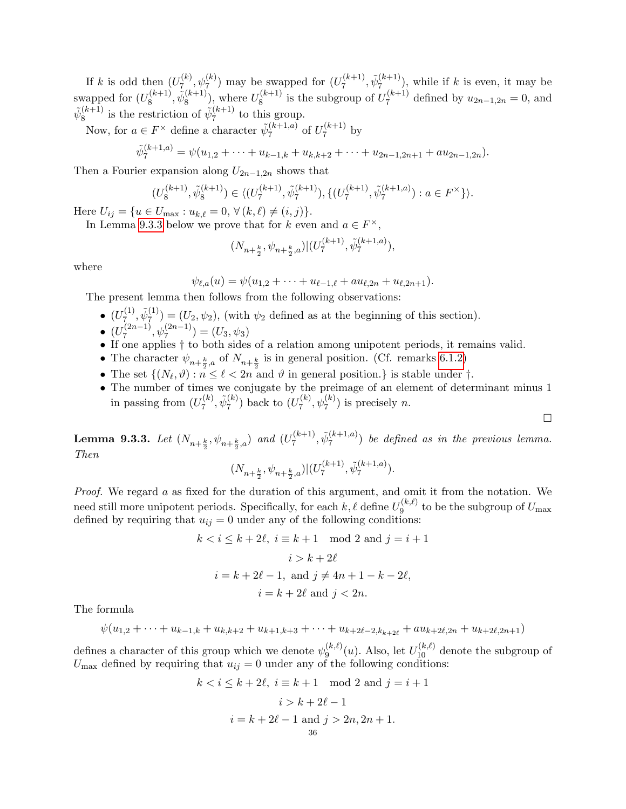If k is odd then  $(U_7^{(k)}$  $\mathcal{L}_{7}^{(k)}, \psi_{7}^{(k)}$  may be swapped for  $(U_{7}^{(k+1)})$  $\tilde{\psi}_7^{(k+1)}, \tilde{\psi}_7^{(k+1)}$  $\binom{k+1}{7}$ , while if k is even, it may be swapped for  $(U_8^{(k+1)}$  $\tilde{\psi}_8^{(k+1)}, \tilde{\psi}_8^{(k+1)}$  $\binom{(k+1)}{8}$ , where  $U_8^{(k+1)}$  $\mathcal{E}_8^{(k+1)}$  is the subgroup of  $U_7^{(k+1)}$  $u_{2n-1,2n} = 0$ , and  $u_{2n-1,2n} = 0$  $\tilde{\psi}^{(k+1)}_8$  $\tilde{\mathbf{g}}_8^{(k+1)}$  is the restriction of  $\tilde{\psi}_7^{(k+1)}$  $\frac{7^{(k+1)}}{7}$  to this group.

Now, for  $a \in F^{\times}$  define a character  $\tilde{\psi}_{7}^{(k+1,a)}$  $\frac{(k+1,a)}{7}$  of  $U_7^{(k+1)}$  $\frac{1}{7}$  by

$$
\tilde{\psi}_7^{(k+1,a)} = \psi(u_{1,2} + \cdots + u_{k-1,k} + u_{k,k+2} + \cdots + u_{2n-1,2n+1} + au_{2n-1,2n}).
$$

Then a Fourier expansion along  $U_{2n-1,2n}$  shows that

$$
(U_8^{(k+1)}, \tilde{\psi}_8^{(k+1)}) \in \langle (U_7^{(k+1)}, \tilde{\psi}_7^{(k+1)}), \{ (U_7^{(k+1)}, \tilde{\psi}_7^{(k+1,a)}) : a \in F^\times \} \rangle.
$$

Here  $U_{ij} = \{u \in U_{\text{max}} : u_{k,\ell} = 0, \forall (k,\ell) \neq (i,j) \}.$ 

In Lemma [9.3.3](#page-35-0) below we prove that for k even and  $a \in F^{\times}$ ,

$$
(N_{n+\frac{k}{2}}, \psi_{n+\frac{k}{2},a})|(U_7^{(k+1)}, \tilde{\psi}_7^{(k+1,a)}),
$$

where

$$
\psi_{\ell,a}(u) = \psi(u_{1,2} + \cdots + u_{\ell-1,\ell} + au_{\ell,2n} + u_{\ell,2n+1}).
$$

The present lemma then follows from the following observations:

- $\bullet$   $(U_7^{(1)}$  $\tilde{\psi}_7^{(1)}, \tilde{\psi}_7^{(1)}$  $\mathcal{F}^{(1)}_7$  =  $(U_2, \psi_2)$ , (with  $\psi_2$  defined as at the beginning of this section).
- $\bullet$   $(U_7^{(2n-1)}$  $\psi_7^{(2n-1)}, \psi_7^{(2n-1)}$ ) =  $(U_3, \psi_3)$
- If one applies † to both sides of a relation among unipotent periods, it remains valid.
- The character  $\psi_{n+\frac{k}{2},a}$  of  $N_{n+\frac{k}{2}}$  is in general position. (Cf. remarks [6.1.2\)](#page-20-2)
- The set  $\{(N_\ell, \vartheta) : n \leq \ell < 2n \text{ and } \vartheta \text{ in general position.}\}\$ is stable under  $\dagger$ .
- The number of times we conjugate by the preimage of an element of determinant minus 1 in passing from  $(U_7^{(k)}$  $\tilde{\psi}_7^{(k)}, \tilde{\psi}_7^{(k)}$  $\binom{k}{7}$  back to  $(U_7^{(k)}$  $\psi_7^{(k)}$ ,  $\psi_7^{(k)}$ ) is precisely *n*.

 $\Box$ 

<span id="page-35-0"></span>**Lemma 9.3.3.** Let  $(N_{n+\frac{k}{2}},\psi_{n+\frac{k}{2},a})$  and  $(U_7^{(k+1)}$  $\tilde{\psi}_7^{(k+1),}$   $\tilde{\psi}_7^{(k+1,a)}$  $\binom{k+1, a}{7}$  be defined as in the previous lemma. Then

$$
(N_{n+\frac{k}{2}}, \psi_{n+\frac{k}{2},a})|(U_7^{(k+1)}, \tilde{\psi}_7^{(k+1,a)}).
$$

Proof. We regard a as fixed for the duration of this argument, and omit it from the notation. We need still more unipotent periods. Specifically, for each  $k, \ell$  define  $U_9^{(k,\ell)}$  $\mathcal{Q}_9^{(k,\ell)}$  to be the subgroup of  $U_{\rm max}$ defined by requiring that  $u_{ij} = 0$  under any of the following conditions:

$$
k < i \leq k + 2\ell, \ i \equiv k + 1 \mod 2 \text{ and } j = i + 1
$$
\n
$$
i > k + 2\ell
$$
\n
$$
i = k + 2\ell - 1, \text{ and } j \neq 4n + 1 - k - 2\ell,
$$
\n
$$
i = k + 2\ell \text{ and } j < 2n.
$$

The formula

$$
\psi(u_{1,2} + \cdots + u_{k-1,k} + u_{k,k+2} + u_{k+1,k+3} + \cdots + u_{k+2\ell-2,k_{k+2\ell}} + au_{k+2\ell,2n} + u_{k+2\ell,2n+1})
$$

defines a character of this group which we denote  $\psi_9^{(k,\ell)}$  $\mathcal{L}_9^{(k,\ell)}(u)$ . Also, let  $U_{10}^{(k,\ell)}$  denote the subgroup of  $U_{\text{max}}$  defined by requiring that  $u_{ij} = 0$  under any of the following conditions:

$$
k < i \leq k + 2\ell, \ i \equiv k + 1 \mod 2 \text{ and } j = i + 1
$$

$$
i > k + 2\ell - 1
$$

$$
i = k + 2\ell - 1 \text{ and } j > 2n, 2n + 1.
$$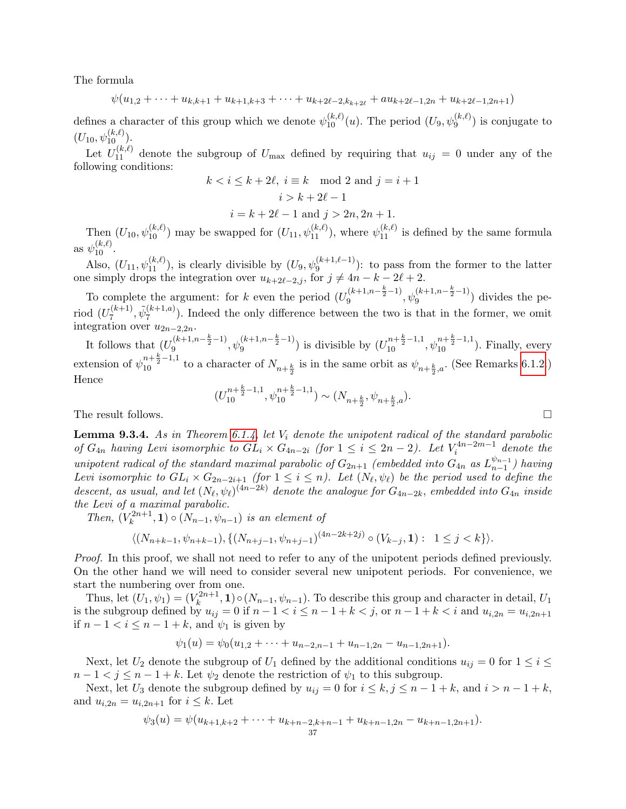The formula

$$
\psi(u_{1,2} + \cdots + u_{k,k+1} + u_{k+1,k+3} + \cdots + u_{k+2\ell-2,k_{k+2\ell}} + au_{k+2\ell-1,2n} + u_{k+2\ell-1,2n+1})
$$

defines a character of this group which we denote  $\psi_{10}^{(k,\ell)}(u)$ . The period  $(U_9, \psi_9^{(k,\ell)})$  is conjugate to  $(U_{10},\psi_{10}^{(k,\ell)}).$ 

Let  $U_{11}^{(k,\ell)}$  denote the subgroup of  $U_{\text{max}}$  defined by requiring that  $u_{ij} = 0$  under any of the following conditions:

$$
k < i \leq k + 2\ell, i \equiv k \mod 2 \text{ and } j = i + 1
$$

$$
i > k + 2\ell - 1
$$

$$
i = k + 2\ell - 1
$$
 and  $j > 2n, 2n + 1$ .

Then  $(U_{10}, \psi_{10}^{(k,\ell)})$  may be swapped for  $(U_{11}, \psi_{11}^{(k,\ell)})$ , where  $\psi_{11}^{(k,\ell)}$  is defined by the same formula as  $\psi_{10}^{(k,\ell)}$ .

Also,  $(U_{11}, \psi_{11}^{(k,\ell)})$ , is clearly divisible by  $(U_9, \psi_9^{(k+1,\ell-1)})$ : to pass from the former to the latter one simply drops the integration over  $u_{k+2\ell-2,j}$ , for  $j \neq 4n - k - 2\ell + 2$ .

To complete the argument: for k even the period  $(U_9^{(k+1,n-\frac{k}{2}-1)}, \psi_9^{(k+1,n-\frac{k}{2}-1)})$  divides the period  $(U_7^{(k+1)}$  $\tilde{\psi}_7^{(k+1,a)}$ ,  $\tilde{\psi}_7^{(k+1,a)}$  $\binom{k+1, a}{7}$ . Indeed the only difference between the two is that in the former, we omit integration over  $u_{2n-2,2n}$ .

It follows that  $(U_9^{(k+1,n-\frac{k}{2}-1)}, \psi_9^{(k+1,n-\frac{k}{2}-1)})$  is divisible by  $(U_{10}^{n+\frac{k}{2}-1,1}, \psi_{10}^{n+\frac{k}{2}-1,1})$ . Finally, every extension of  $\psi_{10}^{n+\frac{k}{2}-1,1}$  to a character of  $N_{n+\frac{k}{2}}$  is in the same orbit as  $\psi_{n+\frac{k}{2},a}$ . (See Remarks [6.1.2.](#page-20-2)) Hence

$$
(U_{10}^{n+\frac{k}{2}-1,1},\psi_{10}^{n+\frac{k}{2}-1,1})\sim (N_{n+\frac{k}{2}},\psi_{n+\frac{k}{2},a}).
$$

The result follows.  $\Box$ 

<span id="page-36-0"></span>**Lemma 9.3.4.** As in Theorem [6.1.4,](#page-20-0) let  $V_i$  denote the unipotent radical of the standard parabolic of  $G_{4n}$  having Levi isomorphic to  $GL_i \times G_{4n-2i}$  (for  $1 \leq i \leq 2n-2$ ). Let  $V_i^{4n-2m-1}$  denote the unipotent radical of the standard maximal parabolic of  $G_{2n+1}$  (embedded into  $G_{4n}$  as  $L_{n-1}^{\psi_{n-1}}$  $_{n-1}^{\psi_{n-1}}$ ) having Levi isomorphic to  $GL_i \times G_{2n-2i+1}$  (for  $1 \leq i \leq n$ ). Let  $(N_{\ell}, \psi_{\ell})$  be the period used to define the descent, as usual, and let  $(N_\ell, \psi_\ell)^{(4n-2k)}$  denote the analogue for  $G_{4n-2k}$ , embedded into  $G_{4n}$  inside the Levi of a maximal parabolic.

Then,  $(V_k^{2n+1})$  $(k^{2n+1}, 1) \circ (N_{n-1}, \psi_{n-1})$  is an element of

$$
\langle (N_{n+k-1}, \psi_{n+k-1}), \{ (N_{n+j-1}, \psi_{n+j-1})^{(4n-2k+2j)} \circ (V_{k-j}, \mathbf{1}) : 1 \le j < k \} \rangle.
$$

Proof. In this proof, we shall not need to refer to any of the unipotent periods defined previously. On the other hand we will need to consider several new unipotent periods. For convenience, we start the numbering over from one.

Thus, let  $(U_1, \psi_1) = (V_k^{2n+1})$  $(k_{k}^{2n+1}, 1) \circ (N_{n-1}, \psi_{n-1})$ . To describe this group and character in detail,  $U_1$ is the subgroup defined by  $u_{ij} = 0$  if  $n - 1 < i \leq n - 1 + k < j$ , or  $n - 1 + k < i$  and  $u_{i,2n} = u_{i,2n+1}$ if  $n-1 < i \leq n-1+k$ , and  $\psi_1$  is given by

$$
\psi_1(u) = \psi_0(u_{1,2} + \cdots + u_{n-2,n-1} + u_{n-1,2n} - u_{n-1,2n+1}).
$$

Next, let  $U_2$  denote the subgroup of  $U_1$  defined by the additional conditions  $u_{ij} = 0$  for  $1 \le i \le j$  $n-1 < j \leq n-1+k$ . Let  $\psi_2$  denote the restriction of  $\psi_1$  to this subgroup.

Next, let  $U_3$  denote the subgroup defined by  $u_{ij} = 0$  for  $i \leq k, j \leq n - 1 + k$ , and  $i > n - 1 + k$ , and  $u_{i,2n} = u_{i,2n+1}$  for  $i \leq k$ . Let

$$
\psi_3(u) = \psi(u_{k+1,k+2} + \cdots + u_{k+n-2,k+n-1} + u_{k+n-1,2n} - u_{k+n-1,2n+1}).
$$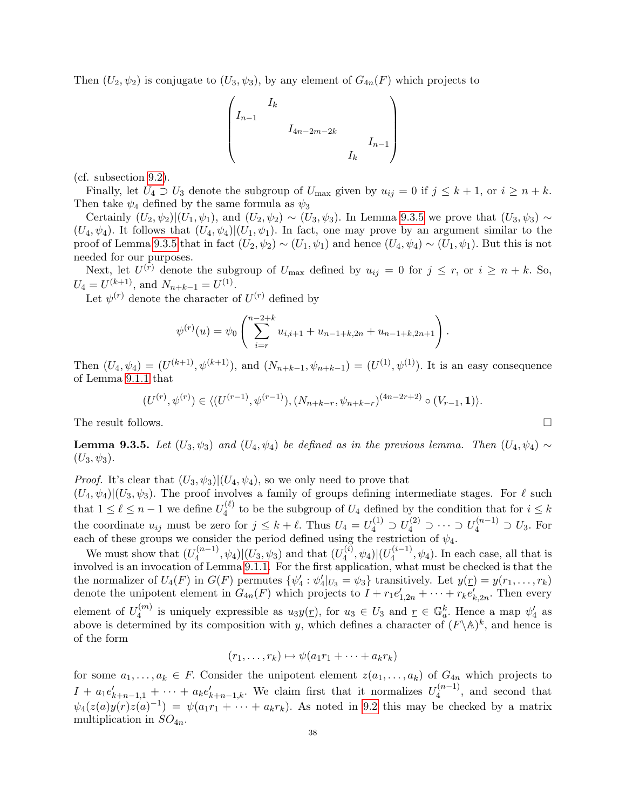Then  $(U_2, \psi_2)$  is conjugate to  $(U_3, \psi_3)$ , by any element of  $G_{4n}(F)$  which projects to

$$
\begin{pmatrix} I_k & & & & \\ I_{n-1} & & & & \\ & I_{4n-2m-2k} & & & \\ & & I_k & & \\ & & & I_k \end{pmatrix}
$$

(cf. subsection [9.2\)](#page-33-0).

Finally, let  $U_4 \supset U_3$  denote the subgroup of  $U_{\text{max}}$  given by  $u_{ij} = 0$  if  $j \leq k+1$ , or  $i \geq n+k$ . Then take  $\psi_4$  defined by the same formula as  $\psi_3$ 

Certainly  $(U_2, \psi_2)|(U_1, \psi_1)$ , and  $(U_2, \psi_2) \sim (U_3, \psi_3)$ . In Lemma [9.3.5](#page-37-0) we prove that  $(U_3, \psi_3) \sim$  $(U_4, \psi_4)$ . It follows that  $(U_4, \psi_4)|(U_1, \psi_1)$ . In fact, one may prove by an argument similar to the proof of Lemma [9.3.5](#page-37-0) that in fact  $(U_2, \psi_2) \sim (U_1, \psi_1)$  and hence  $(U_4, \psi_4) \sim (U_1, \psi_1)$ . But this is not needed for our purposes.

Next, let  $U^{(r)}$  denote the subgroup of  $U_{\text{max}}$  defined by  $u_{ij} = 0$  for  $j \leq r$ , or  $i \geq n + k$ . So,  $U_4 = U^{(k+1)}$ , and  $N_{n+k-1} = U^{(1)}$ .

Let  $\psi^{(r)}$  denote the character of  $U^{(r)}$  defined by

$$
\psi^{(r)}(u) = \psi_0 \left( \sum_{i=r}^{n-2+k} u_{i,i+1} + u_{n-1+k,2n} + u_{n-1+k,2n+1} \right).
$$

Then  $(U_4, \psi_4) = (U^{(k+1)}, \psi^{(k+1)})$ , and  $(N_{n+k-1}, \psi_{n+k-1}) = (U^{(1)}, \psi^{(1)})$ . It is an easy consequence of Lemma [9.1.1](#page-32-2) that

$$
(U^{(r)}, \psi^{(r)}) \in \langle (U^{(r-1)}, \psi^{(r-1)}), (N_{n+k-r}, \psi_{n+k-r})^{(4n-2r+2)} \circ (V_{r-1}, \mathbf{1}) \rangle.
$$

The result follows.

<span id="page-37-0"></span>**Lemma 9.3.5.** Let  $(U_3, \psi_3)$  and  $(U_4, \psi_4)$  be defined as in the previous lemma. Then  $(U_4, \psi_4) \sim$  $(U_3, \psi_3).$ 

*Proof.* It's clear that  $(U_3, \psi_3)|(U_4, \psi_4)$ , so we only need to prove that

 $(U_4, \psi_4)|(U_3, \psi_3)$ . The proof involves a family of groups defining intermediate stages. For  $\ell$  such that  $1 \leq \ell \leq n-1$  we define  $U_4^{(\ell)}$  $\mathcal{U}_4^{(t)}$  to be the subgroup of  $U_4$  defined by the condition that for  $i \leq k$ the coordinate  $u_{ij}$  must be zero for  $j \leq k + \ell$ . Thus  $U_4 = U_4^{(1)} \supset U_4^{(2)} \supset \cdots \supset U_4^{(n-1)} \supset U_3$ . For each of these groups we consider the period defined using the restriction of  $\psi_4$ .

We must show that  $(U_4^{(n-1)}$  $\mathcal{L}_4^{(n-1)}, \psi_4 \vert (U_3, \psi_3) \text{ and that } (U_4^{(i)})$  $\frac{d^{(i)}}{4},\psi _{4})|(U_{4}^{(i-1)}% )\psi (U_{4}^{(i-1)}% )|\psi (U_{4}^{(i-1)}% )|^{2}$  $\psi_4^{(\ell-1)}, \psi_4$ ). In each case, all that is involved is an invocation of Lemma [9.1.1.](#page-32-2) For the first application, what must be checked is that the the normalizer of  $U_4(F)$  in  $G(F)$  permutes  $\{\psi'_4 : \psi'_4|_{U_3} = \psi_3\}$  transitively. Let  $y(\underline{r}) = y(r_1, \ldots, r_k)$ denote the unipotent element in  $G_{4n}(F)$  which projects to  $I + r_1 e'_{1,2n} + \cdots + r_k e'_{k,2n}$ . Then every element of  $U_4^{(m)}$  $u_4^{(m)}$  is uniquely expressible as  $u_3y(\underline{r})$ , for  $u_3 \in U_3$  and  $\underline{r} \in \mathbb{G}_a^k$ . Hence a map  $\psi'_4$  as above is determined by its composition with y, which defines a character of  $(F \backslash A)^k$ , and hence is of the form

$$
(r_1,\ldots,r_k)\mapsto\psi(a_1r_1+\cdots+a_kr_k)
$$

for some  $a_1, \ldots, a_k \in F$ . Consider the unipotent element  $z(a_1, \ldots, a_k)$  of  $G_{4n}$  which projects to  $I + a_1 e'_{k+n-1,1} + \cdots + a_k e'_{k+n-1,k}$ . We claim first that it normalizes  $U_4^{(n-1)}$  $\binom{n-1}{4}$ , and second that  $\psi_4(z(a)y(r)z(a)^{-1}) = \psi(a_1r_1 + \cdots + a_kr_k)$ . As noted in [9.2](#page-33-0) this may be checked by a matrix multiplication in  $SO_{4n}$ .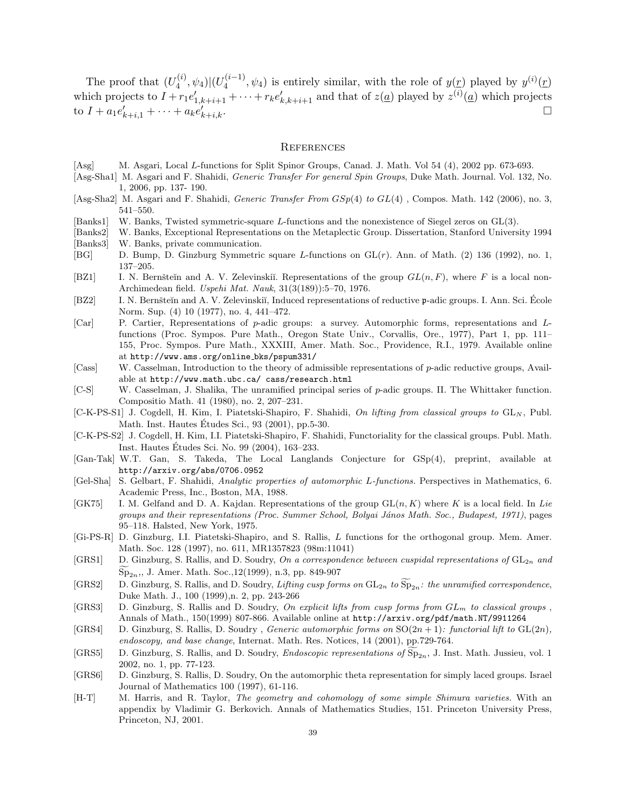The proof that  $(U_4^{(i)}$  $\frac{d^{(i)}}{4},\psi _{4})|(U_{4}^{(i-1)}% )\psi (U_{4}^{(i-1)}% )|\psi (U_{4}^{(i-1)}% )|^{2}$  $\mathcal{L}_4^{(i-1)}$ ,  $\psi_4$ ) is entirely similar, with the role of  $y(\underline{r})$  played by  $y^{(i)}(\underline{r})$ which projects to  $I + r_1 e'_{1,k+i+1} + \cdots + r_k e'_{k,k+i+1}$  and that of  $z(\underline{a})$  played by  $z^{(i)}(\underline{a})$  which projects to  $I + a_1 e'_{k+i,1} + \cdots + a_k e'_{k}$  $k+i,k$ .

#### **REFERENCES**

- <span id="page-38-14"></span>[Asg] M. Asgari, Local L-functions for Split Spinor Groups, Canad. J. Math. Vol 54 (4), 2002 pp. 673-693.
- <span id="page-38-5"></span>[Asg-Sha1] M. Asgari and F. Shahidi, Generic Transfer For general Spin Groups, Duke Math. Journal. Vol. 132, No. 1, 2006, pp. 137- 190.
- <span id="page-38-6"></span>[Asg-Sha2] M. Asgari and F. Shahidi, Generic Transfer From GSp(4) to GL(4) , Compos. Math. 142 (2006), no. 3, 541–550.
- <span id="page-38-11"></span>[Banks1] W. Banks, Twisted symmetric-square L-functions and the nonexistence of Siegel zeros on GL(3).
- <span id="page-38-13"></span><span id="page-38-12"></span>[Banks2] W. Banks, Exceptional Representations on the Metaplectic Group. Dissertation, Stanford University 1994 [Banks3] W. Banks, private communication.
- <span id="page-38-10"></span>[BG] D. Bump, D. Ginzburg Symmetric square L-functions on GL(r). Ann. of Math. (2) 136 (1992), no. 1, 137–205.
- <span id="page-38-16"></span>[BZ1] I. N. Bernšteĭn and A. V. Zelevinskiĭ. Representations of the group  $GL(n, F)$ , where F is a local non-Archimedean field. Uspehi Mat. Nauk, 31(3(189)):5–70, 1976.
- <span id="page-38-20"></span>[BZ2] I. N. Bernšteĭn and A. V. Zelevinskiĭ, Induced representations of reductive p-adic groups. I. Ann. Sci. École Norm. Sup. (4) 10 (1977), no. 4, 441–472.
- <span id="page-38-17"></span>[Car] P. Cartier, Representations of p-adic groups: a survey. Automorphic forms, representations and Lfunctions (Proc. Sympos. Pure Math., Oregon State Univ., Corvallis, Ore., 1977), Part 1, pp. 111– 155, Proc. Sympos. Pure Math., XXXIII, Amer. Math. Soc., Providence, R.I., 1979. Available online at http://www.ams.org/online bks/pspum331/
- <span id="page-38-22"></span>[Cass] W. Casselman, Introduction to the theory of admissible representations of p-adic reductive groups, Available at http://www.math.ubc.ca/ cass/research.html
- <span id="page-38-21"></span>[C-S] W. Casselman, J. Shalika, The unramified principal series of p-adic groups. II. The Whittaker function. Compositio Math. 41 (1980), no. 2, 207–231.
- <span id="page-38-4"></span> $[C-K-PS-S1]$  J. Cogdell, H. Kim, I. Piatetski-Shapiro, F. Shahidi, On lifting from classical groups to  $GL_N$ , Publ. Math. Inst. Hautes Etudes Sci., 93 (2001), pp.5-30. ´
- <span id="page-38-2"></span>[C-K-PS-S2] J. Cogdell, H. Kim, I.I. Piatetski-Shapiro, F. Shahidi, Functoriality for the classical groups. Publ. Math. Inst. Hautes Etudes Sci. No. 99 (2004), 163–233. ´
- <span id="page-38-7"></span>[Gan-Tak] W.T. Gan, S. Takeda, The Local Langlands Conjecture for GSp(4), preprint, available at http://arxiv.org/abs/0706.0952
- <span id="page-38-9"></span>[Gel-Sha] S. Gelbart, F. Shahidi, Analytic properties of automorphic L-functions. Perspectives in Mathematics, 6. Academic Press, Inc., Boston, MA, 1988.
- <span id="page-38-15"></span>[GK75] I. M. Gelfand and D. A. Kajdan. Representations of the group  $GL(n, K)$  where K is a local field. In Lie groups and their representations (Proc. Summer School, Bolyai János Math. Soc., Budapest, 1971), pages 95–118. Halsted, New York, 1975.
- <span id="page-38-18"></span>[Gi-PS-R] D. Ginzburg, I.I. Piatetski-Shapiro, and S. Rallis, L functions for the orthogonal group. Mem. Amer. Math. Soc. 128 (1997), no. 611, MR1357823 (98m:11041)
- <span id="page-38-0"></span>[GRS1] D. Ginzburg, S. Rallis, and D. Soudry, On a correspondence between cuspidal representations of  $GL_{2n}$  and  $Sp_{2n}$ ,, J. Amer. Math. Soc.,12(1999), n.3, pp. 849-907
- [GRS2] D. Ginzburg, S. Rallis, and D. Soudry, Lifting cusp forms on  $GL_{2n}$  to  $\widetilde{Sp}_{2n}$ : the unramified correspondence, Duke Math. J., 100 (1999),n. 2, pp. 243-266
- <span id="page-38-19"></span>[GRS3] D. Ginzburg, S. Rallis and D. Soudry, On explicit lifts from cusp forms from  $GL_m$  to classical groups, Annals of Math., 150(1999) 807-866. Available online at http://arxiv.org/pdf/math.NT/9911264
- <span id="page-38-3"></span>[GRS4] D. Ginzburg, S. Rallis, D. Soudry, Generic automorphic forms on  $SO(2n + 1)$ : functorial lift to  $GL(2n)$ , endoscopy, and base change, Internat. Math. Res. Notices, 14 (2001), pp.729-764.
- <span id="page-38-1"></span>[GRS5] D. Ginzburg, S. Rallis, and D. Soudry, *Endoscopic representations of*  $\widetilde{\text{Sp}}_{2n}$ , J. Inst. Math. Jussieu, vol. 1 2002, no. 1, pp. 77-123.
- [GRS6] D. Ginzburg, S. Rallis, D. Soudry, On the automorphic theta representation for simply laced groups. Israel Journal of Mathematics 100 (1997), 61-116.
- <span id="page-38-8"></span>[H-T] M. Harris, and R. Taylor, The geometry and cohomology of some simple Shimura varieties. With an appendix by Vladimir G. Berkovich. Annals of Mathematics Studies, 151. Princeton University Press, Princeton, NJ, 2001.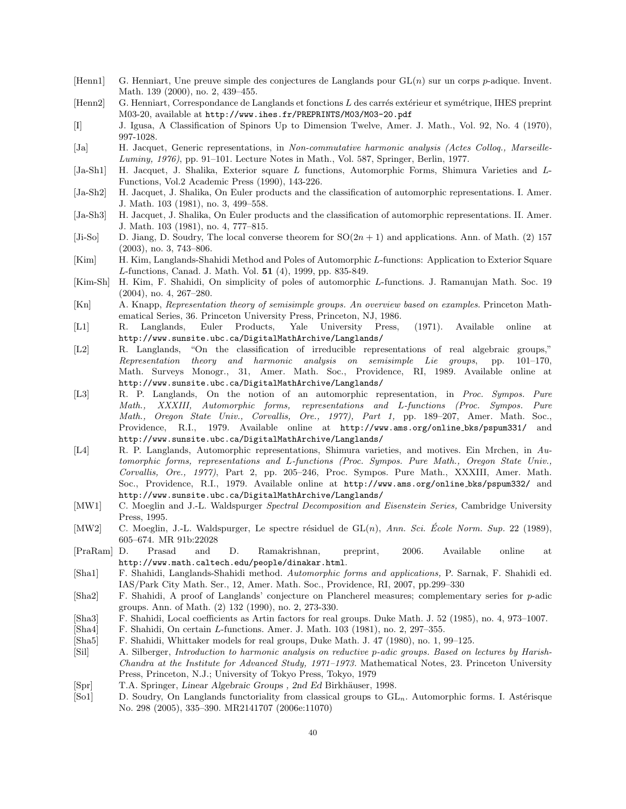- <span id="page-39-3"></span>[Henn1] G. Henniart, Une preuve simple des conjectures de Langlands pour GL(n) sur un corps p-adique. Invent. Math. 139 (2000), no. 2, 439–455.
- <span id="page-39-5"></span>[Henn2] G. Henniart, Correspondance de Langlands et fonctions L des carrés extérieur et symétrique, IHES preprint M03-20, available at http://www.ihes.fr/PREPRINTS/M03/M03-20.pdf
- <span id="page-39-15"></span>[I] J. Igusa, A Classification of Spinors Up to Dimension Twelve, Amer. J. Math., Vol. 92, No. 4 (1970), 997-1028.
- <span id="page-39-10"></span>[Ja] H. Jacquet, Generic representations, in Non-commutative harmonic analysis (Actes Colloq., Marseille-Luminy, 1976), pp. 91–101. Lecture Notes in Math., Vol. 587, Springer, Berlin, 1977.
- <span id="page-39-8"></span>[Ja-Sh1] H. Jacquet, J. Shalika, Exterior square L functions, Automorphic Forms, Shimura Varieties and L-Functions, Vol.2 Academic Press (1990), 143-226.
- <span id="page-39-1"></span>[Ja-Sh2] H. Jacquet, J. Shalika, On Euler products and the classification of automorphic representations. I. Amer. J. Math. 103 (1981), no. 3, 499–558.
- <span id="page-39-12"></span>[Ja-Sh3] H. Jacquet, J. Shalika, On Euler products and the classification of automorphic representations. II. Amer. J. Math. 103 (1981), no. 4, 777–815.
- <span id="page-39-16"></span>[Ji-So] D. Jiang, D. Soudry, The local converse theorem for  $SO(2n + 1)$  and applications. Ann. of Math. (2) 157 (2003), no. 3, 743–806.
- <span id="page-39-6"></span>[Kim] H. Kim, Langlands-Shahidi Method and Poles of Automorphic L-functions: Application to Exterior Square L-functions, Canad. J. Math. Vol. 51 (4), 1999, pp. 835-849.
- <span id="page-39-19"></span>[Kim-Sh] H. Kim, F. Shahidi, On simplicity of poles of automorphic L-functions. J. Ramanujan Math. Soc. 19 (2004), no. 4, 267–280.
- <span id="page-39-21"></span>[Kn] A. Knapp, Representation theory of semisimple groups. An overview based on examples. Princeton Mathematical Series, 36. Princeton University Press, Princeton, NJ, 1986.
- <span id="page-39-18"></span>[L1] R. Langlands, Euler Products, Yale University Press, (1971). Available online at http://www.sunsite.ubc.ca/DigitalMathArchive/Langlands/
- <span id="page-39-2"></span>[L2] R. Langlands, "On the classification of irreducible representations of real algebraic groups," Representation theory and harmonic analysis on semisimple Lie groups, pp. 101–170, Math. Surveys Monogr., 31, Amer. Math. Soc., Providence, RI, 1989. Available online at http://www.sunsite.ubc.ca/DigitalMathArchive/Langlands/
- <span id="page-39-9"></span>[L3] R. P. Langlands, On the notion of an automorphic representation, in Proc. Sympos. Pure Math., XXXIII, Automorphic forms, representations and L-functions (Proc. Sympos. Pure Math., Oregon State Univ., Corvallis, Ore., 1977), Part 1, pp. 189–207, Amer. Math. Soc., Providence, R.I., 1979. Available online at http://www.ams.org/online bks/pspum331/ and http://www.sunsite.ubc.ca/DigitalMathArchive/Langlands/
- <span id="page-39-13"></span>[L4] R. P. Langlands, Automorphic representations, Shimura varieties, and motives. Ein Mrchen, in Automorphic forms, representations and L-functions (Proc. Sympos. Pure Math., Oregon State Univ., Corvallis, Ore., 1977), Part 2, pp. 205–246, Proc. Sympos. Pure Math., XXXIII, Amer. Math. Soc., Providence, R.I., 1979. Available online at http://www.ams.org/online bks/pspum332/ and http://www.sunsite.ubc.ca/DigitalMathArchive/Langlands/
- <span id="page-39-11"></span>[MW1] C. Moeglin and J.-L. Waldspurger Spectral Decomposition and Eisenstein Series, Cambridge University Press, 1995.
- [MW2] C. Moeglin, J.-L. Waldspurger, Le spectre résiduel de  $GL(n)$ , Ann. Sci. École Norm. Sup. 22 (1989), 605–674. MR 91b:22028
- <span id="page-39-7"></span>[PraRam] D. Prasad and D. Ramakrishnan, preprint, 2006. Available online at http://www.math.caltech.edu/people/dinakar.html.
- <span id="page-39-17"></span>[Sha1] F. Shahidi, Langlands-Shahidi method. Automorphic forms and applications, P. Sarnak, F. Shahidi ed. IAS/Park City Math. Ser., 12, Amer. Math. Soc., Providence, RI, 2007, pp.299–330
- <span id="page-39-4"></span>[Sha2] F. Shahidi, A proof of Langlands' conjecture on Plancherel measures; complementary series for p-adic groups. Ann. of Math. (2) 132 (1990), no. 2, 273-330.
- <span id="page-39-22"></span>[Sha3] F. Shahidi, Local coefficients as Artin factors for real groups. Duke Math. J. 52 (1985), no. 4, 973–1007.
- <span id="page-39-23"></span>[Sha4] F. Shahidi, On certain L-functions. Amer. J. Math. 103 (1981), no. 2, 297–355.
- [Sha5] F. Shahidi, Whittaker models for real groups, Duke Math. J. 47 (1980), no. 1, 99–125.
- <span id="page-39-20"></span>[Sil] A. Silberger, Introduction to harmonic analysis on reductive p-adic groups. Based on lectures by Harish-Chandra at the Institute for Advanced Study, 1971–1973. Mathematical Notes, 23. Princeton University Press, Princeton, N.J.; University of Tokyo Press, Tokyo, 1979
- <span id="page-39-14"></span>[Spr] T.A. Springer, Linear Algebraic Groups, 2nd Ed Birkhäuser, 1998.
- <span id="page-39-0"></span>[So1] D. Soudry, On Langlands functoriality from classical groups to GL<sub>n</sub>. Automorphic forms. I. Astérisque No. 298 (2005), 335–390. MR2141707 (2006e:11070)